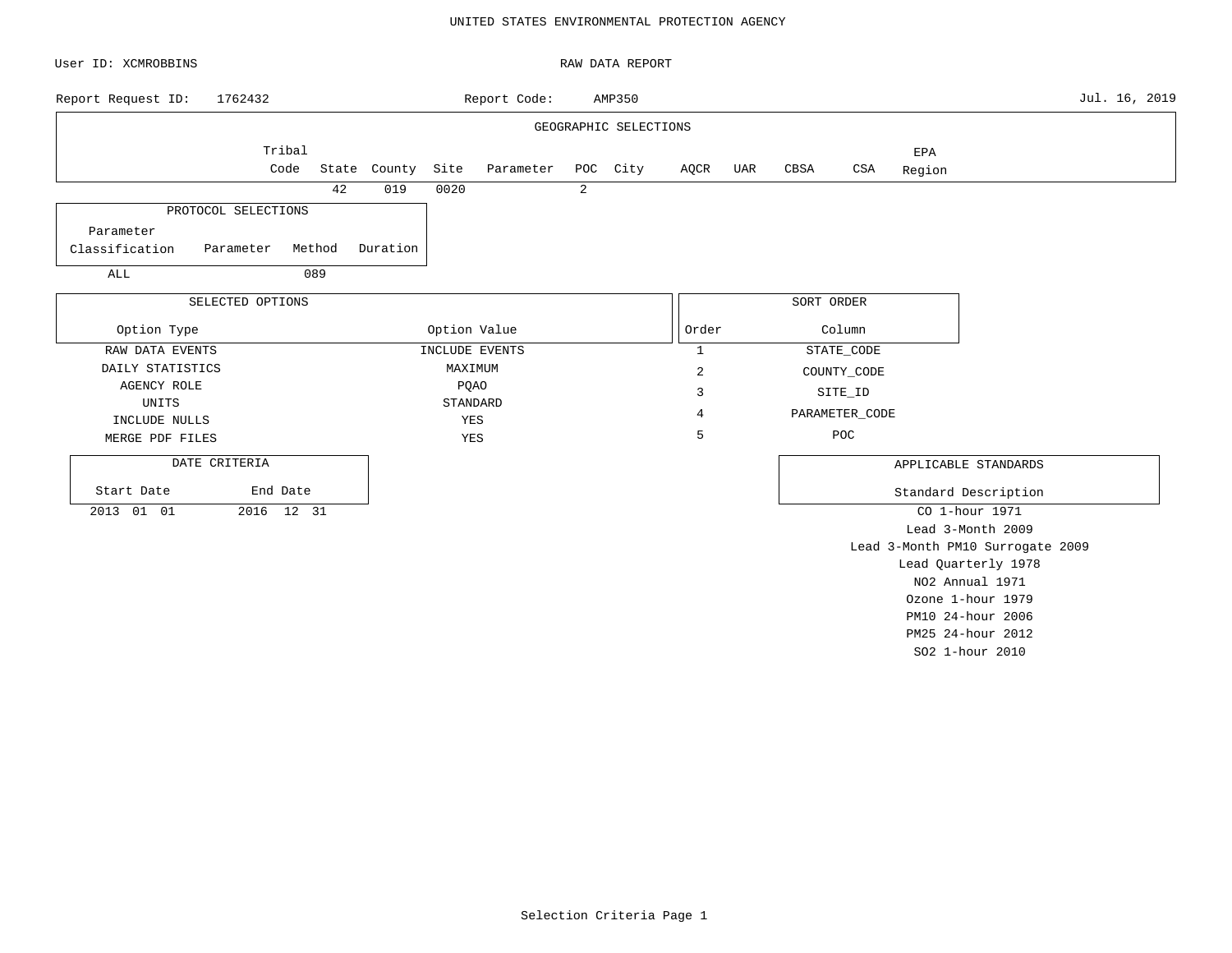### UNITED STATES ENVIRONMENTAL PROTECTION AGENCY

| User ID: XCMROBBINS           |        |              |              |                |   | RAW DATA REPORT       |                |     |            |                |        |                                  |               |
|-------------------------------|--------|--------------|--------------|----------------|---|-----------------------|----------------|-----|------------|----------------|--------|----------------------------------|---------------|
| 1762432<br>Report Request ID: |        |              |              | Report Code:   |   | AMP350                |                |     |            |                |        |                                  | Jul. 16, 2019 |
|                               |        |              |              |                |   | GEOGRAPHIC SELECTIONS |                |     |            |                |        |                                  |               |
| Tribal                        |        |              |              |                |   |                       |                |     |            |                | EPA    |                                  |               |
| Code                          |        | State County | Site         | Parameter      |   | POC City              | AQCR           | UAR | CBSA       | CSA            | Region |                                  |               |
|                               | 42     | 019          | 0020         |                | 2 |                       |                |     |            |                |        |                                  |               |
| PROTOCOL SELECTIONS           |        |              |              |                |   |                       |                |     |            |                |        |                                  |               |
| Parameter                     |        |              |              |                |   |                       |                |     |            |                |        |                                  |               |
| Classification<br>Parameter   | Method | Duration     |              |                |   |                       |                |     |            |                |        |                                  |               |
| ALL                           | 089    |              |              |                |   |                       |                |     |            |                |        |                                  |               |
| SELECTED OPTIONS              |        |              |              |                |   |                       |                |     | SORT ORDER |                |        |                                  |               |
|                               |        |              |              |                |   |                       |                |     |            |                |        |                                  |               |
| Option Type                   |        |              | Option Value |                |   |                       | Order          |     |            | Column         |        |                                  |               |
| RAW DATA EVENTS               |        |              |              | INCLUDE EVENTS |   |                       | $\mathbf{1}$   |     |            | STATE_CODE     |        |                                  |               |
| DAILY STATISTICS              |        |              | MAXIMUM      |                |   |                       | $\overline{c}$ |     |            | COUNTY_CODE    |        |                                  |               |
| <b>AGENCY ROLE</b>            |        |              | PQAO         |                |   |                       | 3              |     |            | SITE_ID        |        |                                  |               |
| UNITS                         |        |              | STANDARD     |                |   |                       | 4              |     |            | PARAMETER_CODE |        |                                  |               |
| INCLUDE NULLS                 |        |              | YES          |                |   |                       | 5              |     |            | POC            |        |                                  |               |
| MERGE PDF FILES               |        |              | YES          |                |   |                       |                |     |            |                |        |                                  |               |
| DATE CRITERIA                 |        |              |              |                |   |                       |                |     |            |                |        | APPLICABLE STANDARDS             |               |
| Start Date<br>End Date        |        |              |              |                |   |                       |                |     |            |                |        | Standard Description             |               |
| 2013 01 01<br>2016 12 31      |        |              |              |                |   |                       |                |     |            |                |        | CO 1-hour 1971                   |               |
|                               |        |              |              |                |   |                       |                |     |            |                |        | Lead 3-Month 2009                |               |
|                               |        |              |              |                |   |                       |                |     |            |                |        | Lead 3-Month PM10 Surrogate 2009 |               |
|                               |        |              |              |                |   |                       |                |     |            |                |        | Lead Quarterly 1978              |               |
|                               |        |              |              |                |   |                       |                |     |            |                |        | NO2 Annual 1971                  |               |
|                               |        |              |              |                |   |                       |                |     |            |                |        | Ozone 1-hour 1979                |               |
|                               |        |              |              |                |   |                       |                |     |            |                |        | PM10 24-hour 2006                |               |

PM25 24-hour 2012 SO2 1-hour 2010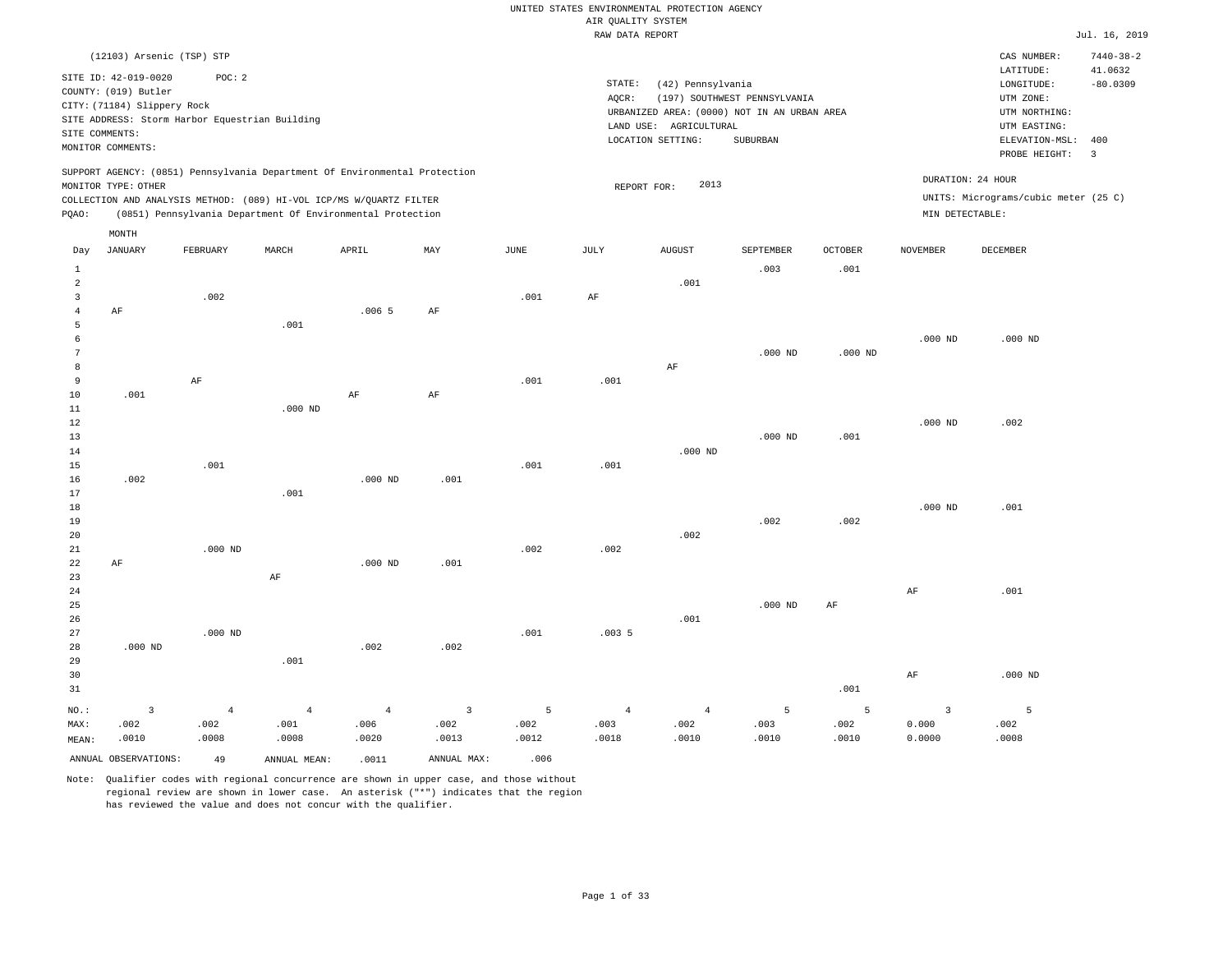|                |                                                                            |                |                                                            |                |                |       | RAW DATA REPORT |                                             |                              |                |                         |                                      | Jul. 16, 2019   |
|----------------|----------------------------------------------------------------------------|----------------|------------------------------------------------------------|----------------|----------------|-------|-----------------|---------------------------------------------|------------------------------|----------------|-------------------------|--------------------------------------|-----------------|
|                | (12103) Arsenic (TSP) STP                                                  |                |                                                            |                |                |       |                 |                                             |                              |                |                         | CAS NUMBER:                          | $7440 - 38 - 2$ |
|                | SITE ID: 42-019-0020                                                       | POC: 2         |                                                            |                |                |       |                 |                                             |                              |                |                         | LATITUDE:                            | 41.0632         |
|                | COUNTY: (019) Butler                                                       |                |                                                            |                |                |       | STATE:          | (42) Pennsylvania                           |                              |                |                         | LONGITUDE:                           | $-80.0309$      |
|                | CITY: (71184) Slippery Rock                                                |                |                                                            |                |                |       | AQCR:           |                                             | (197) SOUTHWEST PENNSYLVANIA |                |                         | UTM ZONE:                            |                 |
|                | SITE ADDRESS: Storm Harbor Equestrian Building                             |                |                                                            |                |                |       |                 | URBANIZED AREA: (0000) NOT IN AN URBAN AREA |                              |                |                         | UTM NORTHING:                        |                 |
| SITE COMMENTS: |                                                                            |                |                                                            |                |                |       |                 | LAND USE: AGRICULTURAL                      |                              |                |                         | UTM EASTING:                         |                 |
|                | MONITOR COMMENTS:                                                          |                |                                                            |                |                |       |                 | LOCATION SETTING:                           | SUBURBAN                     |                |                         | ELEVATION-MSL:                       | 400             |
|                |                                                                            |                |                                                            |                |                |       |                 |                                             |                              |                |                         | PROBE HEIGHT:                        | $\overline{3}$  |
|                | SUPPORT AGENCY: (0851) Pennsylvania Department Of Environmental Protection |                |                                                            |                |                |       |                 |                                             |                              |                |                         | DURATION: 24 HOUR                    |                 |
|                | MONITOR TYPE: OTHER                                                        |                |                                                            |                |                |       |                 | 2013<br>REPORT FOR:                         |                              |                |                         | UNITS: Micrograms/cubic meter (25 C) |                 |
| PQAO:          | COLLECTION AND ANALYSIS METHOD: (089) HI-VOL ICP/MS W/QUARTZ FILTER        |                | (0851) Pennsylvania Department Of Environmental Protection |                |                |       |                 |                                             |                              |                | MIN DETECTABLE:         |                                      |                 |
|                | MONTH                                                                      |                |                                                            |                |                |       |                 |                                             |                              |                |                         |                                      |                 |
| Day            | JANUARY                                                                    | FEBRUARY       | MARCH                                                      | APRIL          | MAY            | JUNE  | JULY            | AUGUST                                      | SEPTEMBER                    | <b>OCTOBER</b> | NOVEMBER                | DECEMBER                             |                 |
| $\mathbf{1}$   |                                                                            |                |                                                            |                |                |       |                 |                                             | .003                         | .001           |                         |                                      |                 |
| $\overline{a}$ |                                                                            |                |                                                            |                |                |       |                 | .001                                        |                              |                |                         |                                      |                 |
| 3              |                                                                            | .002           |                                                            |                |                | .001  | AF              |                                             |                              |                |                         |                                      |                 |
| $\overline{4}$ | AF                                                                         |                |                                                            | .0065          | $\rm AF$       |       |                 |                                             |                              |                |                         |                                      |                 |
| 5              |                                                                            |                | .001                                                       |                |                |       |                 |                                             |                              |                |                         |                                      |                 |
| 6              |                                                                            |                |                                                            |                |                |       |                 |                                             |                              |                | $.000$ ND               | $.000$ ND                            |                 |
| 7              |                                                                            |                |                                                            |                |                |       |                 |                                             | $.000$ ND                    | $.000$ ND      |                         |                                      |                 |
| 8              |                                                                            |                |                                                            |                |                |       |                 | AF                                          |                              |                |                         |                                      |                 |
| 9              |                                                                            | AF             |                                                            |                |                | .001  | .001            |                                             |                              |                |                         |                                      |                 |
| 10             | .001                                                                       |                |                                                            | $\rm AF$       | $\rm AF$       |       |                 |                                             |                              |                |                         |                                      |                 |
| $11\,$         |                                                                            |                | $.000$ ND                                                  |                |                |       |                 |                                             |                              |                |                         |                                      |                 |
| 12             |                                                                            |                |                                                            |                |                |       |                 |                                             |                              |                | $.000$ ND               | .002                                 |                 |
| 13             |                                                                            |                |                                                            |                |                |       |                 |                                             | $.000$ ND                    | .001           |                         |                                      |                 |
| 14             |                                                                            |                |                                                            |                |                |       |                 | $.000$ ND                                   |                              |                |                         |                                      |                 |
| 15             |                                                                            | .001           |                                                            |                |                | .001  | .001            |                                             |                              |                |                         |                                      |                 |
| 16             | .002                                                                       |                |                                                            | $.000$ ND      | .001           |       |                 |                                             |                              |                |                         |                                      |                 |
| 17             |                                                                            |                | .001                                                       |                |                |       |                 |                                             |                              |                |                         |                                      |                 |
| 18             |                                                                            |                |                                                            |                |                |       |                 |                                             |                              |                | $.000$ ND               | .001                                 |                 |
| 19             |                                                                            |                |                                                            |                |                |       |                 |                                             | .002                         | .002           |                         |                                      |                 |
| 20             |                                                                            |                |                                                            |                |                |       |                 | .002                                        |                              |                |                         |                                      |                 |
| 21             |                                                                            | $.000$ ND      |                                                            |                |                | .002  | .002            |                                             |                              |                |                         |                                      |                 |
| 22             | $\rm AF$                                                                   |                |                                                            | $.000$ ND      | .001           |       |                 |                                             |                              |                |                         |                                      |                 |
| 23             |                                                                            |                | AF                                                         |                |                |       |                 |                                             |                              |                |                         |                                      |                 |
| 24             |                                                                            |                |                                                            |                |                |       |                 |                                             |                              |                | $\rm AF$                | .001                                 |                 |
| 25             |                                                                            |                |                                                            |                |                |       |                 |                                             | $.000$ ND                    | $\rm{AF}$      |                         |                                      |                 |
| 26             |                                                                            |                |                                                            |                |                |       |                 | .001                                        |                              |                |                         |                                      |                 |
| 27             |                                                                            | $.000$ ND      |                                                            |                |                | .001  | .0035           |                                             |                              |                |                         |                                      |                 |
| 28<br>29       | $.000$ ND                                                                  |                | .001                                                       | .002           | .002           |       |                 |                                             |                              |                |                         |                                      |                 |
|                |                                                                            |                |                                                            |                |                |       |                 |                                             |                              |                |                         |                                      |                 |
| 30             |                                                                            |                |                                                            |                |                |       |                 |                                             |                              |                | AF                      | $.000$ ND                            |                 |
| 31             |                                                                            |                |                                                            |                |                |       |                 |                                             |                              | .001           |                         |                                      |                 |
| NO.:           | $\overline{3}$                                                             | $\overline{4}$ | $\overline{4}$                                             | $\overline{4}$ | $\overline{3}$ | 5     | $\overline{4}$  | $\overline{4}$                              | 5                            | 5              | $\overline{\mathbf{3}}$ | 5                                    |                 |
| MAX:           | .002                                                                       | .002           | .001                                                       | .006           | .002           | .002  | .003            | .002                                        | .003                         | .002           | 0.000                   | .002                                 |                 |
| MEAN:          | .0010                                                                      | .0008          | .0008                                                      | .0020          | .0013          | .0012 | .0018           | .0010                                       | .0010                        | .0010          | 0.0000                  | .0008                                |                 |
|                | ANNUAL OBSERVATIONS:                                                       | 49             | ANNUAL MEAN:                                               | .0011          | ANNUAL MAX:    | .006  |                 |                                             |                              |                |                         |                                      |                 |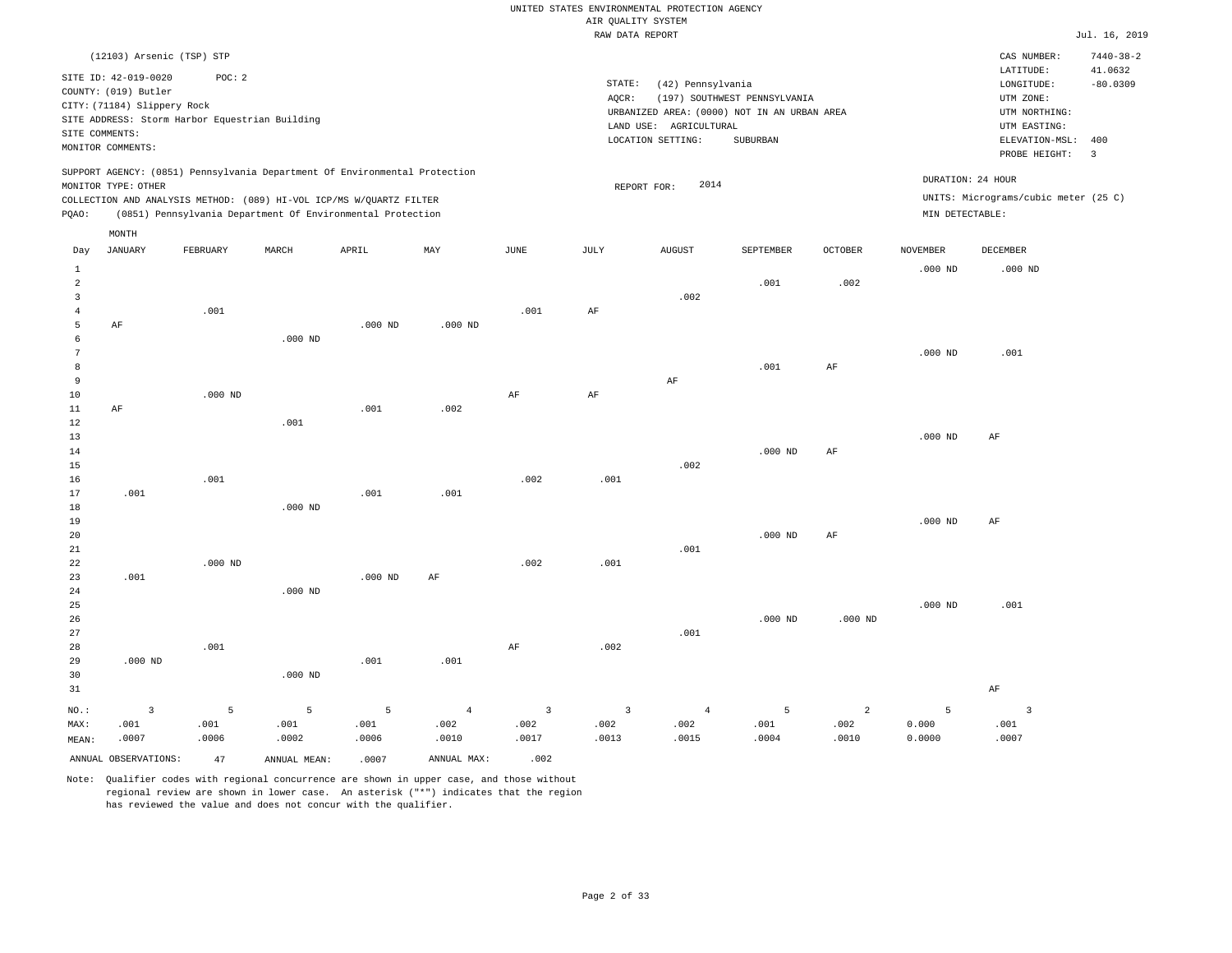|                                |                                                                                                                    |                                                                                                                                                   |               |               |                |                | ----- ------ ---- ---- |                                                                  |                                                                                                |                |                   |                                                                                                                      | $     -$                                       |
|--------------------------------|--------------------------------------------------------------------------------------------------------------------|---------------------------------------------------------------------------------------------------------------------------------------------------|---------------|---------------|----------------|----------------|------------------------|------------------------------------------------------------------|------------------------------------------------------------------------------------------------|----------------|-------------------|----------------------------------------------------------------------------------------------------------------------|------------------------------------------------|
|                                | (12103) Arsenic (TSP) STP                                                                                          |                                                                                                                                                   |               |               |                |                |                        |                                                                  |                                                                                                |                |                   | CAS NUMBER:                                                                                                          | $7440 - 38 - 2$                                |
|                                | SITE ID: 42-019-0020<br>COUNTY: (019) Butler<br>CITY: (71184) Slippery Rock<br>SITE COMMENTS:<br>MONITOR COMMENTS: | POC: 2<br>SITE ADDRESS: Storm Harbor Equestrian Building                                                                                          |               |               |                |                | STATE:<br>AQCR:        | (42) Pennsylvania<br>LAND USE: AGRICULTURAL<br>LOCATION SETTING: | (197) SOUTHWEST PENNSYLVANIA<br>URBANIZED AREA: (0000) NOT IN AN URBAN AREA<br><b>SUBURBAN</b> |                |                   | LATITUDE:<br>$\texttt{LONGITUDE}$ :<br>UTM ZONE:<br>UTM NORTHING:<br>UTM EASTING:<br>ELEVATION-MSL:<br>PROBE HEIGHT: | 41.0632<br>$-80.0309$<br>400<br>$\overline{3}$ |
|                                | MONITOR TYPE: OTHER                                                                                                | SUPPORT AGENCY: (0851) Pennsylvania Department Of Environmental Protection<br>COLLECTION AND ANALYSIS METHOD: (089) HI-VOL ICP/MS W/QUARTZ FILTER |               |               |                |                |                        | 2014<br>REPORT FOR:                                              |                                                                                                |                | DURATION: 24 HOUR | UNITS: Micrograms/cubic meter (25 C)                                                                                 |                                                |
| PQAO:                          |                                                                                                                    | (0851) Pennsylvania Department Of Environmental Protection                                                                                        |               |               |                |                |                        |                                                                  |                                                                                                |                | MIN DETECTABLE:   |                                                                                                                      |                                                |
|                                | MONTH                                                                                                              |                                                                                                                                                   |               |               |                |                |                        |                                                                  |                                                                                                |                |                   |                                                                                                                      |                                                |
| Day                            | <b>JANUARY</b>                                                                                                     | FEBRUARY                                                                                                                                          | MARCH         | APRIL         | MAY            | JUNE           | JULY                   | <b>AUGUST</b>                                                    | SEPTEMBER                                                                                      | <b>OCTOBER</b> | <b>NOVEMBER</b>   | <b>DECEMBER</b>                                                                                                      |                                                |
| $\mathbf{1}$<br>$\overline{a}$ |                                                                                                                    |                                                                                                                                                   |               |               |                |                |                        |                                                                  | .001                                                                                           | .002           | $.000$ ND         | $.000$ ND                                                                                                            |                                                |
| 3<br>$\overline{4}$            |                                                                                                                    | .001                                                                                                                                              |               |               |                | .001           | AF                     | .002                                                             |                                                                                                |                |                   |                                                                                                                      |                                                |
| 5                              | AF                                                                                                                 |                                                                                                                                                   |               | $.000$ ND     | $.000$ ND      |                |                        |                                                                  |                                                                                                |                |                   |                                                                                                                      |                                                |
| 6<br>7                         |                                                                                                                    |                                                                                                                                                   | $.000$ ND     |               |                |                |                        |                                                                  |                                                                                                |                | $.000$ ND         | .001                                                                                                                 |                                                |
| 8                              |                                                                                                                    |                                                                                                                                                   |               |               |                |                |                        |                                                                  | .001                                                                                           | $\rm{AF}$      |                   |                                                                                                                      |                                                |
| 9                              |                                                                                                                    |                                                                                                                                                   |               |               |                |                |                        | AF                                                               |                                                                                                |                |                   |                                                                                                                      |                                                |
| 10<br>11                       | AF                                                                                                                 | $.000$ ND                                                                                                                                         |               | .001          | .002           | $\rm{AF}$      | $\rm{AF}$              |                                                                  |                                                                                                |                |                   |                                                                                                                      |                                                |
| 12                             |                                                                                                                    |                                                                                                                                                   | .001          |               |                |                |                        |                                                                  |                                                                                                |                |                   |                                                                                                                      |                                                |
| 13                             |                                                                                                                    |                                                                                                                                                   |               |               |                |                |                        |                                                                  |                                                                                                |                | $.000$ ND         | AF                                                                                                                   |                                                |
| 14<br>15                       |                                                                                                                    |                                                                                                                                                   |               |               |                |                |                        | .002                                                             | $.000$ ND                                                                                      | $\rm{AF}$      |                   |                                                                                                                      |                                                |
| 16                             |                                                                                                                    | .001                                                                                                                                              |               |               |                | .002           | .001                   |                                                                  |                                                                                                |                |                   |                                                                                                                      |                                                |
| 17                             | .001                                                                                                               |                                                                                                                                                   |               | .001          | .001           |                |                        |                                                                  |                                                                                                |                |                   |                                                                                                                      |                                                |
| 18<br>19                       |                                                                                                                    |                                                                                                                                                   | $.000$ ND     |               |                |                |                        |                                                                  |                                                                                                |                | $.000$ ND         | AF                                                                                                                   |                                                |
| 20                             |                                                                                                                    |                                                                                                                                                   |               |               |                |                |                        |                                                                  | $.000$ ND                                                                                      | $\rm{AF}$      |                   |                                                                                                                      |                                                |
| 21                             |                                                                                                                    |                                                                                                                                                   |               |               |                |                |                        | .001                                                             |                                                                                                |                |                   |                                                                                                                      |                                                |
| 22                             |                                                                                                                    | $.000$ ND                                                                                                                                         |               |               |                | .002           | .001                   |                                                                  |                                                                                                |                |                   |                                                                                                                      |                                                |
| 23<br>24                       | .001                                                                                                               |                                                                                                                                                   | $.000$ ND     | $.000$ ND     | AF             |                |                        |                                                                  |                                                                                                |                |                   |                                                                                                                      |                                                |
| 25                             |                                                                                                                    |                                                                                                                                                   |               |               |                |                |                        |                                                                  |                                                                                                |                | $.000$ ND         | .001                                                                                                                 |                                                |
| 26                             |                                                                                                                    |                                                                                                                                                   |               |               |                |                |                        |                                                                  | $.000$ ND                                                                                      | $.000$ ND      |                   |                                                                                                                      |                                                |
| 27<br>28                       |                                                                                                                    | .001                                                                                                                                              |               |               |                | AF             | .002                   | .001                                                             |                                                                                                |                |                   |                                                                                                                      |                                                |
| 29                             | $.000$ ND                                                                                                          |                                                                                                                                                   |               | .001          | .001           |                |                        |                                                                  |                                                                                                |                |                   |                                                                                                                      |                                                |
| 30                             |                                                                                                                    |                                                                                                                                                   | $.000$ ND     |               |                |                |                        |                                                                  |                                                                                                |                |                   |                                                                                                                      |                                                |
| 31                             |                                                                                                                    |                                                                                                                                                   |               |               |                |                |                        |                                                                  |                                                                                                |                |                   | $\rm AF$                                                                                                             |                                                |
| NO.:                           | $\overline{\mathbf{3}}$                                                                                            | 5                                                                                                                                                 | 5             | 5             | $\overline{4}$ | $\overline{3}$ | $\overline{3}$         | $\overline{4}$                                                   | 5                                                                                              | $\overline{a}$ | 5                 | $\overline{3}$                                                                                                       |                                                |
| MAX:                           | .001<br>.0007                                                                                                      | .001<br>.0006                                                                                                                                     | .001<br>.0002 | .001<br>.0006 | .002<br>.0010  | .002<br>.0017  | .002<br>.0013          | .002                                                             | .001<br>.0004                                                                                  | .002<br>.0010  | 0.000             | .001<br>.0007                                                                                                        |                                                |
| MEAN:                          |                                                                                                                    |                                                                                                                                                   |               |               |                |                |                        | .0015                                                            |                                                                                                |                | 0.0000            |                                                                                                                      |                                                |

ANNUAL OBSERVATIONS: 47 ANNUAL MEAN: .0007 ANNUAL MAX: .002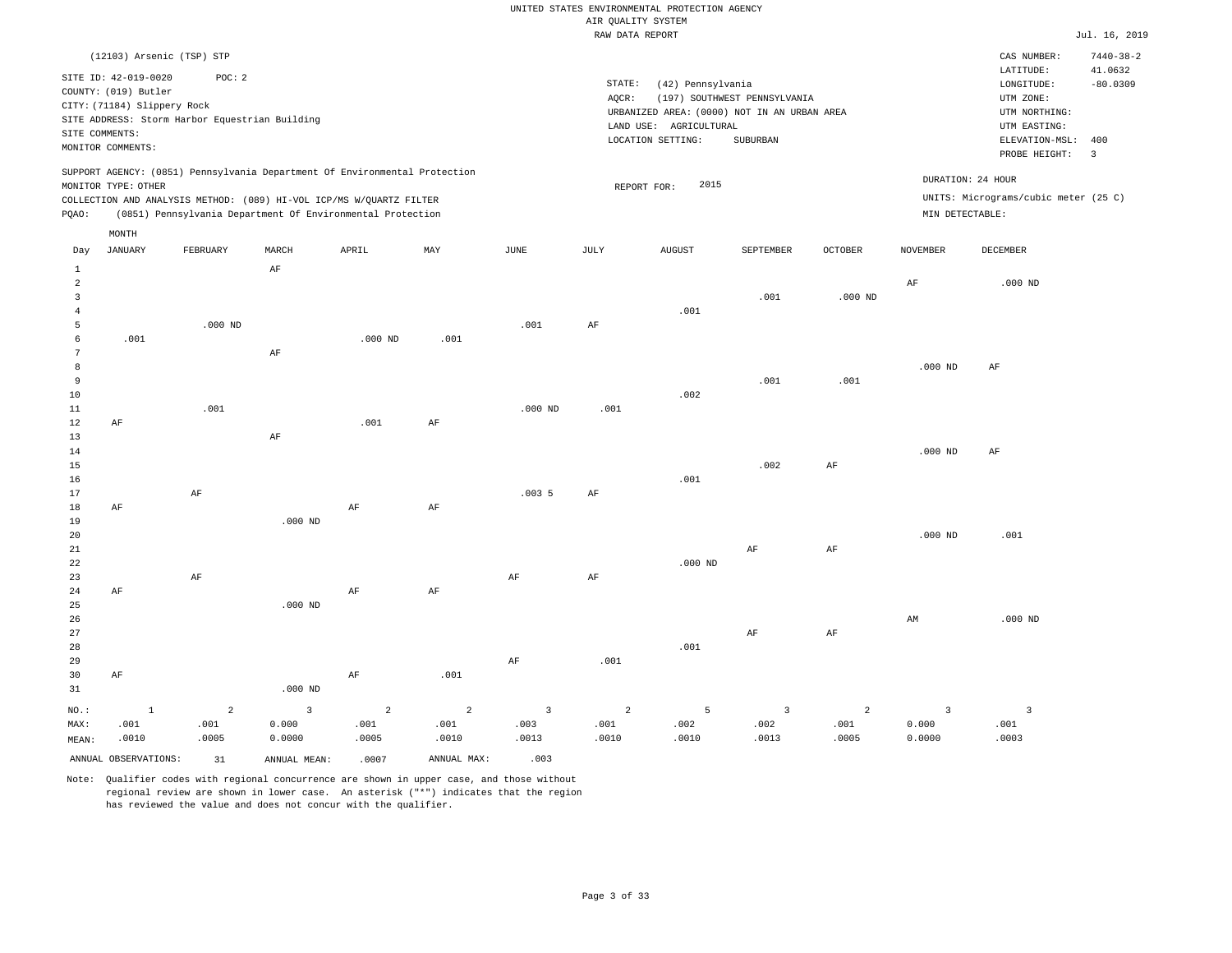|              |                                                                                                                    |                                                                            |           |           |      |           | RAW DATA REPORT |                                                                                                                 |                                          |                |                 |                                                                                         | Jul. 16, 2019              |
|--------------|--------------------------------------------------------------------------------------------------------------------|----------------------------------------------------------------------------|-----------|-----------|------|-----------|-----------------|-----------------------------------------------------------------------------------------------------------------|------------------------------------------|----------------|-----------------|-----------------------------------------------------------------------------------------|----------------------------|
|              |                                                                                                                    | (12103) Arsenic (TSP) STP                                                  |           |           |      |           |                 |                                                                                                                 |                                          |                |                 | CAS NUMBER:                                                                             | $7440 - 38 - 2$<br>41.0632 |
|              | SITE ID: 42-019-0020<br>COUNTY: (019) Butler<br>CITY: (71184) Slippery Rock<br>SITE COMMENTS:<br>MONITOR COMMENTS: | POC: 2<br>SITE ADDRESS: Storm Harbor Equestrian Building                   |           |           |      |           | STATE:<br>AQCR: | (42) Pennsylvania<br>URBANIZED AREA: (0000) NOT IN AN URBAN AREA<br>LAND USE: AGRICULTURAL<br>LOCATION SETTING: | (197) SOUTHWEST PENNSYLVANIA<br>SUBURBAN |                |                 | LATITUDE:<br>LONGITUDE:<br>UTM ZONE:<br>UTM NORTHING:<br>UTM EASTING:<br>ELEVATION-MSL: | $-80.0309$<br>400          |
|              |                                                                                                                    | SUPPORT AGENCY: (0851) Pennsylvania Department Of Environmental Protection |           |           |      |           |                 |                                                                                                                 |                                          |                |                 | PROBE HEIGHT:<br>DURATION: 24 HOUR                                                      | $\overline{\mathbf{3}}$    |
|              | MONITOR TYPE: OTHER                                                                                                |                                                                            |           |           |      |           |                 | 2015<br>REPORT FOR:                                                                                             |                                          |                |                 | UNITS: Micrograms/cubic meter (25 C)                                                    |                            |
|              |                                                                                                                    | COLLECTION AND ANALYSIS METHOD: (089) HI-VOL ICP/MS W/QUARTZ FILTER        |           |           |      |           |                 |                                                                                                                 |                                          |                |                 |                                                                                         |                            |
| POAO:        |                                                                                                                    | (0851) Pennsylvania Department Of Environmental Protection                 |           |           |      |           |                 |                                                                                                                 |                                          |                | MIN DETECTABLE: |                                                                                         |                            |
|              | MONTH                                                                                                              |                                                                            |           |           |      |           |                 |                                                                                                                 |                                          |                |                 |                                                                                         |                            |
| Day          | <b>JANUARY</b>                                                                                                     | FEBRUARY                                                                   | MARCH     | APRIL     | MAY  | JUNE      | JULY            | <b>AUGUST</b>                                                                                                   | SEPTEMBER                                | <b>OCTOBER</b> | <b>NOVEMBER</b> | DECEMBER                                                                                |                            |
| $\mathbf{1}$ |                                                                                                                    |                                                                            | AF        |           |      |           |                 |                                                                                                                 |                                          |                |                 |                                                                                         |                            |
| 2            |                                                                                                                    |                                                                            |           |           |      |           |                 |                                                                                                                 |                                          |                | AF              | $.000$ ND                                                                               |                            |
| 3            |                                                                                                                    |                                                                            |           |           |      |           |                 |                                                                                                                 | .001                                     | $.000$ ND      |                 |                                                                                         |                            |
| 4            |                                                                                                                    |                                                                            |           |           |      |           |                 | .001                                                                                                            |                                          |                |                 |                                                                                         |                            |
| 5            |                                                                                                                    | $.000$ ND                                                                  |           |           |      | .001      | $\rm{AF}$       |                                                                                                                 |                                          |                |                 |                                                                                         |                            |
| 6            | .001                                                                                                               |                                                                            |           | $.000$ ND | .001 |           |                 |                                                                                                                 |                                          |                |                 |                                                                                         |                            |
|              |                                                                                                                    |                                                                            | AF        |           |      |           |                 |                                                                                                                 |                                          |                |                 |                                                                                         |                            |
| 8            |                                                                                                                    |                                                                            |           |           |      |           |                 |                                                                                                                 |                                          |                | $.000$ ND       | AF                                                                                      |                            |
| 9            |                                                                                                                    |                                                                            |           |           |      |           |                 |                                                                                                                 | .001                                     | .001           |                 |                                                                                         |                            |
| 10           |                                                                                                                    |                                                                            |           |           |      |           |                 | .002                                                                                                            |                                          |                |                 |                                                                                         |                            |
| 11           |                                                                                                                    | .001                                                                       |           |           |      | $.000$ ND | .001            |                                                                                                                 |                                          |                |                 |                                                                                         |                            |
| 12           | AF                                                                                                                 |                                                                            |           | .001      | AF   |           |                 |                                                                                                                 |                                          |                |                 |                                                                                         |                            |
| 13           |                                                                                                                    |                                                                            | AF        |           |      |           |                 |                                                                                                                 |                                          |                |                 |                                                                                         |                            |
| 14           |                                                                                                                    |                                                                            |           |           |      |           |                 |                                                                                                                 |                                          |                | $.000$ ND       | AF                                                                                      |                            |
| 15           |                                                                                                                    |                                                                            |           |           |      |           |                 |                                                                                                                 | .002                                     | AF             |                 |                                                                                         |                            |
| 16           |                                                                                                                    |                                                                            |           |           |      |           |                 | .001                                                                                                            |                                          |                |                 |                                                                                         |                            |
| 17           |                                                                                                                    | $\rm{AF}$                                                                  |           |           |      | .0035     | $\rm{AF}$       |                                                                                                                 |                                          |                |                 |                                                                                         |                            |
| 18           | AF                                                                                                                 |                                                                            |           | AF        | AF   |           |                 |                                                                                                                 |                                          |                |                 |                                                                                         |                            |
| 19           |                                                                                                                    |                                                                            | $.000$ ND |           |      |           |                 |                                                                                                                 |                                          |                |                 |                                                                                         |                            |
| 20           |                                                                                                                    |                                                                            |           |           |      |           |                 |                                                                                                                 |                                          |                | $.000$ ND       | .001                                                                                    |                            |
| 21           |                                                                                                                    |                                                                            |           |           |      |           |                 |                                                                                                                 | AF                                       | AF             |                 |                                                                                         |                            |
| 22           |                                                                                                                    |                                                                            |           |           |      |           |                 | $.000$ ND                                                                                                       |                                          |                |                 |                                                                                         |                            |

| 23      |       | AF    |           |       |       | AF    | AF             |       |       |       |        |           |
|---------|-------|-------|-----------|-------|-------|-------|----------------|-------|-------|-------|--------|-----------|
| 24      | AF    |       |           | AF    | AF    |       |                |       |       |       |        |           |
| 25      |       |       | $.000$ ND |       |       |       |                |       |       |       |        |           |
| 26      |       |       |           |       |       |       |                |       |       |       | AM     | $.000$ ND |
| 27      |       |       |           |       |       |       |                |       | AF    | AF    |        |           |
| 28      |       |       |           |       |       |       |                | .001  |       |       |        |           |
| 29      |       |       |           |       |       | AF    | .001           |       |       |       |        |           |
| 30      | AF    |       |           | AF    | .001  |       |                |       |       |       |        |           |
| 31      |       |       | $.000$ ND |       |       |       |                |       |       |       |        |           |
| $NO.$ : |       | 2     | 3         | 2     | 2     | 3     | $\overline{a}$ | 5     | 3     | 2     |        |           |
| MAX:    | .001  | .001  | 0.000     | .001  | .001  | .003  | .001           | .002  | .002  | .001  | 0.000  | .001      |
| MEAN:   | .0010 | .0005 | 0.0000    | .0005 | .0010 | .0013 | .0010          | .0010 | .0013 | .0005 | 0.0000 | .0003     |

ANNUAL OBSERVATIONS: 31 ANNUAL MEAN: .0007 ANNUAL MAX: .003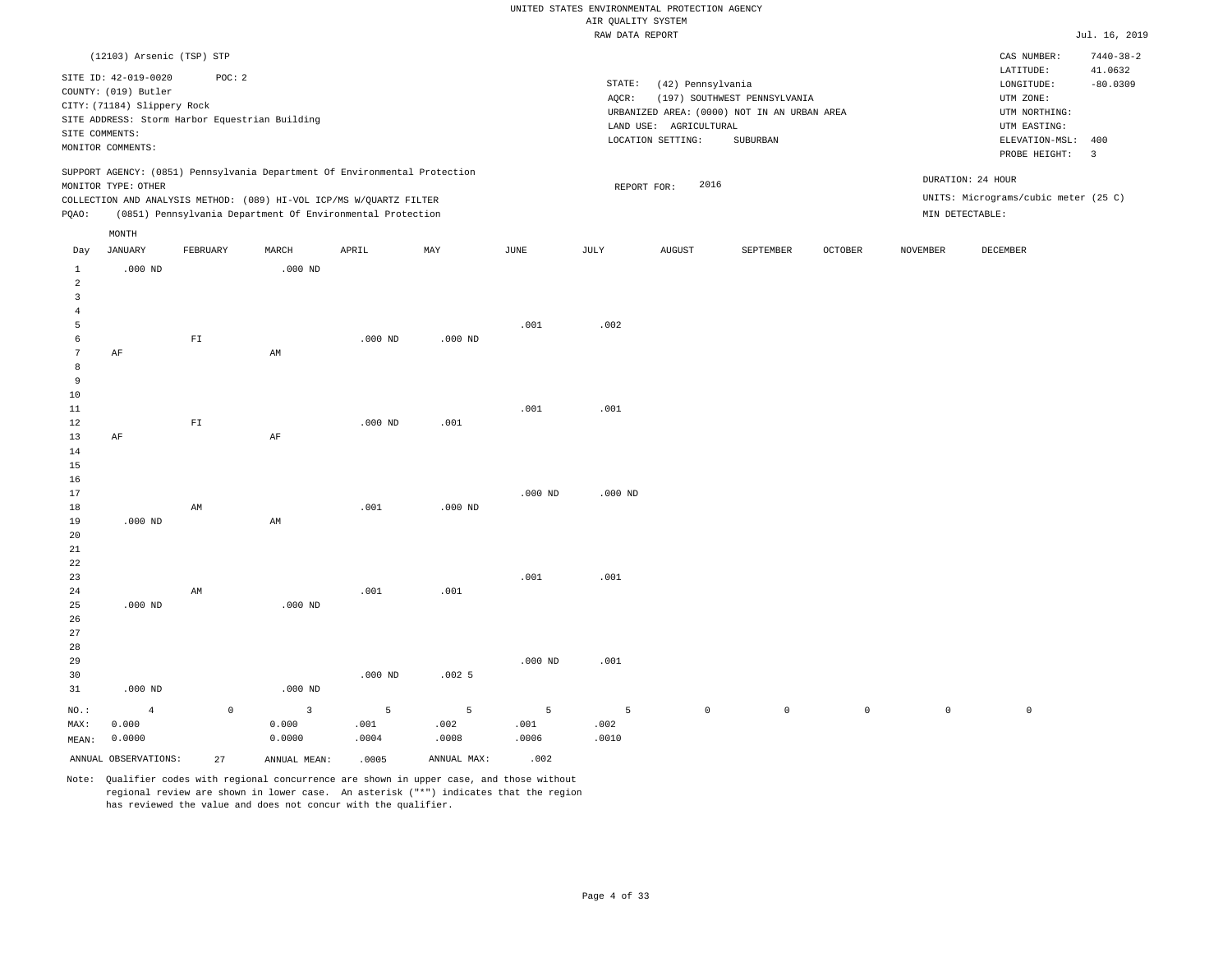|                 |                             |             |                                                                            |           |             |           | RAW DATA REPORT |                        |                                             |              |                 |                                      | Jul. 16, 2019           |
|-----------------|-----------------------------|-------------|----------------------------------------------------------------------------|-----------|-------------|-----------|-----------------|------------------------|---------------------------------------------|--------------|-----------------|--------------------------------------|-------------------------|
|                 | (12103) Arsenic (TSP) STP   |             |                                                                            |           |             |           |                 |                        |                                             |              |                 | CAS NUMBER:                          | $7440 - 38 - 2$         |
|                 | SITE ID: 42-019-0020        | POC: 2      |                                                                            |           |             |           |                 |                        |                                             |              |                 | LATITUDE:                            | 41.0632                 |
|                 | COUNTY: (019) Butler        |             |                                                                            |           |             |           | STATE:          | (42) Pennsylvania      |                                             |              |                 | LONGITUDE:                           | $-80.0309$              |
|                 | CITY: (71184) Slippery Rock |             |                                                                            |           |             |           | AQCR:           |                        | (197) SOUTHWEST PENNSYLVANIA                |              |                 | UTM ZONE:                            |                         |
|                 |                             |             | SITE ADDRESS: Storm Harbor Equestrian Building                             |           |             |           |                 |                        | URBANIZED AREA: (0000) NOT IN AN URBAN AREA |              |                 | UTM NORTHING:                        |                         |
| SITE COMMENTS:  |                             |             |                                                                            |           |             |           |                 | LAND USE: AGRICULTURAL |                                             |              |                 | UTM EASTING:                         |                         |
|                 | MONITOR COMMENTS:           |             |                                                                            |           |             |           |                 | LOCATION SETTING:      | SUBURBAN                                    |              |                 | ELEVATION-MSL:                       | 400                     |
|                 |                             |             |                                                                            |           |             |           |                 |                        |                                             |              |                 | PROBE HEIGHT:                        | $\overline{\mathbf{3}}$ |
|                 | MONITOR TYPE: OTHER         |             | SUPPORT AGENCY: (0851) Pennsylvania Department Of Environmental Protection |           |             |           | REPORT FOR:     | 2016                   |                                             |              |                 | DURATION: 24 HOUR                    |                         |
|                 |                             |             | COLLECTION AND ANALYSIS METHOD: (089) HI-VOL ICP/MS W/QUARTZ FILTER        |           |             |           |                 |                        |                                             |              |                 | UNITS: Micrograms/cubic meter (25 C) |                         |
| PQAO:           |                             |             | (0851) Pennsylvania Department Of Environmental Protection                 |           |             |           |                 |                        |                                             |              |                 | MIN DETECTABLE:                      |                         |
|                 | MONTH                       |             |                                                                            |           |             |           |                 |                        |                                             |              |                 |                                      |                         |
| Day             | <b>JANUARY</b>              | FEBRUARY    | MARCH                                                                      | APRIL     | MAY         | JUNE      | JULY            | <b>AUGUST</b>          | SEPTEMBER                                   | OCTOBER      | <b>NOVEMBER</b> | DECEMBER                             |                         |
| 1<br>2          | $.000$ ND                   |             | $.000$ ND                                                                  |           |             |           |                 |                        |                                             |              |                 |                                      |                         |
| $\overline{3}$  |                             |             |                                                                            |           |             |           |                 |                        |                                             |              |                 |                                      |                         |
| $\overline{4}$  |                             |             |                                                                            |           |             |           |                 |                        |                                             |              |                 |                                      |                         |
| 5               |                             |             |                                                                            |           |             | .001      | .002            |                        |                                             |              |                 |                                      |                         |
| 6               |                             | ${\rm FT}$  |                                                                            | $.000$ ND | $.000$ ND   |           |                 |                        |                                             |              |                 |                                      |                         |
| $7\phantom{.0}$ | AF                          |             | AM                                                                         |           |             |           |                 |                        |                                             |              |                 |                                      |                         |
| 8               |                             |             |                                                                            |           |             |           |                 |                        |                                             |              |                 |                                      |                         |
| 9               |                             |             |                                                                            |           |             |           |                 |                        |                                             |              |                 |                                      |                         |
| 10              |                             |             |                                                                            |           |             |           |                 |                        |                                             |              |                 |                                      |                         |
| 11              |                             |             |                                                                            |           |             | .001      | .001            |                        |                                             |              |                 |                                      |                         |
| 12              |                             | ${\tt F1}$  |                                                                            | $.000$ ND | .001        |           |                 |                        |                                             |              |                 |                                      |                         |
| 13              | AF                          |             | $\rm AF$                                                                   |           |             |           |                 |                        |                                             |              |                 |                                      |                         |
| 14              |                             |             |                                                                            |           |             |           |                 |                        |                                             |              |                 |                                      |                         |
| 15              |                             |             |                                                                            |           |             |           |                 |                        |                                             |              |                 |                                      |                         |
| 16              |                             |             |                                                                            |           |             |           |                 |                        |                                             |              |                 |                                      |                         |
| 17              |                             |             |                                                                            |           |             | $.000$ ND | $.000$ ND       |                        |                                             |              |                 |                                      |                         |
| 18              |                             | AM          |                                                                            | .001      | $.000$ ND   |           |                 |                        |                                             |              |                 |                                      |                         |
| 19              | $.000$ ND                   |             | AM                                                                         |           |             |           |                 |                        |                                             |              |                 |                                      |                         |
| 20              |                             |             |                                                                            |           |             |           |                 |                        |                                             |              |                 |                                      |                         |
| 21              |                             |             |                                                                            |           |             |           |                 |                        |                                             |              |                 |                                      |                         |
| 22              |                             |             |                                                                            |           |             |           |                 |                        |                                             |              |                 |                                      |                         |
| 23              |                             |             |                                                                            |           |             | .001      | .001            |                        |                                             |              |                 |                                      |                         |
| 24              |                             | AM          |                                                                            | .001      | .001        |           |                 |                        |                                             |              |                 |                                      |                         |
| 25              | $.000$ ND                   |             | $.000$ ND                                                                  |           |             |           |                 |                        |                                             |              |                 |                                      |                         |
| 26              |                             |             |                                                                            |           |             |           |                 |                        |                                             |              |                 |                                      |                         |
| 27              |                             |             |                                                                            |           |             |           |                 |                        |                                             |              |                 |                                      |                         |
| 28              |                             |             |                                                                            |           |             |           |                 |                        |                                             |              |                 |                                      |                         |
| 29              |                             |             |                                                                            |           |             | $.000$ ND | .001            |                        |                                             |              |                 |                                      |                         |
| 30              |                             |             |                                                                            | $.000$ ND | .0025       |           |                 |                        |                                             |              |                 |                                      |                         |
| 31              | $.000$ ND                   |             | $.000$ ND                                                                  |           |             |           |                 |                        |                                             |              |                 |                                      |                         |
| NO.:            | $\overline{4}$              | $\mathbb O$ | 3                                                                          | 5         | 5           | 5         | 5               | $\mathsf{O}\xspace$    | $\mathbb O$                                 | $\mathsf{O}$ | $\circ$         | $\mathbb O$                          |                         |
| MAX:            | 0.000                       |             | 0.000                                                                      | .001      | .002        | .001      | .002            |                        |                                             |              |                 |                                      |                         |
| MEAN:           | 0.0000                      |             | 0.0000                                                                     | .0004     | .0008       | .0006     | .0010           |                        |                                             |              |                 |                                      |                         |
|                 | ANNUAL OBSERVATIONS:        | 27          |                                                                            | .0005     | ANNUAL MAX: | .002      |                 |                        |                                             |              |                 |                                      |                         |
|                 |                             |             | ANNUAL MEAN:                                                               |           |             |           |                 |                        |                                             |              |                 |                                      |                         |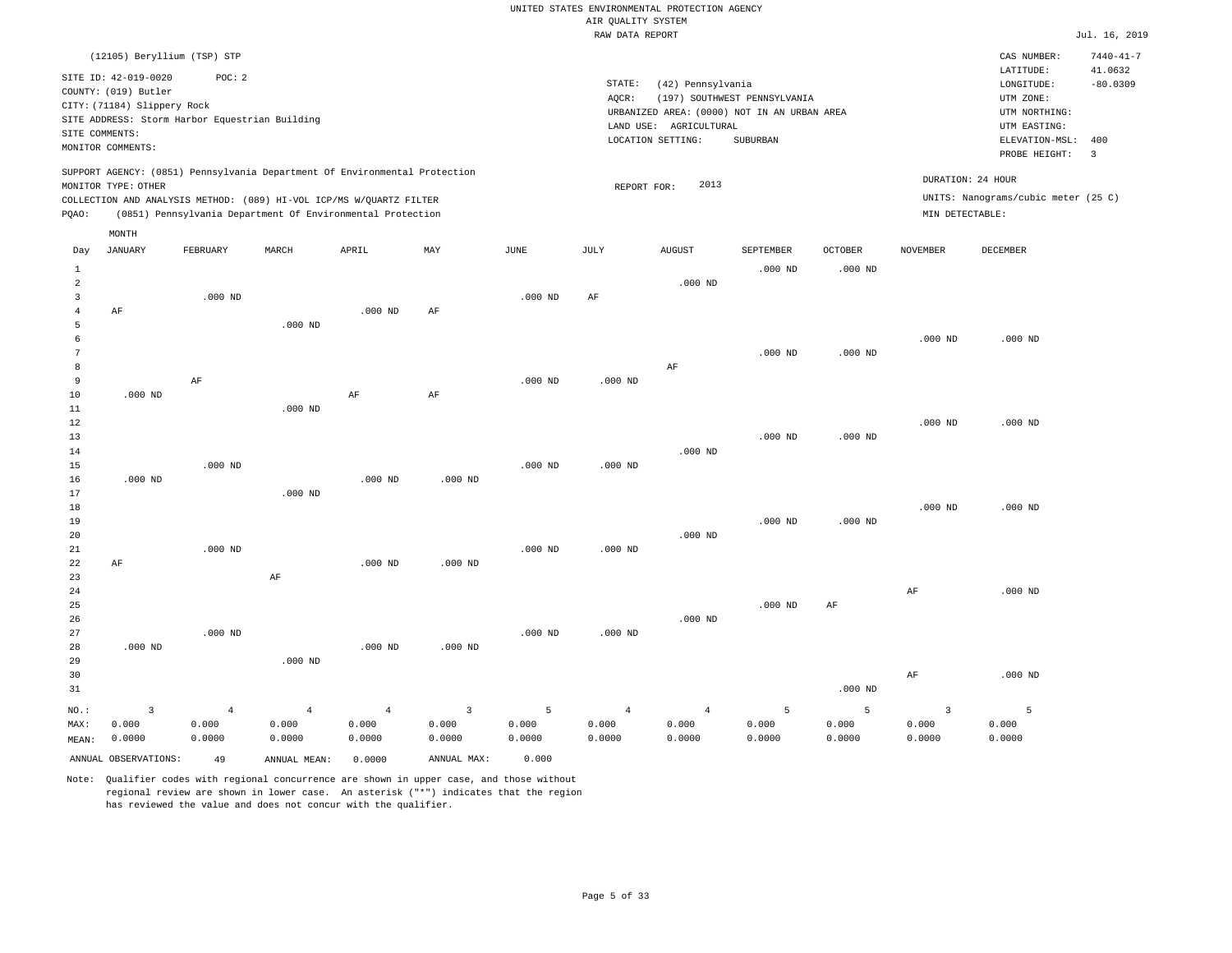|                | (12105) Beryllium (TSP) STP                    |                |                                                                                                                                   |                |                         |             |                |                                             |                              |                |                   | CAS NUMBER:                         | $7440 - 41 - 7$         |
|----------------|------------------------------------------------|----------------|-----------------------------------------------------------------------------------------------------------------------------------|----------------|-------------------------|-------------|----------------|---------------------------------------------|------------------------------|----------------|-------------------|-------------------------------------|-------------------------|
|                | SITE ID: 42-019-0020                           | POC: 2         |                                                                                                                                   |                |                         |             | STATE:         | (42) Pennsylvania                           |                              |                |                   | LATITUDE:<br>LONGITUDE:             | 41.0632<br>$-80.0309$   |
|                | COUNTY: (019) Butler                           |                |                                                                                                                                   |                |                         |             | AQCR:          |                                             | (197) SOUTHWEST PENNSYLVANIA |                |                   | UTM ZONE:                           |                         |
|                | CITY: (71184) Slippery Rock                    |                |                                                                                                                                   |                |                         |             |                | URBANIZED AREA: (0000) NOT IN AN URBAN AREA |                              |                |                   | UTM NORTHING:                       |                         |
|                | SITE ADDRESS: Storm Harbor Equestrian Building |                |                                                                                                                                   |                |                         |             |                | LAND USE: AGRICULTURAL                      |                              |                |                   | UTM EASTING:                        |                         |
| SITE COMMENTS: |                                                |                |                                                                                                                                   |                |                         |             |                | LOCATION SETTING:                           | SUBURBAN                     |                |                   | ELEVATION-MSL:                      | 400                     |
|                | MONITOR COMMENTS:                              |                |                                                                                                                                   |                |                         |             |                |                                             |                              |                |                   | PROBE HEIGHT:                       | $\overline{\mathbf{3}}$ |
|                |                                                |                | SUPPORT AGENCY: (0851) Pennsylvania Department Of Environmental Protection                                                        |                |                         |             |                |                                             |                              |                | DURATION: 24 HOUR |                                     |                         |
|                | MONITOR TYPE: OTHER                            |                |                                                                                                                                   |                |                         |             | REPORT FOR:    | 2013                                        |                              |                |                   | UNITS: Nanograms/cubic meter (25 C) |                         |
| PQAO:          |                                                |                | COLLECTION AND ANALYSIS METHOD: (089) HI-VOL ICP/MS W/QUARTZ FILTER<br>(0851) Pennsylvania Department Of Environmental Protection |                |                         |             |                |                                             |                              |                | MIN DETECTABLE:   |                                     |                         |
|                |                                                |                |                                                                                                                                   |                |                         |             |                |                                             |                              |                |                   |                                     |                         |
|                | MONTH                                          |                |                                                                                                                                   |                |                         |             |                |                                             |                              |                |                   |                                     |                         |
| Day            | JANUARY                                        | FEBRUARY       | MARCH                                                                                                                             | APRIL          | MAY                     | <b>JUNE</b> | JULY           | <b>AUGUST</b>                               | SEPTEMBER                    | <b>OCTOBER</b> | <b>NOVEMBER</b>   | DECEMBER                            |                         |
| 1              |                                                |                |                                                                                                                                   |                |                         |             |                |                                             | $.000$ ND                    | $.000$ ND      |                   |                                     |                         |
| $\overline{a}$ |                                                |                |                                                                                                                                   |                |                         |             |                | $.000$ ND                                   |                              |                |                   |                                     |                         |
| 3              |                                                | $.000$ ND      |                                                                                                                                   |                |                         | $.000$ ND   | AF             |                                             |                              |                |                   |                                     |                         |
| $\overline{4}$ | AF                                             |                |                                                                                                                                   | $.000$ ND      | AF                      |             |                |                                             |                              |                |                   |                                     |                         |
| 5<br>6         |                                                |                | $.000$ ND                                                                                                                         |                |                         |             |                |                                             |                              |                |                   | $.000$ ND                           |                         |
| 7              |                                                |                |                                                                                                                                   |                |                         |             |                |                                             | $.000$ ND                    | $.000$ ND      | $.000$ ND         |                                     |                         |
| 8              |                                                |                |                                                                                                                                   |                |                         |             |                | AF                                          |                              |                |                   |                                     |                         |
| 9              |                                                | AF             |                                                                                                                                   |                |                         | $.000$ ND   | $.000$ ND      |                                             |                              |                |                   |                                     |                         |
| 10             | $.000$ ND                                      |                |                                                                                                                                   | AF             | $\rm AF$                |             |                |                                             |                              |                |                   |                                     |                         |
| $11\,$         |                                                |                | $.000$ ND                                                                                                                         |                |                         |             |                |                                             |                              |                |                   |                                     |                         |
| 12             |                                                |                |                                                                                                                                   |                |                         |             |                |                                             |                              |                | $.000$ ND         | $.000$ ND                           |                         |
| 13             |                                                |                |                                                                                                                                   |                |                         |             |                |                                             | $.000$ ND                    | $.000$ ND      |                   |                                     |                         |
| 14             |                                                |                |                                                                                                                                   |                |                         |             |                | $.000$ ND                                   |                              |                |                   |                                     |                         |
| 15             |                                                | $.000$ ND      |                                                                                                                                   |                |                         | $.000$ ND   | $.000$ ND      |                                             |                              |                |                   |                                     |                         |
| 16             | $.000$ ND                                      |                |                                                                                                                                   | $.000$ ND      | $.000$ ND               |             |                |                                             |                              |                |                   |                                     |                         |
| 17             |                                                |                | $.000$ ND                                                                                                                         |                |                         |             |                |                                             |                              |                |                   |                                     |                         |
| 18<br>19       |                                                |                |                                                                                                                                   |                |                         |             |                |                                             | $.000$ ND                    | $.000$ ND      | $.000$ ND         | $.000$ ND                           |                         |
| 20             |                                                |                |                                                                                                                                   |                |                         |             |                | $.000$ ND                                   |                              |                |                   |                                     |                         |
| 21             |                                                | $.000$ ND      |                                                                                                                                   |                |                         | $.000$ ND   | $.000$ ND      |                                             |                              |                |                   |                                     |                         |
| 22             | AF                                             |                |                                                                                                                                   | $.000$ ND      | $.000$ ND               |             |                |                                             |                              |                |                   |                                     |                         |
| 23             |                                                |                | AF                                                                                                                                |                |                         |             |                |                                             |                              |                |                   |                                     |                         |
| 24             |                                                |                |                                                                                                                                   |                |                         |             |                |                                             |                              |                | AF                | $.000$ ND                           |                         |
| 25             |                                                |                |                                                                                                                                   |                |                         |             |                |                                             | $.000$ ND                    | AF             |                   |                                     |                         |
| 26             |                                                |                |                                                                                                                                   |                |                         |             |                | $.000$ ND                                   |                              |                |                   |                                     |                         |
| 27             |                                                | $.000$ ND      |                                                                                                                                   |                |                         | $.000$ ND   | $.000$ ND      |                                             |                              |                |                   |                                     |                         |
| 28             | $.000$ ND                                      |                |                                                                                                                                   | $.000$ ND      | $.000$ ND               |             |                |                                             |                              |                |                   |                                     |                         |
| 29             |                                                |                | $.000$ ND                                                                                                                         |                |                         |             |                |                                             |                              |                |                   |                                     |                         |
| 30<br>31       |                                                |                |                                                                                                                                   |                |                         |             |                |                                             |                              | $.000$ ND      | AF                | $.000$ ND                           |                         |
|                |                                                |                |                                                                                                                                   |                |                         |             |                |                                             |                              |                |                   |                                     |                         |
| NO.:           | $\mathsf 3$                                    | $\overline{4}$ | $\overline{4}$                                                                                                                    | $\overline{4}$ | $\overline{\mathbf{3}}$ | 5           | $\overline{4}$ | $\overline{4}$                              | 5                            | 5              | $\overline{3}$    | $\overline{5}$                      |                         |
| MAX:           | 0.000                                          | 0.000          | 0.000                                                                                                                             | 0.000          | 0.000                   | 0.000       | 0.000          | 0.000                                       | 0.000                        | 0.000          | 0.000             | 0.000                               |                         |
| MEAN:          | 0.0000                                         | 0.0000         | 0.0000                                                                                                                            | 0.0000         | 0.0000                  | 0.0000      | 0.0000         | 0.0000                                      | 0.0000                       | 0.0000         | 0.0000            | 0.0000                              |                         |
|                | ANNUAL OBSERVATIONS:                           | 49             | ANNUAL MEAN:                                                                                                                      | 0.0000         | ANNUAL MAX:             | 0.000       |                |                                             |                              |                |                   |                                     |                         |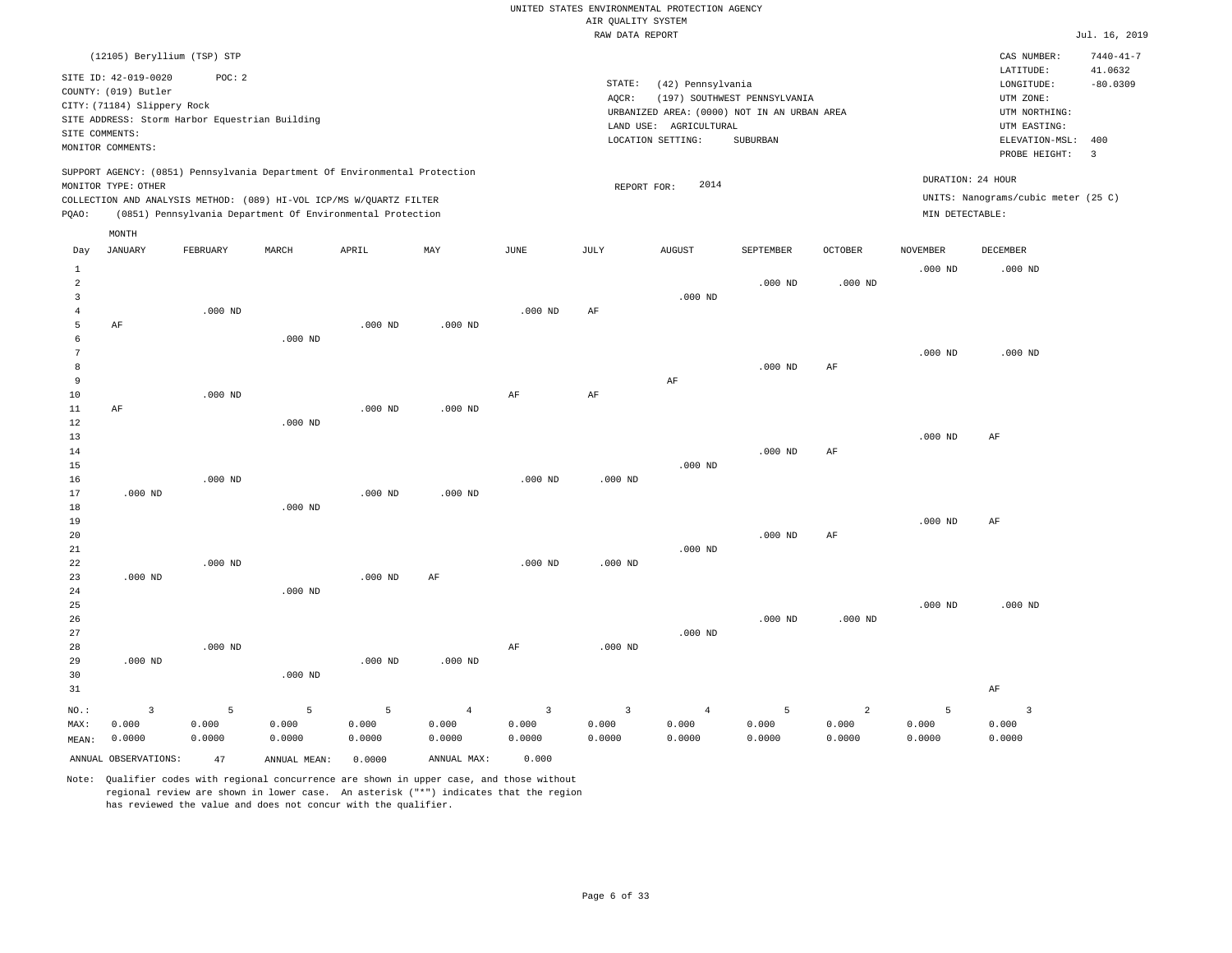|                     |                                                                                                  |                                                          |               |                                                                                                                                   |                |           | RAW DATA REPORT         |                                                                  |                                                                                         |                |                 |                                                                                             | Jul. 16, 2019                       |
|---------------------|--------------------------------------------------------------------------------------------------|----------------------------------------------------------|---------------|-----------------------------------------------------------------------------------------------------------------------------------|----------------|-----------|-------------------------|------------------------------------------------------------------|-----------------------------------------------------------------------------------------|----------------|-----------------|---------------------------------------------------------------------------------------------|-------------------------------------|
|                     | (12105) Beryllium (TSP) STP                                                                      |                                                          |               |                                                                                                                                   |                |           |                         |                                                                  |                                                                                         |                |                 | CAS NUMBER:<br>LATITUDE:                                                                    | $7440 - 41 - 7$<br>41.0632          |
| SITE COMMENTS:      | SITE ID: 42-019-0020<br>COUNTY: (019) Butler<br>CITY: (71184) Slippery Rock<br>MONITOR COMMENTS: | POC: 2<br>SITE ADDRESS: Storm Harbor Equestrian Building |               |                                                                                                                                   |                |           | STATE:<br>AQCR:         | (42) Pennsylvania<br>LAND USE: AGRICULTURAL<br>LOCATION SETTING: | (197) SOUTHWEST PENNSYLVANIA<br>URBANIZED AREA: (0000) NOT IN AN URBAN AREA<br>SUBURBAN |                |                 | LONGITUDE:<br>UTM ZONE:<br>UTM NORTHING:<br>UTM EASTING:<br>ELEVATION-MSL:<br>PROBE HEIGHT: | $-80.0309$<br>400<br>$\overline{3}$ |
|                     |                                                                                                  |                                                          |               | SUPPORT AGENCY: (0851) Pennsylvania Department Of Environmental Protection                                                        |                |           |                         |                                                                  |                                                                                         |                |                 | DURATION: 24 HOUR                                                                           |                                     |
|                     | MONITOR TYPE: OTHER                                                                              |                                                          |               |                                                                                                                                   |                |           | REPORT FOR:             | 2014                                                             |                                                                                         |                |                 |                                                                                             |                                     |
| PQAO:               |                                                                                                  |                                                          |               | COLLECTION AND ANALYSIS METHOD: (089) HI-VOL ICP/MS W/QUARTZ FILTER<br>(0851) Pennsylvania Department Of Environmental Protection |                |           |                         |                                                                  |                                                                                         |                | MIN DETECTABLE: | UNITS: Nanograms/cubic meter (25 C)                                                         |                                     |
|                     | MONTH                                                                                            |                                                          |               |                                                                                                                                   |                |           |                         |                                                                  |                                                                                         |                |                 |                                                                                             |                                     |
| Day                 | <b>JANUARY</b>                                                                                   | FEBRUARY                                                 | MARCH         | APRIL                                                                                                                             | MAY            | JUNE      | JULY                    | <b>AUGUST</b>                                                    | SEPTEMBER                                                                               | <b>OCTOBER</b> | <b>NOVEMBER</b> | DECEMBER                                                                                    |                                     |
| $\mathbf{1}$        |                                                                                                  |                                                          |               |                                                                                                                                   |                |           |                         |                                                                  |                                                                                         |                | $.000$ ND       | $.000$ ND                                                                                   |                                     |
| 2                   |                                                                                                  |                                                          |               |                                                                                                                                   |                |           |                         |                                                                  | $.000$ ND                                                                               | $.000$ ND      |                 |                                                                                             |                                     |
| 3                   |                                                                                                  |                                                          |               |                                                                                                                                   |                |           |                         | $.000$ ND                                                        |                                                                                         |                |                 |                                                                                             |                                     |
| $\overline{4}$<br>5 | AF                                                                                               | $.000$ ND                                                |               | $.000$ ND                                                                                                                         | $.000$ ND      | $.000$ ND | AF                      |                                                                  |                                                                                         |                |                 |                                                                                             |                                     |
| 6                   |                                                                                                  |                                                          | $.000$ ND     |                                                                                                                                   |                |           |                         |                                                                  |                                                                                         |                |                 |                                                                                             |                                     |
| 7                   |                                                                                                  |                                                          |               |                                                                                                                                   |                |           |                         |                                                                  |                                                                                         |                | $.000$ ND       | $.000$ ND                                                                                   |                                     |
| 8                   |                                                                                                  |                                                          |               |                                                                                                                                   |                |           |                         |                                                                  | $.000$ ND                                                                               | AF             |                 |                                                                                             |                                     |
| 9                   |                                                                                                  |                                                          |               |                                                                                                                                   |                |           |                         | AF                                                               |                                                                                         |                |                 |                                                                                             |                                     |
| 10                  |                                                                                                  | $.000$ ND                                                |               |                                                                                                                                   |                | $\rm{AF}$ | $\rm{AF}$               |                                                                  |                                                                                         |                |                 |                                                                                             |                                     |
| 11<br>12            | AF                                                                                               |                                                          | $.000$ ND     | $.000$ ND                                                                                                                         | $.000$ ND      |           |                         |                                                                  |                                                                                         |                |                 |                                                                                             |                                     |
| 13                  |                                                                                                  |                                                          |               |                                                                                                                                   |                |           |                         |                                                                  |                                                                                         |                | $.000$ ND       | AF                                                                                          |                                     |
| 14                  |                                                                                                  |                                                          |               |                                                                                                                                   |                |           |                         |                                                                  | $.000$ ND                                                                               | AF             |                 |                                                                                             |                                     |
| 15                  |                                                                                                  |                                                          |               |                                                                                                                                   |                |           |                         | $.000$ ND                                                        |                                                                                         |                |                 |                                                                                             |                                     |
| 16                  |                                                                                                  | $.000$ ND                                                |               |                                                                                                                                   |                | $.000$ ND | $.000$ ND               |                                                                  |                                                                                         |                |                 |                                                                                             |                                     |
| 17                  | $.000$ ND                                                                                        |                                                          |               | $.000$ ND                                                                                                                         | $.000$ ND      |           |                         |                                                                  |                                                                                         |                |                 |                                                                                             |                                     |
| 18                  |                                                                                                  |                                                          | $.000$ ND     |                                                                                                                                   |                |           |                         |                                                                  |                                                                                         |                |                 |                                                                                             |                                     |
| 19<br>20            |                                                                                                  |                                                          |               |                                                                                                                                   |                |           |                         |                                                                  | $.000$ ND                                                                               | $\rm{AF}$      | $.000$ ND       | AF                                                                                          |                                     |
| 21                  |                                                                                                  |                                                          |               |                                                                                                                                   |                |           |                         | $.000$ ND                                                        |                                                                                         |                |                 |                                                                                             |                                     |
| 22                  |                                                                                                  | $.000$ ND                                                |               |                                                                                                                                   |                | $.000$ ND | $.000$ ND               |                                                                  |                                                                                         |                |                 |                                                                                             |                                     |
| 23                  | $.000$ ND                                                                                        |                                                          |               | $.000$ ND                                                                                                                         | AF             |           |                         |                                                                  |                                                                                         |                |                 |                                                                                             |                                     |
| 24                  |                                                                                                  |                                                          | $.000$ ND     |                                                                                                                                   |                |           |                         |                                                                  |                                                                                         |                |                 |                                                                                             |                                     |
| 25<br>26            |                                                                                                  |                                                          |               |                                                                                                                                   |                |           |                         |                                                                  | $.000$ ND                                                                               | $.000$ ND      | $.000$ ND       | $.000$ ND                                                                                   |                                     |
| 27                  |                                                                                                  |                                                          |               |                                                                                                                                   |                |           |                         | $.000$ ND                                                        |                                                                                         |                |                 |                                                                                             |                                     |
| 28                  |                                                                                                  | $.000$ ND                                                |               |                                                                                                                                   |                | AF        | $.000$ ND               |                                                                  |                                                                                         |                |                 |                                                                                             |                                     |
| 29                  | $.000$ ND                                                                                        |                                                          |               | $.000$ ND                                                                                                                         | $.000$ ND      |           |                         |                                                                  |                                                                                         |                |                 |                                                                                             |                                     |
| 30                  |                                                                                                  |                                                          | $.000$ ND     |                                                                                                                                   |                |           |                         |                                                                  |                                                                                         |                |                 |                                                                                             |                                     |
| 31                  |                                                                                                  |                                                          |               |                                                                                                                                   |                |           |                         |                                                                  |                                                                                         |                |                 | AF                                                                                          |                                     |
| NO.:                | 3                                                                                                | 5                                                        | 5             | 5                                                                                                                                 | $\overline{4}$ | 3         | $\overline{\mathbf{3}}$ | $\overline{4}$                                                   | 5                                                                                       | 2              | 5               | $\overline{\mathbf{3}}$                                                                     |                                     |
| MAX:                | 0.000                                                                                            | 0.000                                                    | 0.000         | 0.000                                                                                                                             | 0.000          | 0.000     | 0.000                   | 0.000                                                            | 0.000                                                                                   | 0.000          | 0.000           | 0.000                                                                                       |                                     |
| MEAN:               | 0.0000                                                                                           | 0.0000                                                   | 0.0000        | 0.0000                                                                                                                            | 0.0000         | 0.0000    | 0.0000                  | 0.0000                                                           | 0.0000                                                                                  | 0.0000         | 0.0000          | 0.0000                                                                                      |                                     |
|                     | ANNUAL OBSERVATIONS:                                                                             | 47                                                       | ANNUAL, MEAN: | 0.0000                                                                                                                            | ANNUAL MAX:    | 0.000     |                         |                                                                  |                                                                                         |                |                 |                                                                                             |                                     |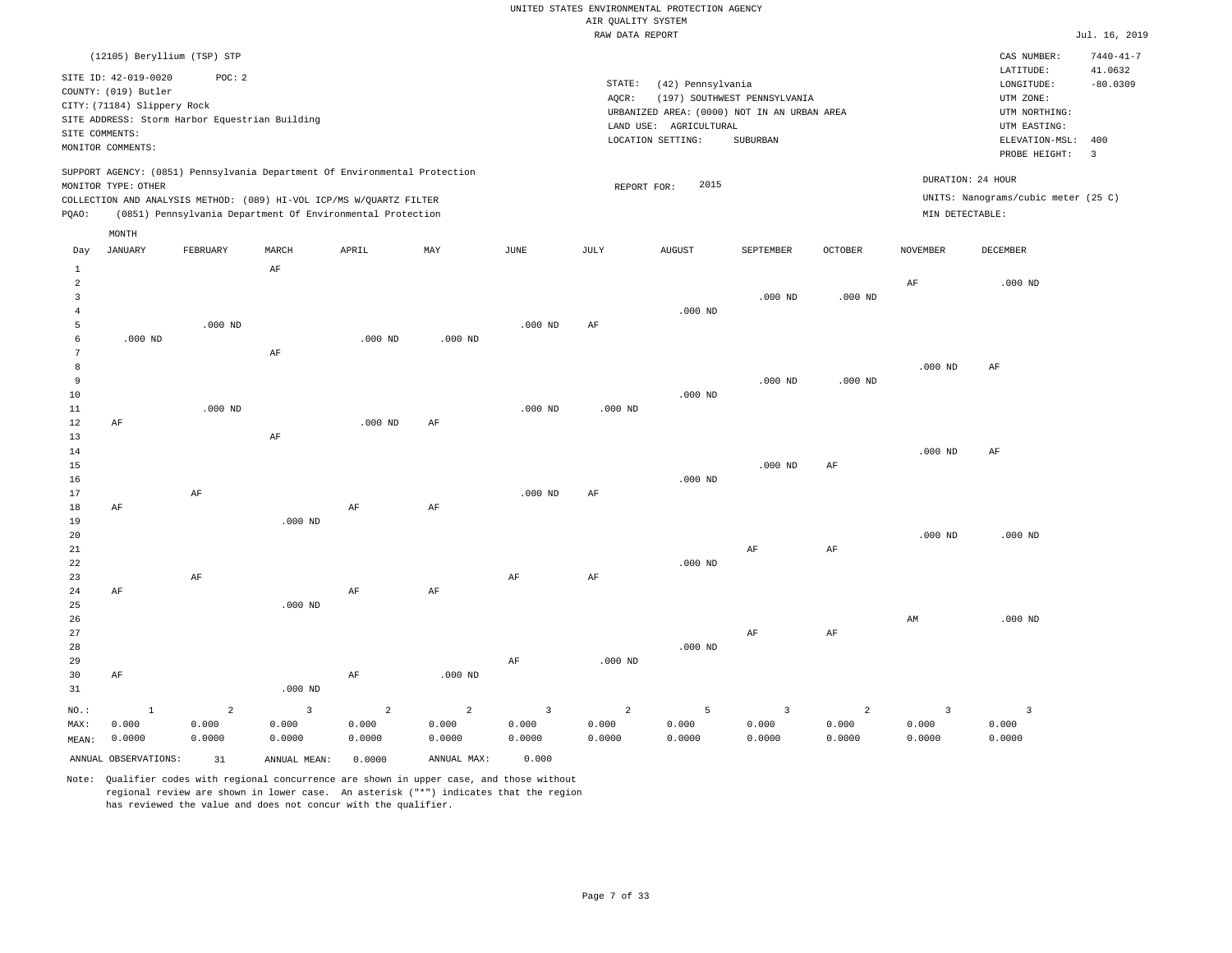|                     |                             |                                                                            |                    |                |                |                         | RAW DATA REPORT |                        |                                             |                |                 |                                     | Jul. 16, 2019   |
|---------------------|-----------------------------|----------------------------------------------------------------------------|--------------------|----------------|----------------|-------------------------|-----------------|------------------------|---------------------------------------------|----------------|-----------------|-------------------------------------|-----------------|
|                     |                             | (12105) Beryllium (TSP) STP                                                |                    |                |                |                         |                 |                        |                                             |                |                 | CAS NUMBER:                         | $7440 - 41 - 7$ |
|                     | SITE ID: 42-019-0020        | POC: 2                                                                     |                    |                |                |                         |                 |                        |                                             |                |                 | LATITUDE:                           | 41.0632         |
|                     | COUNTY: (019) Butler        |                                                                            |                    |                |                |                         | STATE:          | (42) Pennsylvania      |                                             |                |                 | LONGITUDE:                          | $-80.0309$      |
|                     | CITY: (71184) Slippery Rock |                                                                            |                    |                |                |                         | AQCR:           |                        | (197) SOUTHWEST PENNSYLVANIA                |                |                 | UTM ZONE:                           |                 |
|                     |                             | SITE ADDRESS: Storm Harbor Equestrian Building                             |                    |                |                |                         |                 |                        | URBANIZED AREA: (0000) NOT IN AN URBAN AREA |                |                 | UTM NORTHING:                       |                 |
|                     | SITE COMMENTS:              |                                                                            |                    |                |                |                         |                 | LAND USE: AGRICULTURAL |                                             |                |                 | UTM EASTING:                        |                 |
|                     | MONITOR COMMENTS:           |                                                                            |                    |                |                |                         |                 | LOCATION SETTING:      | SUBURBAN                                    |                |                 | ELEVATION-MSL:                      | 400             |
|                     |                             |                                                                            |                    |                |                |                         |                 |                        |                                             |                |                 | PROBE HEIGHT:                       | $\overline{3}$  |
|                     |                             | SUPPORT AGENCY: (0851) Pennsylvania Department Of Environmental Protection |                    |                |                |                         |                 |                        |                                             |                |                 | DURATION: 24 HOUR                   |                 |
|                     | MONITOR TYPE: OTHER         |                                                                            |                    |                |                |                         | REPORT FOR:     | 2015                   |                                             |                |                 | UNITS: Nanograms/cubic meter (25 C) |                 |
| PQAO:               |                             | COLLECTION AND ANALYSIS METHOD: (089) HI-VOL ICP/MS W/QUARTZ FILTER        |                    |                |                |                         |                 |                        |                                             |                | MIN DETECTABLE: |                                     |                 |
|                     |                             | (0851) Pennsylvania Department Of Environmental Protection                 |                    |                |                |                         |                 |                        |                                             |                |                 |                                     |                 |
|                     | MONTH<br><b>JANUARY</b>     | FEBRUARY                                                                   | MARCH              | APRIL          | MAY            | JUNE                    | JULY            | <b>AUGUST</b>          | SEPTEMBER                                   | <b>OCTOBER</b> | <b>NOVEMBER</b> | DECEMBER                            |                 |
| Day                 |                             |                                                                            |                    |                |                |                         |                 |                        |                                             |                |                 |                                     |                 |
| $\mathbf{1}$        |                             |                                                                            | AF                 |                |                |                         |                 |                        |                                             |                |                 |                                     |                 |
| $\overline{a}$<br>3 |                             |                                                                            |                    |                |                |                         |                 |                        | $.000$ ND                                   | $.000$ ND      | $\rm{AF}$       | $.000$ ND                           |                 |
| $\overline{4}$      |                             |                                                                            |                    |                |                |                         |                 | $.000$ ND              |                                             |                |                 |                                     |                 |
| 5                   |                             | $.000$ ND                                                                  |                    |                |                | $.000$ ND               | AF              |                        |                                             |                |                 |                                     |                 |
| 6                   | $.000$ ND                   |                                                                            |                    | $.000$ ND      | $.000$ ND      |                         |                 |                        |                                             |                |                 |                                     |                 |
| $\overline{7}$      |                             |                                                                            | $\rm AF$           |                |                |                         |                 |                        |                                             |                |                 |                                     |                 |
| 8                   |                             |                                                                            |                    |                |                |                         |                 |                        |                                             |                | $.000$ ND       | AF                                  |                 |
| 9                   |                             |                                                                            |                    |                |                |                         |                 |                        | $.000$ ND                                   | $.000$ ND      |                 |                                     |                 |
| 10                  |                             |                                                                            |                    |                |                |                         |                 | $.000$ ND              |                                             |                |                 |                                     |                 |
| 11                  |                             | $.000$ ND                                                                  |                    |                |                | $.000$ ND               | $.000$ ND       |                        |                                             |                |                 |                                     |                 |
| 12                  | AF                          |                                                                            |                    | $.000$ ND      | AF             |                         |                 |                        |                                             |                |                 |                                     |                 |
| 13                  |                             |                                                                            | $\rm AF$           |                |                |                         |                 |                        |                                             |                |                 |                                     |                 |
| 14                  |                             |                                                                            |                    |                |                |                         |                 |                        |                                             |                | $.000$ ND       | AF                                  |                 |
| 15                  |                             |                                                                            |                    |                |                |                         |                 |                        | $.000$ ND                                   | AF             |                 |                                     |                 |
| 16                  |                             |                                                                            |                    |                |                |                         |                 | $.000$ ND              |                                             |                |                 |                                     |                 |
| 17                  |                             | AF                                                                         |                    |                |                | $.000$ ND               | AF              |                        |                                             |                |                 |                                     |                 |
| 18                  | AF                          |                                                                            |                    | AF             | AF             |                         |                 |                        |                                             |                |                 |                                     |                 |
| 19                  |                             |                                                                            | $.000$ ND          |                |                |                         |                 |                        |                                             |                |                 |                                     |                 |
| 20                  |                             |                                                                            |                    |                |                |                         |                 |                        |                                             |                | $.000$ ND       | $.000$ ND                           |                 |
| 21<br>22            |                             |                                                                            |                    |                |                |                         |                 | $.000$ ND              | AF                                          | AF             |                 |                                     |                 |
| 23                  |                             | AF                                                                         |                    |                |                | AF                      | AF              |                        |                                             |                |                 |                                     |                 |
| 24                  | AF                          |                                                                            |                    | AF             | AF             |                         |                 |                        |                                             |                |                 |                                     |                 |
| 25                  |                             |                                                                            | .000 <sub>ND</sub> |                |                |                         |                 |                        |                                             |                |                 |                                     |                 |
| 26                  |                             |                                                                            |                    |                |                |                         |                 |                        |                                             |                | AM              | $.000$ ND                           |                 |
| 27                  |                             |                                                                            |                    |                |                |                         |                 |                        | $\rm AF$                                    | AF             |                 |                                     |                 |
| 28                  |                             |                                                                            |                    |                |                |                         |                 | $.000$ ND              |                                             |                |                 |                                     |                 |
| 29                  |                             |                                                                            |                    |                |                | AF                      | $.000$ ND       |                        |                                             |                |                 |                                     |                 |
| 30                  | AF                          |                                                                            |                    | $\rm AF$       | $.000$ ND      |                         |                 |                        |                                             |                |                 |                                     |                 |
| 31                  |                             |                                                                            | $.000$ ND          |                |                |                         |                 |                        |                                             |                |                 |                                     |                 |
| NO.:                | <sup>1</sup>                | $\overline{a}$                                                             | $\overline{3}$     | $\overline{a}$ | $\overline{a}$ | $\overline{\mathbf{3}}$ | $\overline{a}$  | 5                      | 3                                           | $\overline{a}$ | $\overline{3}$  | $\overline{3}$                      |                 |
| MAX:                | 0.000                       | 0.000                                                                      | 0.000              | 0.000          | 0.000          | 0.000                   | 0.000           | 0.000                  | 0.000                                       | 0.000          | 0.000           | 0.000                               |                 |
| MEAN:               | 0.0000                      | 0.0000                                                                     | 0.0000             | 0.0000         | 0.0000         | 0.0000                  | 0.0000          | 0.0000                 | 0.0000                                      | 0.0000         | 0.0000          | 0.0000                              |                 |

Note: Qualifier codes with regional concurrence are shown in upper case, and those without regional review are shown in lower case. An asterisk ("\*") indicates that the region has reviewed the value and does not concur with the qualifier.

ANNUAL OBSERVATIONS: 31 ANNUAL MEAN: 0.0000 ANNUAL MAX: 0.000

MEAN: 0.0000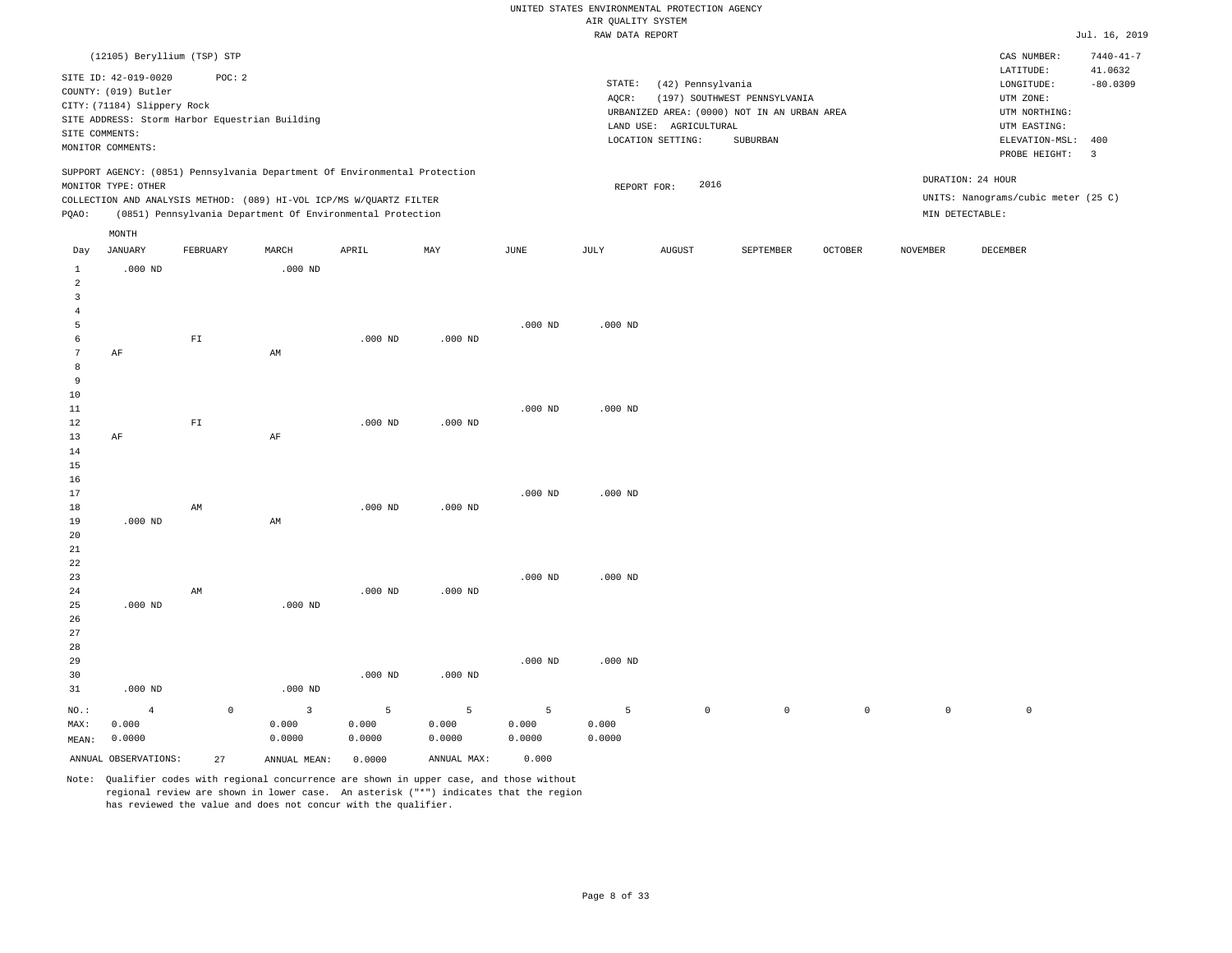|                 |                             |             |                                                                            |           |             |           | RAW DATA REPORT |                        |                                             |                    |                     |                                     | Jul. 16, 2019           |
|-----------------|-----------------------------|-------------|----------------------------------------------------------------------------|-----------|-------------|-----------|-----------------|------------------------|---------------------------------------------|--------------------|---------------------|-------------------------------------|-------------------------|
|                 | (12105) Beryllium (TSP) STP |             |                                                                            |           |             |           |                 |                        |                                             |                    |                     | CAS NUMBER:                         | $7440 - 41 - 7$         |
|                 |                             |             |                                                                            |           |             |           |                 |                        |                                             |                    |                     | LATITUDE:                           | 41.0632                 |
|                 | SITE ID: 42-019-0020        | POC: 2      |                                                                            |           |             |           | STATE:          | (42) Pennsylvania      |                                             |                    |                     | LONGITUDE:                          | $-80.0309$              |
|                 | COUNTY: (019) Butler        |             |                                                                            |           |             |           | AQCR:           |                        | (197) SOUTHWEST PENNSYLVANIA                |                    |                     | UTM ZONE:                           |                         |
|                 | CITY: (71184) Slippery Rock |             |                                                                            |           |             |           |                 |                        | URBANIZED AREA: (0000) NOT IN AN URBAN AREA |                    |                     | UTM NORTHING:                       |                         |
|                 |                             |             | SITE ADDRESS: Storm Harbor Equestrian Building                             |           |             |           |                 | LAND USE: AGRICULTURAL |                                             |                    |                     | UTM EASTING:                        |                         |
| SITE COMMENTS:  |                             |             |                                                                            |           |             |           |                 | LOCATION SETTING:      | SUBURBAN                                    |                    |                     | ELEVATION-MSL:                      | 400                     |
|                 | MONITOR COMMENTS:           |             |                                                                            |           |             |           |                 |                        |                                             |                    |                     | PROBE HEIGHT:                       | $\overline{\mathbf{3}}$ |
|                 |                             |             | SUPPORT AGENCY: (0851) Pennsylvania Department Of Environmental Protection |           |             |           |                 |                        |                                             |                    |                     | DURATION: 24 HOUR                   |                         |
|                 | MONITOR TYPE: OTHER         |             |                                                                            |           |             |           | REPORT FOR:     | 2016                   |                                             |                    |                     |                                     |                         |
|                 |                             |             | COLLECTION AND ANALYSIS METHOD: (089) HI-VOL ICP/MS W/QUARTZ FILTER        |           |             |           |                 |                        |                                             |                    |                     | UNITS: Nanograms/cubic meter (25 C) |                         |
| PQAO:           |                             |             | (0851) Pennsylvania Department Of Environmental Protection                 |           |             |           |                 |                        |                                             |                    |                     | MIN DETECTABLE:                     |                         |
|                 | MONTH                       |             |                                                                            |           |             |           |                 |                        |                                             |                    |                     |                                     |                         |
| Day             | JANUARY                     | FEBRUARY    | MARCH                                                                      | APRIL     | MAY         | JUNE      | JULY            | AUGUST                 | SEPTEMBER                                   | $\mathtt{OCTOBER}$ | NOVEMBER            | DECEMBER                            |                         |
| $\mathbf{1}$    | $.000$ ND                   |             | $.000$ ND                                                                  |           |             |           |                 |                        |                                             |                    |                     |                                     |                         |
| $\overline{a}$  |                             |             |                                                                            |           |             |           |                 |                        |                                             |                    |                     |                                     |                         |
| $\overline{3}$  |                             |             |                                                                            |           |             |           |                 |                        |                                             |                    |                     |                                     |                         |
| $\overline{4}$  |                             |             |                                                                            |           |             |           |                 |                        |                                             |                    |                     |                                     |                         |
| 5               |                             |             |                                                                            |           |             | $.000$ ND | $.000$ ND       |                        |                                             |                    |                     |                                     |                         |
| 6               |                             | ${\rm FT}$  |                                                                            | $.000$ ND | $.000$ ND   |           |                 |                        |                                             |                    |                     |                                     |                         |
| $7\phantom{.0}$ | AF                          |             | AM                                                                         |           |             |           |                 |                        |                                             |                    |                     |                                     |                         |
| 8               |                             |             |                                                                            |           |             |           |                 |                        |                                             |                    |                     |                                     |                         |
| 9               |                             |             |                                                                            |           |             |           |                 |                        |                                             |                    |                     |                                     |                         |
| 10              |                             |             |                                                                            |           |             |           |                 |                        |                                             |                    |                     |                                     |                         |
| 11              |                             |             |                                                                            |           |             | $.000$ ND | $.000$ ND       |                        |                                             |                    |                     |                                     |                         |
| 12              |                             | ${\rm FT}$  |                                                                            | $.000$ ND | $.000$ ND   |           |                 |                        |                                             |                    |                     |                                     |                         |
| 13              | AF                          |             | $\rm AF$                                                                   |           |             |           |                 |                        |                                             |                    |                     |                                     |                         |
| 14              |                             |             |                                                                            |           |             |           |                 |                        |                                             |                    |                     |                                     |                         |
| 15              |                             |             |                                                                            |           |             |           |                 |                        |                                             |                    |                     |                                     |                         |
| 16              |                             |             |                                                                            |           |             |           |                 |                        |                                             |                    |                     |                                     |                         |
| 17              |                             |             |                                                                            |           |             | $.000$ ND | $.000$ ND       |                        |                                             |                    |                     |                                     |                         |
| 18              | $.000$ ND                   | AM          |                                                                            | $.000$ ND | $.000$ ND   |           |                 |                        |                                             |                    |                     |                                     |                         |
| 19              |                             |             | AM                                                                         |           |             |           |                 |                        |                                             |                    |                     |                                     |                         |
| 20<br>21        |                             |             |                                                                            |           |             |           |                 |                        |                                             |                    |                     |                                     |                         |
| 22              |                             |             |                                                                            |           |             |           |                 |                        |                                             |                    |                     |                                     |                         |
| 23              |                             |             |                                                                            |           |             | $.000$ ND | $.000$ ND       |                        |                                             |                    |                     |                                     |                         |
| 24              |                             | AM          |                                                                            | $.000$ ND | $.000$ ND   |           |                 |                        |                                             |                    |                     |                                     |                         |
| 25              | $.000$ ND                   |             | $.000$ ND                                                                  |           |             |           |                 |                        |                                             |                    |                     |                                     |                         |
| 26              |                             |             |                                                                            |           |             |           |                 |                        |                                             |                    |                     |                                     |                         |
| 27              |                             |             |                                                                            |           |             |           |                 |                        |                                             |                    |                     |                                     |                         |
| 28              |                             |             |                                                                            |           |             |           |                 |                        |                                             |                    |                     |                                     |                         |
| 29              |                             |             |                                                                            |           |             | $.000$ ND | $.000$ ND       |                        |                                             |                    |                     |                                     |                         |
| 30              |                             |             |                                                                            | $.000$ ND | $.000$ ND   |           |                 |                        |                                             |                    |                     |                                     |                         |
| 31              | $.000$ ND                   |             | $.000$ ND                                                                  |           |             |           |                 |                        |                                             |                    |                     |                                     |                         |
|                 |                             |             |                                                                            |           |             |           |                 |                        |                                             |                    |                     |                                     |                         |
| NO.:            | $\overline{4}$              | $\mathbb O$ | $\overline{3}$                                                             | 5         | 5           | 5         | 5               | $\circ$                | $\mathsf 0$                                 | $\mathsf{O}$       | $\mathsf{O}\xspace$ | $\mathbb O$                         |                         |
| MAX:            | 0.000                       |             | 0.000                                                                      | 0.000     | 0.000       | 0.000     | 0.000           |                        |                                             |                    |                     |                                     |                         |
| MEAN:           | 0.0000                      |             | 0.0000                                                                     | 0.0000    | 0.0000      | 0.0000    | 0.0000          |                        |                                             |                    |                     |                                     |                         |
|                 | ANNUAL OBSERVATIONS:        | 27          | ANNUAL MEAN:                                                               | 0.0000    | ANNUAL MAX: | 0.000     |                 |                        |                                             |                    |                     |                                     |                         |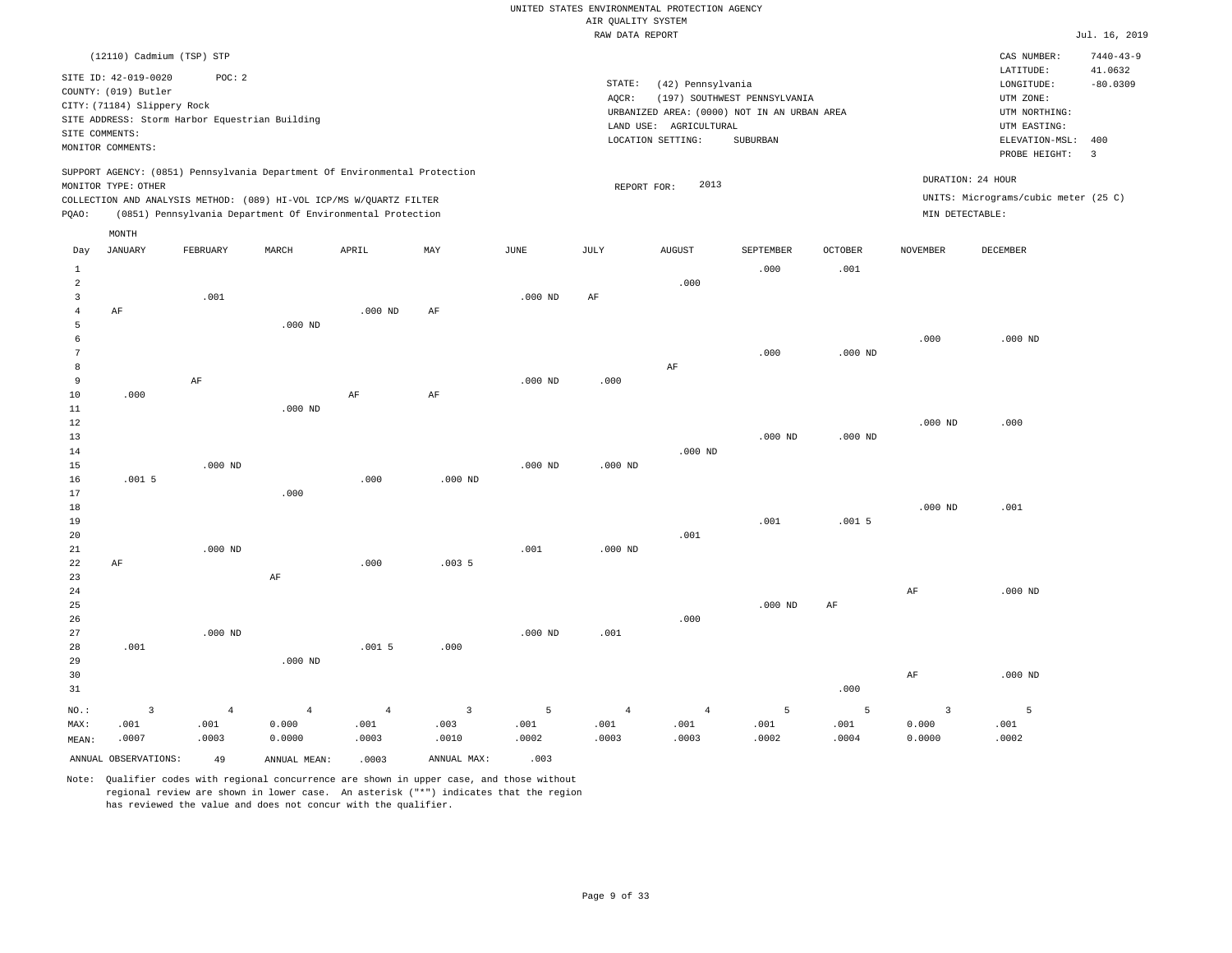|                |                             |                                                                            |                |                |                |           | RAW DATA REPORT |                        |                                             |                |                    |                                      | Jul. 16, 2019   |
|----------------|-----------------------------|----------------------------------------------------------------------------|----------------|----------------|----------------|-----------|-----------------|------------------------|---------------------------------------------|----------------|--------------------|--------------------------------------|-----------------|
|                | (12110) Cadmium (TSP) STP   |                                                                            |                |                |                |           |                 |                        |                                             |                |                    | CAS NUMBER:                          | $7440 - 43 - 9$ |
|                | SITE ID: 42-019-0020        | POC: 2                                                                     |                |                |                |           |                 |                        |                                             |                |                    | LATITUDE:                            | 41.0632         |
|                | COUNTY: (019) Butler        |                                                                            |                |                |                |           | STATE:          | (42) Pennsylvania      |                                             |                |                    | LONGITUDE:                           | $-80.0309$      |
|                | CITY: (71184) Slippery Rock |                                                                            |                |                |                |           | AQCR:           |                        | (197) SOUTHWEST PENNSYLVANIA                |                |                    | UTM ZONE:                            |                 |
|                |                             | SITE ADDRESS: Storm Harbor Equestrian Building                             |                |                |                |           |                 |                        | URBANIZED AREA: (0000) NOT IN AN URBAN AREA |                |                    | UTM NORTHING:                        |                 |
|                | SITE COMMENTS:              |                                                                            |                |                |                |           |                 | LAND USE: AGRICULTURAL |                                             |                |                    | UTM EASTING:                         |                 |
|                | MONITOR COMMENTS:           |                                                                            |                |                |                |           |                 | LOCATION SETTING:      | <b>SUBURBAN</b>                             |                |                    | ELEVATION-MSL:                       | 400             |
|                |                             |                                                                            |                |                |                |           |                 |                        |                                             |                |                    | PROBE HEIGHT:                        | $\overline{3}$  |
|                |                             | SUPPORT AGENCY: (0851) Pennsylvania Department Of Environmental Protection |                |                |                |           |                 |                        |                                             |                |                    | DURATION: 24 HOUR                    |                 |
|                | MONITOR TYPE: OTHER         | COLLECTION AND ANALYSIS METHOD: (089) HI-VOL ICP/MS W/QUARTZ FILTER        |                |                |                |           | REPORT FOR:     | 2013                   |                                             |                |                    | UNITS: Micrograms/cubic meter (25 C) |                 |
| PQAO:          |                             | (0851) Pennsylvania Department Of Environmental Protection                 |                |                |                |           |                 |                        |                                             |                |                    | MIN DETECTABLE:                      |                 |
|                |                             |                                                                            |                |                |                |           |                 |                        |                                             |                |                    |                                      |                 |
| Day            | MONTH<br><b>JANUARY</b>     | FEBRUARY                                                                   | MARCH          | APRIL          | MAY            | JUNE      | JULY            | <b>AUGUST</b>          | SEPTEMBER                                   | <b>OCTOBER</b> | <b>NOVEMBER</b>    | DECEMBER                             |                 |
| $\mathbf{1}$   |                             |                                                                            |                |                |                |           |                 |                        | .000                                        | .001           |                    |                                      |                 |
| $\overline{a}$ |                             |                                                                            |                |                |                |           |                 | .000                   |                                             |                |                    |                                      |                 |
| 3              |                             | .001                                                                       |                |                |                | $.000$ ND | AF              |                        |                                             |                |                    |                                      |                 |
| $\overline{4}$ | AF                          |                                                                            |                | $.000$ ND      | AF             |           |                 |                        |                                             |                |                    |                                      |                 |
| 5              |                             |                                                                            | $.000$ ND      |                |                |           |                 |                        |                                             |                |                    |                                      |                 |
| 6              |                             |                                                                            |                |                |                |           |                 |                        |                                             |                | .000               | $.000$ ND                            |                 |
| $\overline{7}$ |                             |                                                                            |                |                |                |           |                 |                        | .000                                        | $.000$ ND      |                    |                                      |                 |
| 8              |                             |                                                                            |                |                |                |           |                 | AF                     |                                             |                |                    |                                      |                 |
| 9              |                             | $\rm AF$                                                                   |                |                |                | $.000$ ND | .000            |                        |                                             |                |                    |                                      |                 |
| 10             | .000                        |                                                                            |                | AF             | AF             |           |                 |                        |                                             |                |                    |                                      |                 |
| 11<br>12       |                             |                                                                            | $.000$ ND      |                |                |           |                 |                        |                                             |                | .000 <sub>ND</sub> | .000                                 |                 |
| 13             |                             |                                                                            |                |                |                |           |                 |                        | $.000$ ND                                   | $.000$ ND      |                    |                                      |                 |
| 14             |                             |                                                                            |                |                |                |           |                 | $.000$ ND              |                                             |                |                    |                                      |                 |
| 15             |                             | $.000$ ND                                                                  |                |                |                | $.000$ ND | $.000$ ND       |                        |                                             |                |                    |                                      |                 |
| 16             | .0015                       |                                                                            |                | .000           | $.000$ ND      |           |                 |                        |                                             |                |                    |                                      |                 |
| 17             |                             |                                                                            | .000           |                |                |           |                 |                        |                                             |                |                    |                                      |                 |
| 18             |                             |                                                                            |                |                |                |           |                 |                        |                                             |                | $.000$ ND          | .001                                 |                 |
| 19             |                             |                                                                            |                |                |                |           |                 |                        | .001                                        | .0015          |                    |                                      |                 |
| 20             |                             |                                                                            |                |                |                |           |                 | .001                   |                                             |                |                    |                                      |                 |
| 21             |                             | $.000$ ND                                                                  |                |                |                | .001      | $.000$ ND       |                        |                                             |                |                    |                                      |                 |
| 22             | AF                          |                                                                            |                | .000           | .0035          |           |                 |                        |                                             |                |                    |                                      |                 |
| 23             |                             |                                                                            | $\rm AF$       |                |                |           |                 |                        |                                             |                |                    |                                      |                 |
| 24<br>25       |                             |                                                                            |                |                |                |           |                 |                        | $.000$ ND                                   |                | AF                 | $.000$ ND                            |                 |
| 26             |                             |                                                                            |                |                |                |           |                 | .000                   |                                             | AF             |                    |                                      |                 |
| 27             |                             | $.000$ ND                                                                  |                |                |                | $.000$ ND | .001            |                        |                                             |                |                    |                                      |                 |
| 28             | .001                        |                                                                            |                | .0015          | .000           |           |                 |                        |                                             |                |                    |                                      |                 |
| 29             |                             |                                                                            | $.000$ ND      |                |                |           |                 |                        |                                             |                |                    |                                      |                 |
| 30             |                             |                                                                            |                |                |                |           |                 |                        |                                             |                | $\rm{AF}$          | $.000$ ND                            |                 |
| 31             |                             |                                                                            |                |                |                |           |                 |                        |                                             | .000           |                    |                                      |                 |
| NO.:           | $\overline{\mathbf{3}}$     | $\overline{4}$                                                             | $\overline{4}$ | $\overline{4}$ | $\overline{3}$ | 5         | $\overline{4}$  | 4                      | 5                                           | 5              | $\overline{3}$     | $\overline{5}$                       |                 |

ANNUAL OBSERVATIONS:  $\begin{array}{ccc} 49 & \text{ANNUAL MEAN:} & .0003 & \text{ANNUAL MAX:} & .003 \end{array}$ 

 0.000 0.0000

MAX: MEAN:

 .001 .0007  .001 .0003

Note: Qualifier codes with regional concurrence are shown in upper case, and those without regional review are shown in lower case. An asterisk ("\*") indicates that the region has reviewed the value and does not concur with the qualifier.

 .001 .0003  .003 .0010  .001 .0002  .001 .0003

 .001 .0003  .001 .0002  .001 .0004  0.000 0.0000  .001 .0002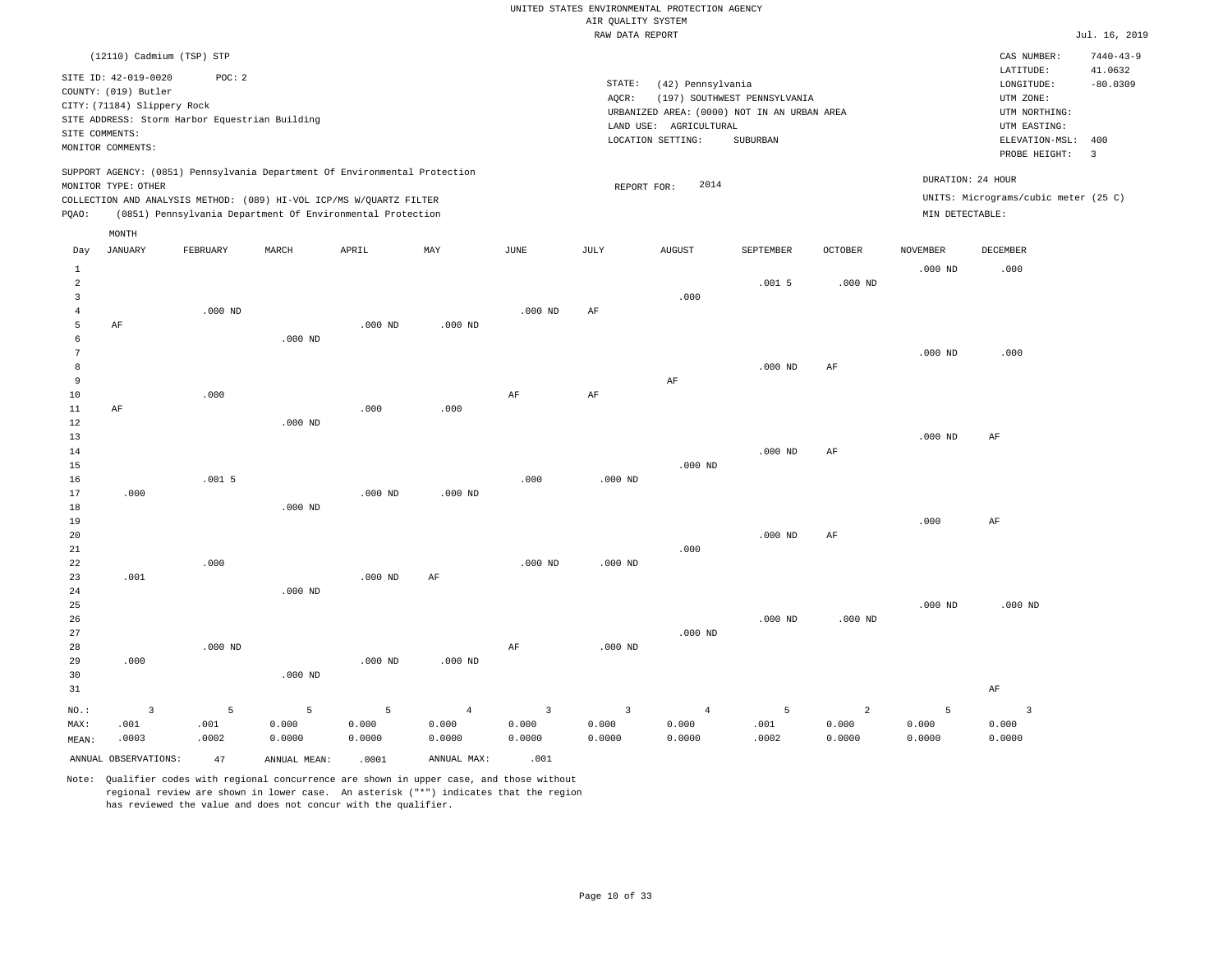|                                |                             |                                                                            |           |           |                |                | RAW DATA REPORT |                        |                                             |                |                 |                                      | Jul. 16, 2019   |
|--------------------------------|-----------------------------|----------------------------------------------------------------------------|-----------|-----------|----------------|----------------|-----------------|------------------------|---------------------------------------------|----------------|-----------------|--------------------------------------|-----------------|
|                                | (12110) Cadmium (TSP) STP   |                                                                            |           |           |                |                |                 |                        |                                             |                |                 | CAS NUMBER:                          | $7440 - 43 - 9$ |
|                                |                             |                                                                            |           |           |                |                |                 |                        |                                             |                |                 | LATITUDE:                            | 41.0632         |
|                                | SITE ID: 42-019-0020        | POC: 2                                                                     |           |           |                |                | STATE:          | (42) Pennsylvania      |                                             |                |                 | LONGITUDE:                           | $-80.0309$      |
|                                | COUNTY: (019) Butler        |                                                                            |           |           |                |                | AQCR:           |                        | (197) SOUTHWEST PENNSYLVANIA                |                |                 | UTM ZONE:                            |                 |
|                                | CITY: (71184) Slippery Rock |                                                                            |           |           |                |                |                 |                        | URBANIZED AREA: (0000) NOT IN AN URBAN AREA |                |                 | UTM NORTHING:                        |                 |
|                                |                             | SITE ADDRESS: Storm Harbor Equestrian Building                             |           |           |                |                |                 | LAND USE: AGRICULTURAL |                                             |                |                 | UTM EASTING:                         |                 |
|                                | SITE COMMENTS:              |                                                                            |           |           |                |                |                 | LOCATION SETTING:      | SUBURBAN                                    |                |                 | ELEVATION-MSL:                       | 400             |
|                                | MONITOR COMMENTS:           |                                                                            |           |           |                |                |                 |                        |                                             |                |                 | PROBE HEIGHT:                        | $\overline{3}$  |
|                                |                             | SUPPORT AGENCY: (0851) Pennsylvania Department Of Environmental Protection |           |           |                |                |                 |                        |                                             |                |                 |                                      |                 |
|                                | MONITOR TYPE: OTHER         |                                                                            |           |           |                |                | REPORT FOR:     | 2014                   |                                             |                |                 | DURATION: 24 HOUR                    |                 |
|                                |                             | COLLECTION AND ANALYSIS METHOD: (089) HI-VOL ICP/MS W/QUARTZ FILTER        |           |           |                |                |                 |                        |                                             |                |                 | UNITS: Micrograms/cubic meter (25 C) |                 |
| PQAO:                          |                             | (0851) Pennsylvania Department Of Environmental Protection                 |           |           |                |                |                 |                        |                                             |                | MIN DETECTABLE: |                                      |                 |
|                                | MONTH                       |                                                                            |           |           |                |                |                 |                        |                                             |                |                 |                                      |                 |
| Day                            | <b>JANUARY</b>              | FEBRUARY                                                                   | MARCH     | APRIL     | MAY            | JUNE           | JULY            | <b>AUGUST</b>          | <b>SEPTEMBER</b>                            | <b>OCTOBER</b> | <b>NOVEMBER</b> | <b>DECEMBER</b>                      |                 |
|                                |                             |                                                                            |           |           |                |                |                 |                        |                                             |                |                 |                                      |                 |
| $\mathbf{1}$<br>$\overline{2}$ |                             |                                                                            |           |           |                |                |                 |                        | .0015                                       | $.000$ ND      | $.000$ ND       | .000                                 |                 |
|                                |                             |                                                                            |           |           |                |                |                 |                        |                                             |                |                 |                                      |                 |
| $\overline{3}$                 |                             |                                                                            |           |           |                |                |                 | .000                   |                                             |                |                 |                                      |                 |
| $\overline{4}$<br>5            | AF                          | $.000$ ND                                                                  |           | $.000$ ND | $.000$ ND      | $.000$ ND      | AF              |                        |                                             |                |                 |                                      |                 |
| 6                              |                             |                                                                            | $.000$ ND |           |                |                |                 |                        |                                             |                |                 |                                      |                 |
| 7                              |                             |                                                                            |           |           |                |                |                 |                        |                                             |                | $.000$ ND       | .000                                 |                 |
| 8                              |                             |                                                                            |           |           |                |                |                 |                        | $.000$ ND                                   | AF             |                 |                                      |                 |
| 9                              |                             |                                                                            |           |           |                |                |                 | AF                     |                                             |                |                 |                                      |                 |
| 10                             |                             | .000                                                                       |           |           |                | AF             | AF              |                        |                                             |                |                 |                                      |                 |
| $11\,$                         | AF                          |                                                                            |           | .000      | .000           |                |                 |                        |                                             |                |                 |                                      |                 |
| 12                             |                             |                                                                            | $.000$ ND |           |                |                |                 |                        |                                             |                |                 |                                      |                 |
| 13                             |                             |                                                                            |           |           |                |                |                 |                        |                                             |                | $.000$ ND       | AF                                   |                 |
| 14                             |                             |                                                                            |           |           |                |                |                 |                        | $.000$ ND                                   | $\rm AF$       |                 |                                      |                 |
| 15                             |                             |                                                                            |           |           |                |                |                 | $.000$ ND              |                                             |                |                 |                                      |                 |
| 16                             |                             | .0015                                                                      |           |           |                | .000           | $.000$ ND       |                        |                                             |                |                 |                                      |                 |
| 17                             | .000                        |                                                                            |           | $.000$ ND | $.000$ ND      |                |                 |                        |                                             |                |                 |                                      |                 |
| 18                             |                             |                                                                            | $.000$ ND |           |                |                |                 |                        |                                             |                |                 |                                      |                 |
| 19                             |                             |                                                                            |           |           |                |                |                 |                        |                                             |                | .000            | AF                                   |                 |
| 20                             |                             |                                                                            |           |           |                |                |                 |                        | $.000$ ND                                   | AF             |                 |                                      |                 |
| 21                             |                             |                                                                            |           |           |                |                |                 | .000                   |                                             |                |                 |                                      |                 |
| 22                             |                             | .000                                                                       |           |           |                | $.000$ ND      | $.000$ ND       |                        |                                             |                |                 |                                      |                 |
| 23                             | .001                        |                                                                            |           | $.000$ ND | AF             |                |                 |                        |                                             |                |                 |                                      |                 |
| 24                             |                             |                                                                            | $.000$ ND |           |                |                |                 |                        |                                             |                |                 |                                      |                 |
| 25                             |                             |                                                                            |           |           |                |                |                 |                        |                                             |                | $.000$ ND       | $.000$ ND                            |                 |
| 26                             |                             |                                                                            |           |           |                |                |                 |                        | $.000$ ND                                   | $.000$ ND      |                 |                                      |                 |
| 27                             |                             |                                                                            |           |           |                |                |                 | $.000$ ND              |                                             |                |                 |                                      |                 |
| 28                             |                             | $.000$ ND                                                                  |           |           |                | AF             | $.000$ ND       |                        |                                             |                |                 |                                      |                 |
| 29                             | .000                        |                                                                            |           | $.000$ ND | $.000$ ND      |                |                 |                        |                                             |                |                 |                                      |                 |
| 30                             |                             |                                                                            | $.000$ ND |           |                |                |                 |                        |                                             |                |                 |                                      |                 |
| 31                             |                             |                                                                            |           |           |                |                |                 |                        |                                             |                |                 | AF                                   |                 |
| NO.:                           | $\overline{3}$              | 5                                                                          | 5         | 5         | $\overline{4}$ | $\overline{3}$ | 3               | $\overline{4}$         | 5                                           | 2              | 5               | $\overline{3}$                       |                 |
| MAX:                           | .001                        | .001                                                                       | 0.000     | 0.000     | 0.000          | 0.000          | 0.000           | 0.000                  | .001                                        | 0.000          | 0.000           | 0.000                                |                 |
| MEAN:                          | .0003                       | .0002                                                                      | 0.0000    | 0.0000    | 0.0000         | 0.0000         | 0.0000          | 0.0000                 | .0002                                       | 0.0000         | 0.0000          | 0.0000                               |                 |

Note: Qualifier codes with regional concurrence are shown in upper case, and those without regional review are shown in lower case. An asterisk ("\*") indicates that the region has reviewed the value and does not concur with the qualifier.

ANNUAL OBSERVATIONS: 47 ANNUAL MEAN: .0001 ANNUAL MAX: .001

MEAN: .0003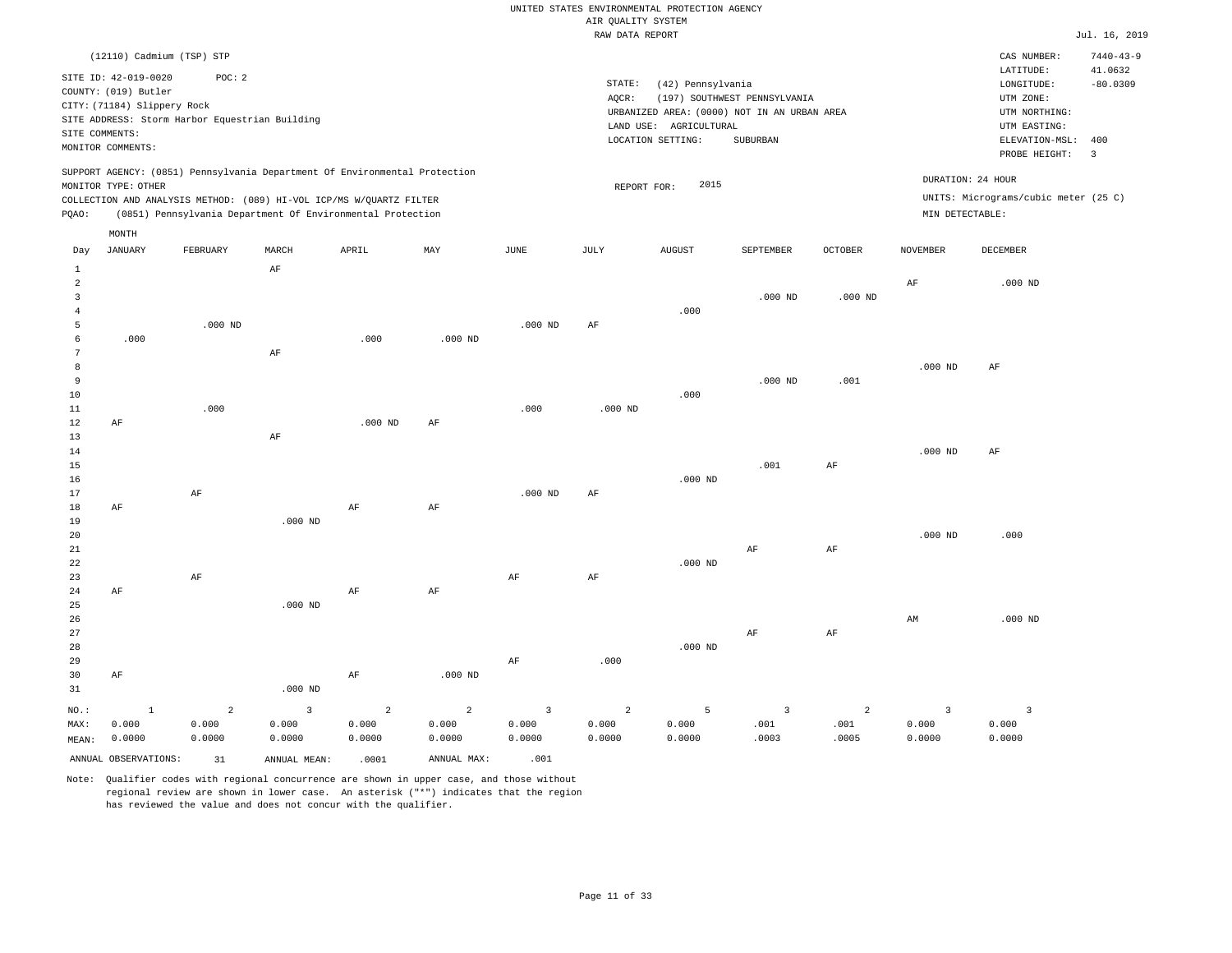|       |                             |                                                |          |                                                                            |           |           | RAW DATA REPORT |                        |                                             |                |                 |                                      | Jul. 16, 2019            |
|-------|-----------------------------|------------------------------------------------|----------|----------------------------------------------------------------------------|-----------|-----------|-----------------|------------------------|---------------------------------------------|----------------|-----------------|--------------------------------------|--------------------------|
|       | (12110) Cadmium (TSP) STP   |                                                |          |                                                                            |           |           |                 |                        |                                             |                |                 | CAS NUMBER:                          | $7440 - 43 - 9$          |
|       | SITE ID: 42-019-0020        | POC:2                                          |          |                                                                            |           |           |                 |                        |                                             |                |                 | LATITUDE:                            | 41.0632                  |
|       | COUNTY: (019) Butler        |                                                |          |                                                                            |           |           | STATE:          | (42) Pennsylvania      |                                             |                |                 | LONGITUDE:                           | $-80.0309$               |
|       | CITY: (71184) Slippery Rock |                                                |          |                                                                            |           |           | AOCR:           |                        | (197) SOUTHWEST PENNSYLVANIA                |                |                 | UTM ZONE:                            |                          |
|       |                             | SITE ADDRESS: Storm Harbor Equestrian Building |          |                                                                            |           |           |                 |                        | URBANIZED AREA: (0000) NOT IN AN URBAN AREA |                |                 | UTM NORTHING:                        |                          |
|       | SITE COMMENTS:              |                                                |          |                                                                            |           |           |                 | LAND USE: AGRICULTURAL |                                             |                |                 | UTM EASTING:                         |                          |
|       | MONITOR COMMENTS:           |                                                |          |                                                                            |           |           |                 | LOCATION SETTING:      | <b>SUBURBAN</b>                             |                |                 | ELEVATION-MSL:                       | 400                      |
|       |                             |                                                |          |                                                                            |           |           |                 |                        |                                             |                |                 | PROBE HEIGHT:                        | $\overline{\phantom{a}}$ |
|       |                             |                                                |          | SUPPORT AGENCY: (0851) Pennsylvania Department Of Environmental Protection |           |           |                 | 2015                   |                                             |                |                 | DURATION: 24 HOUR                    |                          |
|       | MONITOR TYPE: OTHER         |                                                |          |                                                                            |           |           | REPORT FOR:     |                        |                                             |                |                 | UNITS: Micrograms/cubic meter (25 C) |                          |
|       |                             |                                                |          | COLLECTION AND ANALYSIS METHOD: (089) HI-VOL ICP/MS W/OUARTZ FILTER        |           |           |                 |                        |                                             |                |                 |                                      |                          |
| POAO: |                             |                                                |          | (0851) Pennsylvania Department Of Environmental Protection                 |           |           |                 |                        |                                             |                | MIN DETECTABLE: |                                      |                          |
|       | MONTH                       |                                                |          |                                                                            |           |           |                 |                        |                                             |                |                 |                                      |                          |
| Day   | <b>JANUARY</b>              | FEBRUARY                                       | MARCH    | APRIL                                                                      | MAY       | JUNE      | JULY            | <b>AUGUST</b>          | SEPTEMBER                                   | <b>OCTOBER</b> | NOVEMBER        | DECEMBER                             |                          |
| 1     |                             |                                                | AF       |                                                                            |           |           |                 |                        |                                             |                |                 |                                      |                          |
| 2     |                             |                                                |          |                                                                            |           |           |                 |                        |                                             |                | AF              | $.000$ ND                            |                          |
| 3     |                             |                                                |          |                                                                            |           |           |                 |                        | $.000$ ND                                   | $.000$ ND      |                 |                                      |                          |
| 4     |                             |                                                |          |                                                                            |           |           |                 | .000                   |                                             |                |                 |                                      |                          |
| 5     |                             | $.000$ ND                                      |          |                                                                            |           | $.000$ ND | AF              |                        |                                             |                |                 |                                      |                          |
| 6     | .000                        |                                                |          | .000                                                                       | $.000$ ND |           |                 |                        |                                             |                |                 |                                      |                          |
|       |                             |                                                | $\rm AF$ |                                                                            |           |           |                 |                        |                                             |                |                 |                                      |                          |
| 8     |                             |                                                |          |                                                                            |           |           |                 |                        |                                             |                | $.000$ ND       | AF                                   |                          |
| 9     |                             |                                                |          |                                                                            |           |           |                 |                        | $.000$ ND                                   | .001           |                 |                                      |                          |
| 10    |                             |                                                |          |                                                                            |           |           |                 | .000                   |                                             |                |                 |                                      |                          |
| 11    |                             | .000                                           |          |                                                                            |           | .000      | $.000$ ND       |                        |                                             |                |                 |                                      |                          |
| 12    | AF                          |                                                |          | $.000$ ND                                                                  | AF        |           |                 |                        |                                             |                |                 |                                      |                          |
| 13    |                             |                                                | AF       |                                                                            |           |           |                 |                        |                                             |                |                 |                                      |                          |
| 14    |                             |                                                |          |                                                                            |           |           |                 |                        |                                             |                | $.000$ ND       | AF                                   |                          |
| 15    |                             |                                                |          |                                                                            |           |           |                 |                        | .001                                        | AF             |                 |                                      |                          |
| 16    |                             |                                                |          |                                                                            |           |           |                 | $.000$ ND              |                                             |                |                 |                                      |                          |

17 18 19 20 21 22 23 24 25 26 27 28 29 AF AF AF AF .000 ND .000 ND AF AF AF AF .000 ND AF AF AF AF .000 .000 ND .000 ND AF AF AF AF .000 ND AM .000 .000 ND

30 31 AF NO.: MAX: MEAN: 1 0.000 0.0000 .000 ND AF .000 ND 2 0.000 0.0000 3 0.000 0.0000 2 0.000 0.0000 2 0.000 0.0000 3 0.000 0.0000 2 0.000 0.0000 5 0.000 0.0000 3 .001 .0003 2 .001 .0005 3 0.000 0.0000 3 0.000 0.0000 ANNUAL OBSERVATIONS:  $31$  ANNUAL MEAN: .0001 ANNUAL MAX: .001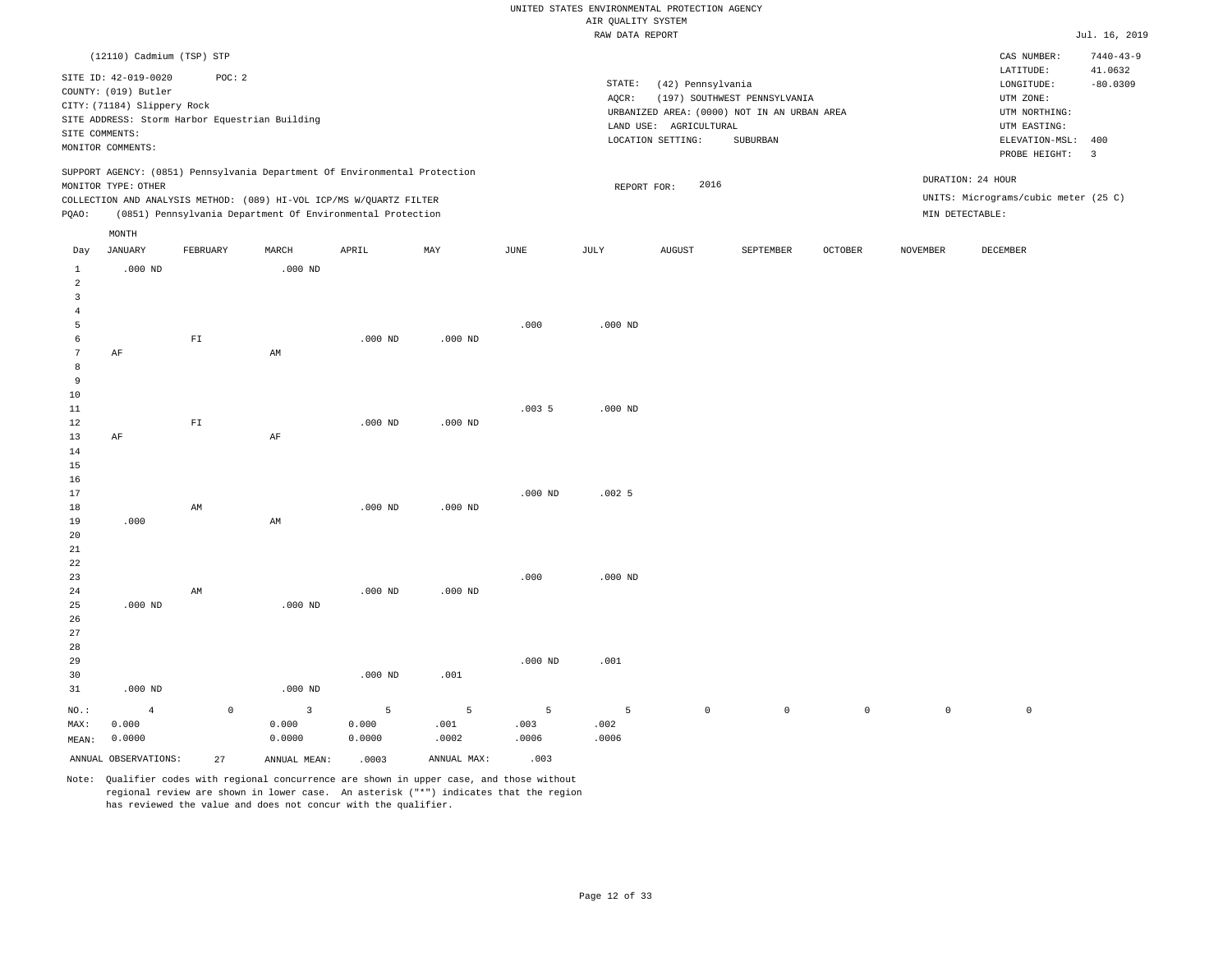|                 |                                                |                          |                                                                            |           |             |           | RAW DATA REPORT |                        |                                             |              |          |                                      | Jul. 16, 2019           |
|-----------------|------------------------------------------------|--------------------------|----------------------------------------------------------------------------|-----------|-------------|-----------|-----------------|------------------------|---------------------------------------------|--------------|----------|--------------------------------------|-------------------------|
|                 | (12110) Cadmium (TSP) STP                      |                          |                                                                            |           |             |           |                 |                        |                                             |              |          | CAS NUMBER:                          | $7440 - 43 - 9$         |
|                 | SITE ID: 42-019-0020                           | POC: 2                   |                                                                            |           |             |           |                 |                        |                                             |              |          | LATITUDE:                            | 41.0632                 |
|                 | COUNTY: (019) Butler                           |                          |                                                                            |           |             |           | STATE:          | (42) Pennsylvania      |                                             |              |          | LONGITUDE:                           | $-80.0309$              |
|                 |                                                |                          |                                                                            |           |             |           | AQCR:           |                        | (197) SOUTHWEST PENNSYLVANIA                |              |          | UTM ZONE:                            |                         |
|                 | CITY: (71184) Slippery Rock                    |                          |                                                                            |           |             |           |                 |                        | URBANIZED AREA: (0000) NOT IN AN URBAN AREA |              |          | UTM NORTHING:                        |                         |
|                 | SITE ADDRESS: Storm Harbor Equestrian Building |                          |                                                                            |           |             |           |                 | LAND USE: AGRICULTURAL |                                             |              |          | UTM EASTING:                         |                         |
|                 | SITE COMMENTS:                                 |                          |                                                                            |           |             |           |                 | LOCATION SETTING:      | SUBURBAN                                    |              |          | ELEVATION-MSL:                       | 400                     |
|                 | MONITOR COMMENTS:                              |                          |                                                                            |           |             |           |                 |                        |                                             |              |          | PROBE HEIGHT:                        | $\overline{\mathbf{3}}$ |
|                 |                                                |                          | SUPPORT AGENCY: (0851) Pennsylvania Department Of Environmental Protection |           |             |           |                 |                        |                                             |              |          | DURATION: 24 HOUR                    |                         |
|                 | MONITOR TYPE: OTHER                            |                          |                                                                            |           |             |           | REPORT FOR:     | 2016                   |                                             |              |          |                                      |                         |
|                 |                                                |                          | COLLECTION AND ANALYSIS METHOD: (089) HI-VOL ICP/MS W/QUARTZ FILTER        |           |             |           |                 |                        |                                             |              |          | UNITS: Micrograms/cubic meter (25 C) |                         |
| PQAO:           |                                                |                          | (0851) Pennsylvania Department Of Environmental Protection                 |           |             |           |                 |                        |                                             |              |          | MIN DETECTABLE:                      |                         |
|                 | MONTH                                          |                          |                                                                            |           |             |           |                 |                        |                                             |              |          |                                      |                         |
| Day             | JANUARY                                        | FEBRUARY                 | MARCH                                                                      | APRIL     | MAY         | JUNE      | JULY            | <b>AUGUST</b>          | SEPTEMBER                                   | OCTOBER      | NOVEMBER | DECEMBER                             |                         |
| $\mathbf{1}$    | $.000$ ND                                      |                          | $.000$ ND                                                                  |           |             |           |                 |                        |                                             |              |          |                                      |                         |
| $\overline{2}$  |                                                |                          |                                                                            |           |             |           |                 |                        |                                             |              |          |                                      |                         |
| $\overline{3}$  |                                                |                          |                                                                            |           |             |           |                 |                        |                                             |              |          |                                      |                         |
| $\overline{4}$  |                                                |                          |                                                                            |           |             |           |                 |                        |                                             |              |          |                                      |                         |
| 5               |                                                |                          |                                                                            |           |             | .000      | $.000$ ND       |                        |                                             |              |          |                                      |                         |
| 6               |                                                | ${\tt F1}$               |                                                                            | $.000$ ND | $.000$ ND   |           |                 |                        |                                             |              |          |                                      |                         |
| $7\phantom{.0}$ | AF                                             |                          | AM                                                                         |           |             |           |                 |                        |                                             |              |          |                                      |                         |
| 8               |                                                |                          |                                                                            |           |             |           |                 |                        |                                             |              |          |                                      |                         |
| 9               |                                                |                          |                                                                            |           |             |           |                 |                        |                                             |              |          |                                      |                         |
| 10              |                                                |                          |                                                                            |           |             |           |                 |                        |                                             |              |          |                                      |                         |
| 11              |                                                |                          |                                                                            |           |             | .0035     | $.000$ ND       |                        |                                             |              |          |                                      |                         |
| 12              |                                                | $\mathbb{F} \mathbbm{I}$ |                                                                            | $.000$ ND | $.000$ ND   |           |                 |                        |                                             |              |          |                                      |                         |
| 13              | AF                                             |                          | $\rm{AF}$                                                                  |           |             |           |                 |                        |                                             |              |          |                                      |                         |
| 14              |                                                |                          |                                                                            |           |             |           |                 |                        |                                             |              |          |                                      |                         |
| 15<br>16        |                                                |                          |                                                                            |           |             |           |                 |                        |                                             |              |          |                                      |                         |
| 17              |                                                |                          |                                                                            |           |             | $.000$ ND | .0025           |                        |                                             |              |          |                                      |                         |
| 18              |                                                | AM                       |                                                                            | $.000$ ND | $.000$ ND   |           |                 |                        |                                             |              |          |                                      |                         |
| 19              | .000                                           |                          | AM                                                                         |           |             |           |                 |                        |                                             |              |          |                                      |                         |
| 20              |                                                |                          |                                                                            |           |             |           |                 |                        |                                             |              |          |                                      |                         |
| 21              |                                                |                          |                                                                            |           |             |           |                 |                        |                                             |              |          |                                      |                         |
| 22              |                                                |                          |                                                                            |           |             |           |                 |                        |                                             |              |          |                                      |                         |
| 23              |                                                |                          |                                                                            |           |             | .000      | $.000$ ND       |                        |                                             |              |          |                                      |                         |
| 24              |                                                | AM                       |                                                                            | $.000$ ND | $.000$ ND   |           |                 |                        |                                             |              |          |                                      |                         |
| 25              | $.000$ ND                                      |                          | $.000$ ND                                                                  |           |             |           |                 |                        |                                             |              |          |                                      |                         |
| 26              |                                                |                          |                                                                            |           |             |           |                 |                        |                                             |              |          |                                      |                         |
| 27              |                                                |                          |                                                                            |           |             |           |                 |                        |                                             |              |          |                                      |                         |
| 28              |                                                |                          |                                                                            |           |             |           |                 |                        |                                             |              |          |                                      |                         |
| 29              |                                                |                          |                                                                            |           |             | $.000$ ND | .001            |                        |                                             |              |          |                                      |                         |
| 30              |                                                |                          |                                                                            | $.000$ ND | .001        |           |                 |                        |                                             |              |          |                                      |                         |
| 31              | $.000$ ND                                      |                          | $.000$ ND                                                                  |           |             |           |                 |                        |                                             |              |          |                                      |                         |
|                 |                                                |                          |                                                                            |           |             |           |                 |                        |                                             |              |          |                                      |                         |
| NO.:            | $\overline{4}$                                 | $\mathbb O$              | 3                                                                          | 5         | 5           | 5         | 5               | $\mathsf{O}\xspace$    | $\mathbb O$                                 | $\mathsf{O}$ | $\circ$  | $\mathbb O$                          |                         |
| MAX:            | 0.000                                          |                          | 0.000                                                                      | 0.000     | .001        | .003      | .002            |                        |                                             |              |          |                                      |                         |
| MEAN:           | 0.0000                                         |                          | 0.0000                                                                     | 0.0000    | .0002       | .0006     | .0006           |                        |                                             |              |          |                                      |                         |
|                 | ANNUAL OBSERVATIONS:                           | 27                       | ANNUAL MEAN:                                                               | .0003     | ANNUAL MAX: | .003      |                 |                        |                                             |              |          |                                      |                         |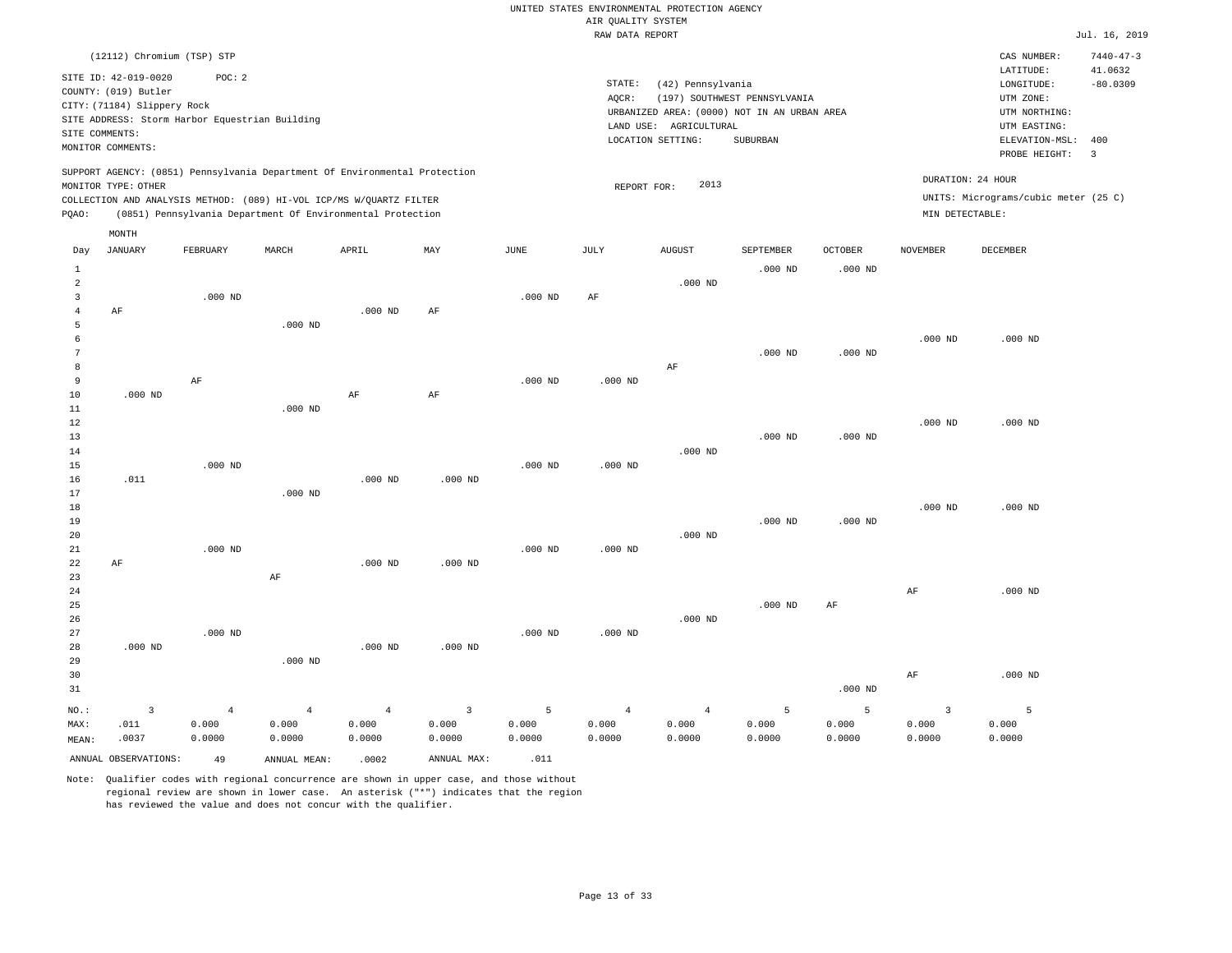|                | (12112) Chromium (TSP) STP                     |                |                                                                            |                |                         |           |                |                                             |                              |                |                 | CAS NUMBER:                          | $7440 - 47 - 3$         |
|----------------|------------------------------------------------|----------------|----------------------------------------------------------------------------|----------------|-------------------------|-----------|----------------|---------------------------------------------|------------------------------|----------------|-----------------|--------------------------------------|-------------------------|
|                | SITE ID: 42-019-0020                           | POC: 2         |                                                                            |                |                         |           | STATE:         | (42) Pennsylvania                           |                              |                |                 | LATITUDE:<br>LONGITUDE:              | 41.0632<br>$-80.0309$   |
|                | COUNTY: (019) Butler                           |                |                                                                            |                |                         |           | AOCR:          |                                             | (197) SOUTHWEST PENNSYLVANIA |                |                 | UTM ZONE:                            |                         |
|                | CITY: (71184) Slippery Rock                    |                |                                                                            |                |                         |           |                | URBANIZED AREA: (0000) NOT IN AN URBAN AREA |                              |                |                 | UTM NORTHING:                        |                         |
|                | SITE ADDRESS: Storm Harbor Equestrian Building |                |                                                                            |                |                         |           |                | LAND USE: AGRICULTURAL                      |                              |                |                 | UTM EASTING:                         |                         |
| SITE COMMENTS: |                                                |                |                                                                            |                |                         |           |                | LOCATION SETTING:                           | SUBURBAN                     |                |                 | ELEVATION-MSL:                       | 400                     |
|                | MONITOR COMMENTS:                              |                |                                                                            |                |                         |           |                |                                             |                              |                |                 | PROBE HEIGHT:                        | $\overline{\mathbf{3}}$ |
|                | MONITOR TYPE: OTHER                            |                | SUPPORT AGENCY: (0851) Pennsylvania Department Of Environmental Protection |                |                         |           |                | 2013                                        |                              |                |                 | DURATION: 24 HOUR                    |                         |
|                |                                                |                | COLLECTION AND ANALYSIS METHOD: (089) HI-VOL ICP/MS W/QUARTZ FILTER        |                |                         |           | REPORT FOR:    |                                             |                              |                |                 | UNITS: Micrograms/cubic meter (25 C) |                         |
| PQAO:          |                                                |                | (0851) Pennsylvania Department Of Environmental Protection                 |                |                         |           |                |                                             |                              |                | MIN DETECTABLE: |                                      |                         |
|                | MONTH                                          |                |                                                                            |                |                         |           |                |                                             |                              |                |                 |                                      |                         |
| Day            | <b>JANUARY</b>                                 | FEBRUARY       | MARCH                                                                      | APRIL          | MAY                     | JUNE      | JULY           | <b>AUGUST</b>                               | SEPTEMBER                    | <b>OCTOBER</b> | <b>NOVEMBER</b> | <b>DECEMBER</b>                      |                         |
| $\mathbf{1}$   |                                                |                |                                                                            |                |                         |           |                |                                             | $.000$ ND                    | $.000$ ND      |                 |                                      |                         |
| $\overline{a}$ |                                                |                |                                                                            |                |                         |           |                | $.000$ ND                                   |                              |                |                 |                                      |                         |
| 3              |                                                | $.000$ ND      |                                                                            |                |                         | $.000$ ND | AF             |                                             |                              |                |                 |                                      |                         |
| $\overline{4}$ | AF                                             |                |                                                                            | $.000$ ND      | AF                      |           |                |                                             |                              |                |                 |                                      |                         |
| 5              |                                                |                | $.000$ ND                                                                  |                |                         |           |                |                                             |                              |                |                 |                                      |                         |
| 6              |                                                |                |                                                                            |                |                         |           |                |                                             |                              |                | $.000$ ND       | $.000$ ND                            |                         |
| $\overline{7}$ |                                                |                |                                                                            |                |                         |           |                |                                             | $.000$ ND                    | $.000$ ND      |                 |                                      |                         |
| 8              |                                                |                |                                                                            |                |                         |           |                | AF                                          |                              |                |                 |                                      |                         |
| 9              |                                                | $\rm AF$       |                                                                            |                |                         | $.000$ ND | $.000$ ND      |                                             |                              |                |                 |                                      |                         |
| 10<br>11       | $.000$ ND                                      |                | $.000$ ND                                                                  | $\rm AF$       | AF                      |           |                |                                             |                              |                |                 |                                      |                         |
| 12             |                                                |                |                                                                            |                |                         |           |                |                                             |                              |                | $.000$ ND       | $.000$ ND                            |                         |
| 13             |                                                |                |                                                                            |                |                         |           |                |                                             | $.000$ ND                    | $.000$ ND      |                 |                                      |                         |
| 14             |                                                |                |                                                                            |                |                         |           |                | $.000$ ND                                   |                              |                |                 |                                      |                         |
| 15             |                                                | $.000$ ND      |                                                                            |                |                         | $.000$ ND | $.000$ ND      |                                             |                              |                |                 |                                      |                         |
| 16             | .011                                           |                |                                                                            | $.000$ ND      | $.000$ ND               |           |                |                                             |                              |                |                 |                                      |                         |
| 17             |                                                |                | $.000$ ND                                                                  |                |                         |           |                |                                             |                              |                |                 |                                      |                         |
| 18             |                                                |                |                                                                            |                |                         |           |                |                                             |                              |                | $.000$ ND       | $.000$ ND                            |                         |
| 19             |                                                |                |                                                                            |                |                         |           |                |                                             | $.000$ ND                    | $.000$ ND      |                 |                                      |                         |
| 20             |                                                |                |                                                                            |                |                         |           |                | $.000$ ND                                   |                              |                |                 |                                      |                         |
| 21<br>22       |                                                | $.000$ ND      |                                                                            | $.000$ ND      | $.000$ ND               | $.000$ ND | $.000$ ND      |                                             |                              |                |                 |                                      |                         |
| 23             | AF                                             |                | AF                                                                         |                |                         |           |                |                                             |                              |                |                 |                                      |                         |
| 24             |                                                |                |                                                                            |                |                         |           |                |                                             |                              |                | AF              | $.000$ ND                            |                         |
| 25             |                                                |                |                                                                            |                |                         |           |                |                                             | $.000$ ND                    | AF             |                 |                                      |                         |
| 26             |                                                |                |                                                                            |                |                         |           |                | $.000$ ND                                   |                              |                |                 |                                      |                         |
| 27             |                                                | $.000$ ND      |                                                                            |                |                         | $.000$ ND | $.000$ ND      |                                             |                              |                |                 |                                      |                         |
| 28             | $.000$ ND                                      |                |                                                                            | $.000$ ND      | $.000$ ND               |           |                |                                             |                              |                |                 |                                      |                         |
| 29             |                                                |                | $.000$ ND                                                                  |                |                         |           |                |                                             |                              |                |                 |                                      |                         |
| 30             |                                                |                |                                                                            |                |                         |           |                |                                             |                              |                | AF              | $.000$ ND                            |                         |
| 31             |                                                |                |                                                                            |                |                         |           |                |                                             |                              | $.000$ ND      |                 |                                      |                         |
| $NO.$ :        | $\overline{3}$                                 | $\overline{4}$ | $\overline{4}$                                                             | $\overline{4}$ | $\overline{\mathbf{3}}$ | 5         | $\overline{4}$ | $\overline{4}$                              | 5                            | 5              | $\overline{3}$  | 5                                    |                         |
| MAX:           | .011                                           | 0.000          | 0.000                                                                      | 0.000          | 0.000                   | 0.000     | 0.000          | 0.000                                       | 0.000                        | 0.000          | 0.000           | 0.000                                |                         |
| MEAN:          | .0037                                          | 0.0000         | 0.0000                                                                     | 0.0000         | 0.0000                  | 0.0000    | 0.0000         | 0.0000                                      | 0.0000                       | 0.0000         | 0.0000          | 0.0000                               |                         |
|                | ANNUAL OBSERVATIONS:                           | 49             | ANNUAL MEAN:                                                               | .0002          | ANNUAL MAX:             | .011      |                |                                             |                              |                |                 |                                      |                         |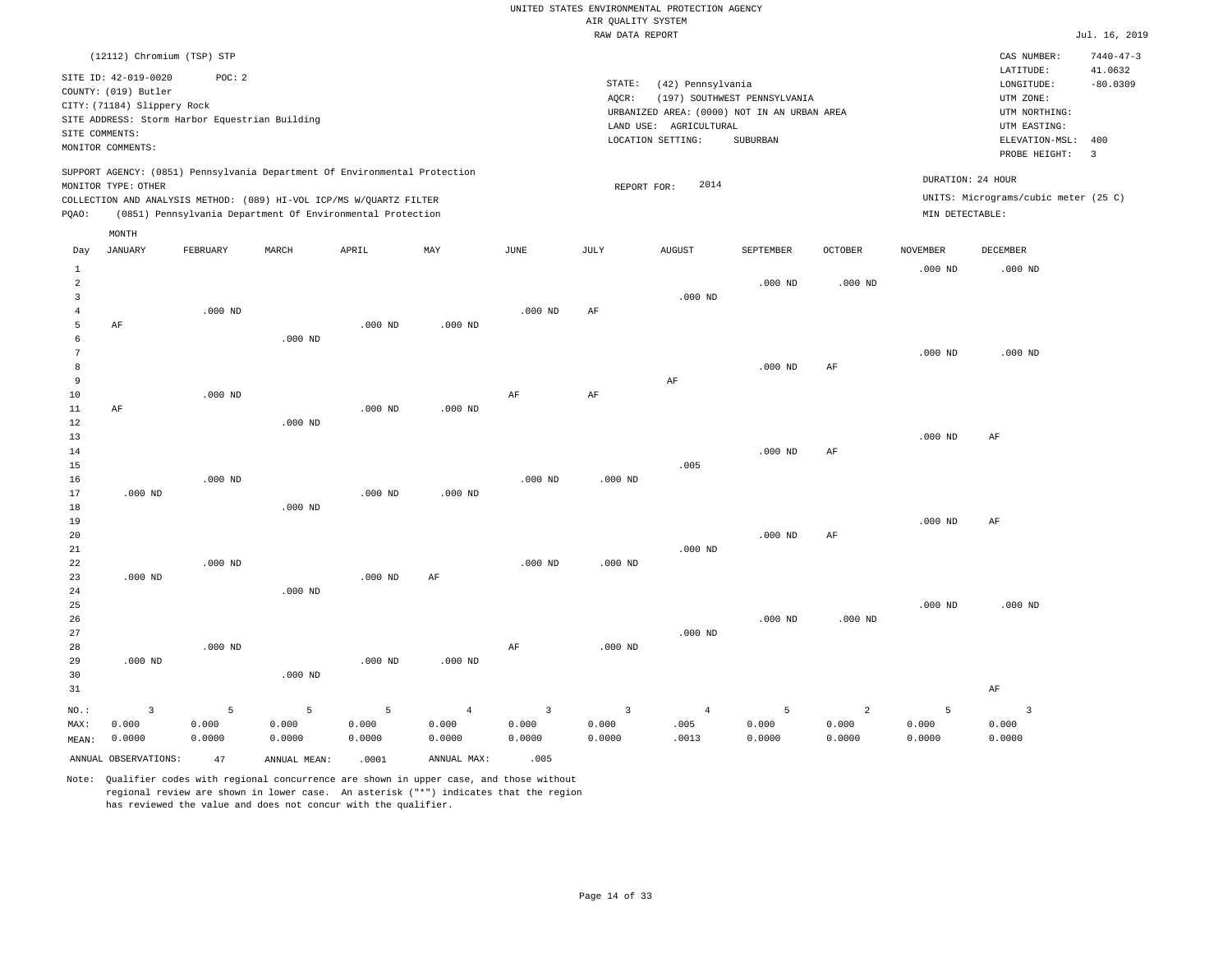|                                  |                                                                                                                                |                                                                                                                                                                                                                 |                      |                      |                                   |                                 | RAW DATA REPORT                   |                                                                                                                 |                                          |                                   |                                      |                                                                                                                         | Jul. 16, 2019                                                     |
|----------------------------------|--------------------------------------------------------------------------------------------------------------------------------|-----------------------------------------------------------------------------------------------------------------------------------------------------------------------------------------------------------------|----------------------|----------------------|-----------------------------------|---------------------------------|-----------------------------------|-----------------------------------------------------------------------------------------------------------------|------------------------------------------|-----------------------------------|--------------------------------------|-------------------------------------------------------------------------------------------------------------------------|-------------------------------------------------------------------|
| SITE COMMENTS:                   | (12112) Chromium (TSP) STP<br>SITE ID: 42-019-0020<br>COUNTY: (019) Butler<br>CITY: (71184) Slippery Rock<br>MONITOR COMMENTS: | POC: 2<br>SITE ADDRESS: Storm Harbor Equestrian Building                                                                                                                                                        |                      |                      |                                   |                                 | STATE:<br>AQCR:                   | (42) Pennsylvania<br>URBANIZED AREA: (0000) NOT IN AN URBAN AREA<br>LAND USE: AGRICULTURAL<br>LOCATION SETTING: | (197) SOUTHWEST PENNSYLVANIA<br>SUBURBAN |                                   |                                      | CAS NUMBER:<br>LATITUDE:<br>LONGITUDE:<br>UTM ZONE:<br>UTM NORTHING:<br>UTM EASTING:<br>ELEVATION-MSL:<br>PROBE HEIGHT: | $7440 - 47 - 3$<br>41.0632<br>$-80.0309$<br>400<br>$\overline{3}$ |
| PQAO:                            | MONITOR TYPE: OTHER                                                                                                            | SUPPORT AGENCY: (0851) Pennsylvania Department Of Environmental Protection<br>COLLECTION AND ANALYSIS METHOD: (089) HI-VOL ICP/MS W/QUARTZ FILTER<br>(0851) Pennsylvania Department Of Environmental Protection |                      |                      |                                   |                                 | REPORT FOR:                       | 2014                                                                                                            |                                          |                                   | DURATION: 24 HOUR<br>MIN DETECTABLE: | UNITS: Micrograms/cubic meter (25 C)                                                                                    |                                                                   |
| Day                              | MONTH<br><b>JANUARY</b>                                                                                                        | FEBRUARY                                                                                                                                                                                                        | MARCH                | APRIL                | MAY                               | <b>JUNE</b>                     | JULY                              | ${\tt AUGUST}$                                                                                                  | SEPTEMBER                                | <b>OCTOBER</b>                    | <b>NOVEMBER</b>                      | <b>DECEMBER</b>                                                                                                         |                                                                   |
| $\mathbf{1}$<br>2<br>3<br>4<br>5 | $\rm AF$                                                                                                                       | $.000$ ND                                                                                                                                                                                                       |                      | $.000$ ND            | $.000$ ND                         | $.000$ ND                       | AF                                | $.000$ ND                                                                                                       | $.000$ ND                                | $.000$ ND                         | $.000$ ND                            | $.000$ ND                                                                                                               |                                                                   |
| 6<br>7<br>8<br>9<br>10           |                                                                                                                                | $.000$ ND                                                                                                                                                                                                       | $.000$ ND            |                      |                                   | $\rm{AF}$                       | $\rm{AF}$                         | $\rm{AF}$                                                                                                       | $.000$ ND                                | AF                                | $.000$ ND                            | $.000$ ND                                                                                                               |                                                                   |
| 11<br>12<br>13<br>14<br>15       | AF                                                                                                                             |                                                                                                                                                                                                                 | $.000$ ND            | $.000$ ND            | $.000$ ND                         |                                 |                                   | .005                                                                                                            | $.000$ ND                                | AF                                | .000 <sub>ND</sub>                   | AF                                                                                                                      |                                                                   |
| 16<br>17<br>18<br>19<br>20       | $.000$ ND                                                                                                                      | $.000$ ND                                                                                                                                                                                                       | $.000$ ND            | $.000$ ND            | $.000$ ND                         | $.000$ ND                       | $.000$ ND                         |                                                                                                                 | $.000$ ND                                | AF                                | $.000$ ND                            | AF                                                                                                                      |                                                                   |
| 21<br>22<br>23<br>24<br>25       | $.000$ ND                                                                                                                      | $.000$ ND                                                                                                                                                                                                       | $.000$ ND            | $.000$ ND            | AF                                | $.000$ ND                       | $.000$ ND                         | $.000$ ND                                                                                                       |                                          |                                   | $.000$ ND                            | $.000$ ND                                                                                                               |                                                                   |
| 26<br>27<br>28<br>29<br>30<br>31 | $.000$ ND                                                                                                                      | $.000$ ND                                                                                                                                                                                                       | $.000$ ND            | $.000$ ND            | $.000$ ND                         | AF                              | $.000$ ND                         | $.000$ ND                                                                                                       | $.000$ ND                                | $.000$ ND                         |                                      | $\rm AF$                                                                                                                |                                                                   |
| NO.:<br>MAX:<br>MEAN:            | $\overline{3}$<br>0.000<br>0.0000                                                                                              | 5<br>0.000<br>0.0000                                                                                                                                                                                            | 5<br>0.000<br>0.0000 | 5<br>0.000<br>0.0000 | $\overline{4}$<br>0.000<br>0.0000 | $\mathbf{3}$<br>0.000<br>0.0000 | $\overline{3}$<br>0.000<br>0.0000 | $\overline{4}$<br>.005<br>.0013                                                                                 | 5<br>0.000<br>0.0000                     | $\overline{a}$<br>0.000<br>0.0000 | 5<br>0.000<br>0.0000                 | $\overline{\mathbf{3}}$<br>0.000<br>0.0000                                                                              |                                                                   |

ANNUAL OBSERVATIONS:  $\begin{array}{ccc} 47 & \text{ANNUAL MEAN:} & .0001 & \text{ANNUAL MAX:} & .005 \end{array}$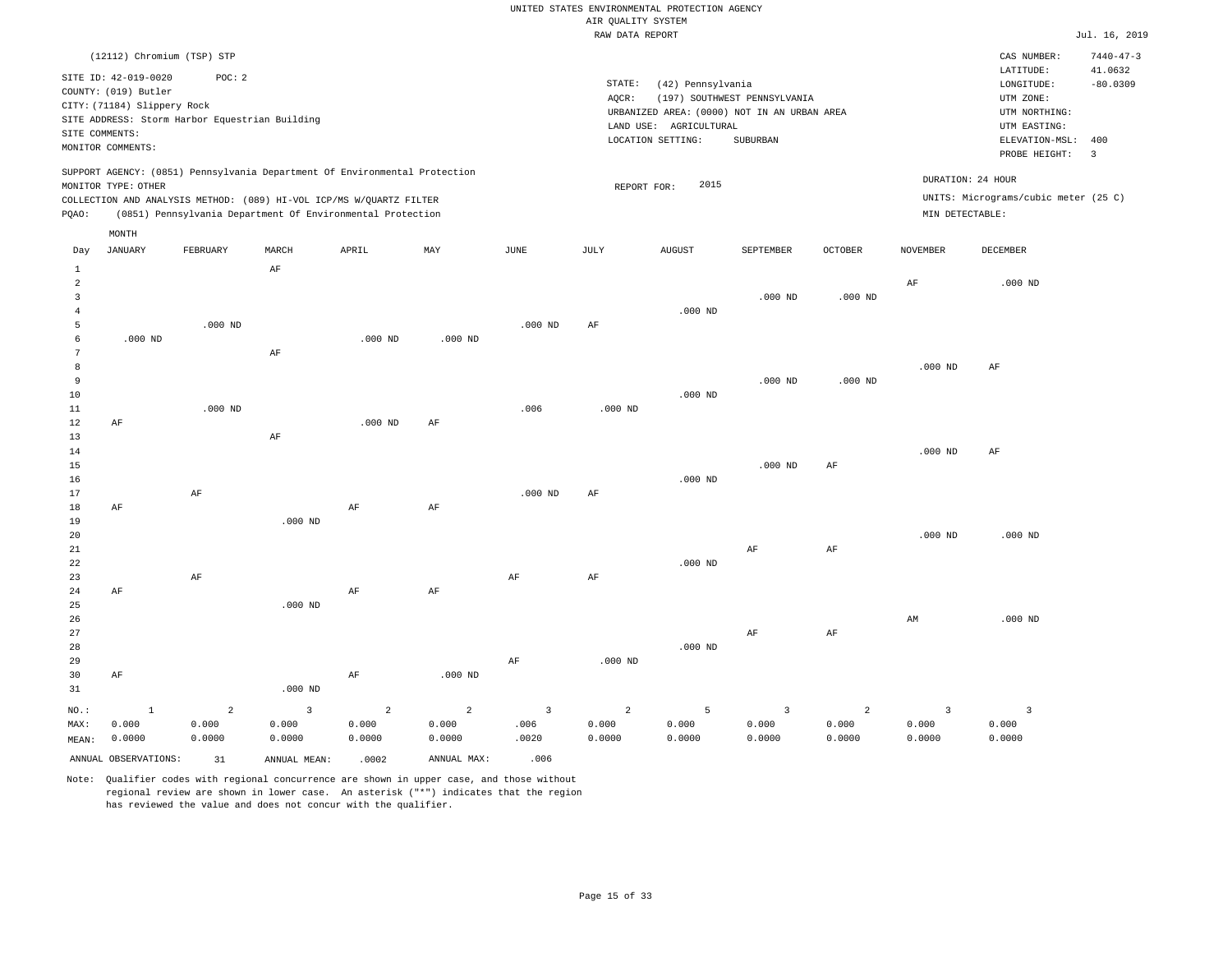|                     |                                     |                                                                            |           |           |           |                       | RAW DATA REPORT |                        |                                             |                |                 |                                                                                                                                                                                                                                                                                                                                                                                                                                                                                                        | Jul. 16, 2019              |
|---------------------|-------------------------------------|----------------------------------------------------------------------------|-----------|-----------|-----------|-----------------------|-----------------|------------------------|---------------------------------------------|----------------|-----------------|--------------------------------------------------------------------------------------------------------------------------------------------------------------------------------------------------------------------------------------------------------------------------------------------------------------------------------------------------------------------------------------------------------------------------------------------------------------------------------------------------------|----------------------------|
|                     | (12112) Chromium (TSP) STP          |                                                                            |           |           |           |                       |                 |                        |                                             |                |                 | CAS NUMBER:<br>LATITUDE:                                                                                                                                                                                                                                                                                                                                                                                                                                                                               | $7440 - 47 - 3$<br>41.0632 |
|                     | SITE ID: 42-019-0020                | POC: 2                                                                     |           |           |           |                       | STATE:          | (42) Pennsylvania      |                                             |                |                 | $\texttt{LONGITUDE}: \quad % \begin{minipage}[c]{0.5\linewidth} \centering \begin{tabular}{lcccc} \toprule \texttt{1}\end{tabular} & \texttt{1}\end{tabular} \vspace*{-1em} \caption{The \texttt{1}\qquad \texttt{1}\qquad \texttt{2}\qquad \texttt{2}\qquad \texttt{2}\qquad \texttt{3}\qquad \texttt{3}\qquad \texttt{4}\qquad \texttt{5}\qquad \texttt{5}\qquad \texttt{6}\qquad \texttt{6}\qquad \texttt{7}\qquad \texttt{8}\qquad \texttt{8}\qquad \texttt{8}\qquad \texttt{9}\qquad \texttt{1}\$ | $-80.0309$                 |
|                     | COUNTY: (019) Butler                |                                                                            |           |           |           |                       | AQCR:           |                        | (197) SOUTHWEST PENNSYLVANIA                |                |                 | UTM ZONE:                                                                                                                                                                                                                                                                                                                                                                                                                                                                                              |                            |
|                     | CITY: (71184) Slippery Rock         |                                                                            |           |           |           |                       |                 |                        | URBANIZED AREA: (0000) NOT IN AN URBAN AREA |                |                 | UTM NORTHING:                                                                                                                                                                                                                                                                                                                                                                                                                                                                                          |                            |
|                     |                                     | SITE ADDRESS: Storm Harbor Equestrian Building                             |           |           |           |                       |                 | LAND USE: AGRICULTURAL |                                             |                |                 | UTM EASTING:                                                                                                                                                                                                                                                                                                                                                                                                                                                                                           |                            |
|                     | SITE COMMENTS:<br>MONITOR COMMENTS: |                                                                            |           |           |           |                       |                 | LOCATION SETTING:      | SUBURBAN                                    |                |                 | ELEVATION-MSL:                                                                                                                                                                                                                                                                                                                                                                                                                                                                                         | 400                        |
|                     |                                     |                                                                            |           |           |           |                       |                 |                        |                                             |                |                 | PROBE HEIGHT:                                                                                                                                                                                                                                                                                                                                                                                                                                                                                          | $\overline{\mathbf{3}}$    |
|                     |                                     | SUPPORT AGENCY: (0851) Pennsylvania Department Of Environmental Protection |           |           |           |                       |                 |                        |                                             |                |                 | DURATION: 24 HOUR                                                                                                                                                                                                                                                                                                                                                                                                                                                                                      |                            |
|                     | MONITOR TYPE: OTHER                 | COLLECTION AND ANALYSIS METHOD: (089) HI-VOL ICP/MS W/QUARTZ FILTER        |           |           |           |                       | REPORT FOR:     | 2015                   |                                             |                |                 | UNITS: Micrograms/cubic meter (25 C)                                                                                                                                                                                                                                                                                                                                                                                                                                                                   |                            |
| PQAO:               |                                     | (0851) Pennsylvania Department Of Environmental Protection                 |           |           |           |                       |                 |                        |                                             |                | MIN DETECTABLE: |                                                                                                                                                                                                                                                                                                                                                                                                                                                                                                        |                            |
|                     | MONTH                               |                                                                            |           |           |           |                       |                 |                        |                                             |                |                 |                                                                                                                                                                                                                                                                                                                                                                                                                                                                                                        |                            |
| Day                 | JANUARY                             | FEBRUARY                                                                   | MARCH     | APRIL     | MAY       | $\operatorname{JUNE}$ | JULY            | ${\tt AUGUST}$         | SEPTEMBER                                   | <b>OCTOBER</b> | <b>NOVEMBER</b> | DECEMBER                                                                                                                                                                                                                                                                                                                                                                                                                                                                                               |                            |
| $\mathbf{1}$        |                                     |                                                                            | AF        |           |           |                       |                 |                        |                                             |                |                 |                                                                                                                                                                                                                                                                                                                                                                                                                                                                                                        |                            |
| $\overline{a}$<br>3 |                                     |                                                                            |           |           |           |                       |                 |                        | $.000$ ND                                   | $.000$ ND      | AF              | $.000$ ND                                                                                                                                                                                                                                                                                                                                                                                                                                                                                              |                            |
| 4                   |                                     |                                                                            |           |           |           |                       |                 | $.000$ ND              |                                             |                |                 |                                                                                                                                                                                                                                                                                                                                                                                                                                                                                                        |                            |
| 5                   |                                     | $.000$ ND                                                                  |           |           |           | $.000$ ND             | AF              |                        |                                             |                |                 |                                                                                                                                                                                                                                                                                                                                                                                                                                                                                                        |                            |
| 6                   | $.000$ ND                           |                                                                            |           | $.000$ ND | $.000$ ND |                       |                 |                        |                                             |                |                 |                                                                                                                                                                                                                                                                                                                                                                                                                                                                                                        |                            |
| 7                   |                                     |                                                                            | AF        |           |           |                       |                 |                        |                                             |                |                 |                                                                                                                                                                                                                                                                                                                                                                                                                                                                                                        |                            |
| 8                   |                                     |                                                                            |           |           |           |                       |                 |                        |                                             |                | $.000$ ND       | AF                                                                                                                                                                                                                                                                                                                                                                                                                                                                                                     |                            |
| 9                   |                                     |                                                                            |           |           |           |                       |                 |                        | $.000$ ND                                   | $.000$ ND      |                 |                                                                                                                                                                                                                                                                                                                                                                                                                                                                                                        |                            |
| 10                  |                                     |                                                                            |           |           |           |                       |                 | $.000$ ND              |                                             |                |                 |                                                                                                                                                                                                                                                                                                                                                                                                                                                                                                        |                            |
| 11                  |                                     | $.000$ ND                                                                  |           |           |           | .006                  | $.000$ ND       |                        |                                             |                |                 |                                                                                                                                                                                                                                                                                                                                                                                                                                                                                                        |                            |
| 12<br>13            | $\rm AF$                            |                                                                            | $\rm AF$  | $.000$ ND | AF        |                       |                 |                        |                                             |                |                 |                                                                                                                                                                                                                                                                                                                                                                                                                                                                                                        |                            |
| 14                  |                                     |                                                                            |           |           |           |                       |                 |                        |                                             |                | $.000$ ND       | AF                                                                                                                                                                                                                                                                                                                                                                                                                                                                                                     |                            |
| 15                  |                                     |                                                                            |           |           |           |                       |                 |                        | $.000$ ND                                   | AF             |                 |                                                                                                                                                                                                                                                                                                                                                                                                                                                                                                        |                            |
| 16                  |                                     |                                                                            |           |           |           |                       |                 | $.000$ ND              |                                             |                |                 |                                                                                                                                                                                                                                                                                                                                                                                                                                                                                                        |                            |
| 17                  |                                     | AF                                                                         |           |           |           | $.000$ ND             | AF              |                        |                                             |                |                 |                                                                                                                                                                                                                                                                                                                                                                                                                                                                                                        |                            |
| 18                  | AF                                  |                                                                            |           | AF        | AF        |                       |                 |                        |                                             |                |                 |                                                                                                                                                                                                                                                                                                                                                                                                                                                                                                        |                            |
| 19                  |                                     |                                                                            | $.000$ ND |           |           |                       |                 |                        |                                             |                |                 |                                                                                                                                                                                                                                                                                                                                                                                                                                                                                                        |                            |
| 20                  |                                     |                                                                            |           |           |           |                       |                 |                        |                                             |                | $.000$ ND       | $.000$ ND                                                                                                                                                                                                                                                                                                                                                                                                                                                                                              |                            |
| 21                  |                                     |                                                                            |           |           |           |                       |                 |                        | AF                                          | AF             |                 |                                                                                                                                                                                                                                                                                                                                                                                                                                                                                                        |                            |
| 22                  |                                     |                                                                            |           |           |           |                       |                 | $.000$ ND              |                                             |                |                 |                                                                                                                                                                                                                                                                                                                                                                                                                                                                                                        |                            |
| 23<br>24            |                                     | AF                                                                         |           | AF        | AF        | AF                    | AF              |                        |                                             |                |                 |                                                                                                                                                                                                                                                                                                                                                                                                                                                                                                        |                            |
| 25                  | AF                                  |                                                                            | $.000$ ND |           |           |                       |                 |                        |                                             |                |                 |                                                                                                                                                                                                                                                                                                                                                                                                                                                                                                        |                            |
| 26                  |                                     |                                                                            |           |           |           |                       |                 |                        |                                             |                | AM              | $.000$ ND                                                                                                                                                                                                                                                                                                                                                                                                                                                                                              |                            |
| 27                  |                                     |                                                                            |           |           |           |                       |                 |                        | AF                                          | $\rm{AF}$      |                 |                                                                                                                                                                                                                                                                                                                                                                                                                                                                                                        |                            |
| 28                  |                                     |                                                                            |           |           |           |                       |                 | $.000$ ND              |                                             |                |                 |                                                                                                                                                                                                                                                                                                                                                                                                                                                                                                        |                            |
| 29                  |                                     |                                                                            |           |           |           | AF                    | $.000$ ND       |                        |                                             |                |                 |                                                                                                                                                                                                                                                                                                                                                                                                                                                                                                        |                            |
| 30                  | AF                                  |                                                                            |           | AF        | $.000$ ND |                       |                 |                        |                                             |                |                 |                                                                                                                                                                                                                                                                                                                                                                                                                                                                                                        |                            |
| 31                  |                                     |                                                                            | $.000$ ND |           |           |                       |                 |                        |                                             |                |                 |                                                                                                                                                                                                                                                                                                                                                                                                                                                                                                        |                            |

| NO.:  |                      | $\sim$ 2 | $\sim$ 3     | $\sim$ 2 | $\sim$ 2 $\sim$ 100 $\sim$ 100 $\sim$ 100 $\sim$ 100 $\sim$ 100 $\sim$ 100 $\sim$ 100 $\sim$ 100 $\sim$ 100 $\sim$ 100 $\sim$ 100 $\sim$ 100 $\sim$ 100 $\sim$ 100 $\sim$ 100 $\sim$ 100 $\sim$ 100 $\sim$ 100 $\sim$ 100 $\sim$ 100 $\sim$ 100 $\sim$ 100 $\sim$ 100 $\sim$ 10 | $\sim$ 3 | $\sim$ 2 | $-5$   |        |        |        |        |
|-------|----------------------|----------|--------------|----------|---------------------------------------------------------------------------------------------------------------------------------------------------------------------------------------------------------------------------------------------------------------------------------|----------|----------|--------|--------|--------|--------|--------|
| MAX:  | 0.000                | 0.000    | 0.000        | 0.000    | 0.000                                                                                                                                                                                                                                                                           | .006     | 0.000    | 0.000  | 0.000  | 0.000  | 0.000  | 0.000  |
| MEAN: | 0.0000               | 0.0000   | 0.0000       | 0.0000   | 0.0000                                                                                                                                                                                                                                                                          | .0020    | 0.0000   | 0.0000 | 0.0000 | 0.0000 | 0.0000 | 0.0000 |
|       | ANNUAL OBSERVATIONS: | 31       | ANNUAL MEAN: | .0002    | ANNUAL MAX:                                                                                                                                                                                                                                                                     | .006     |          |        |        |        |        |        |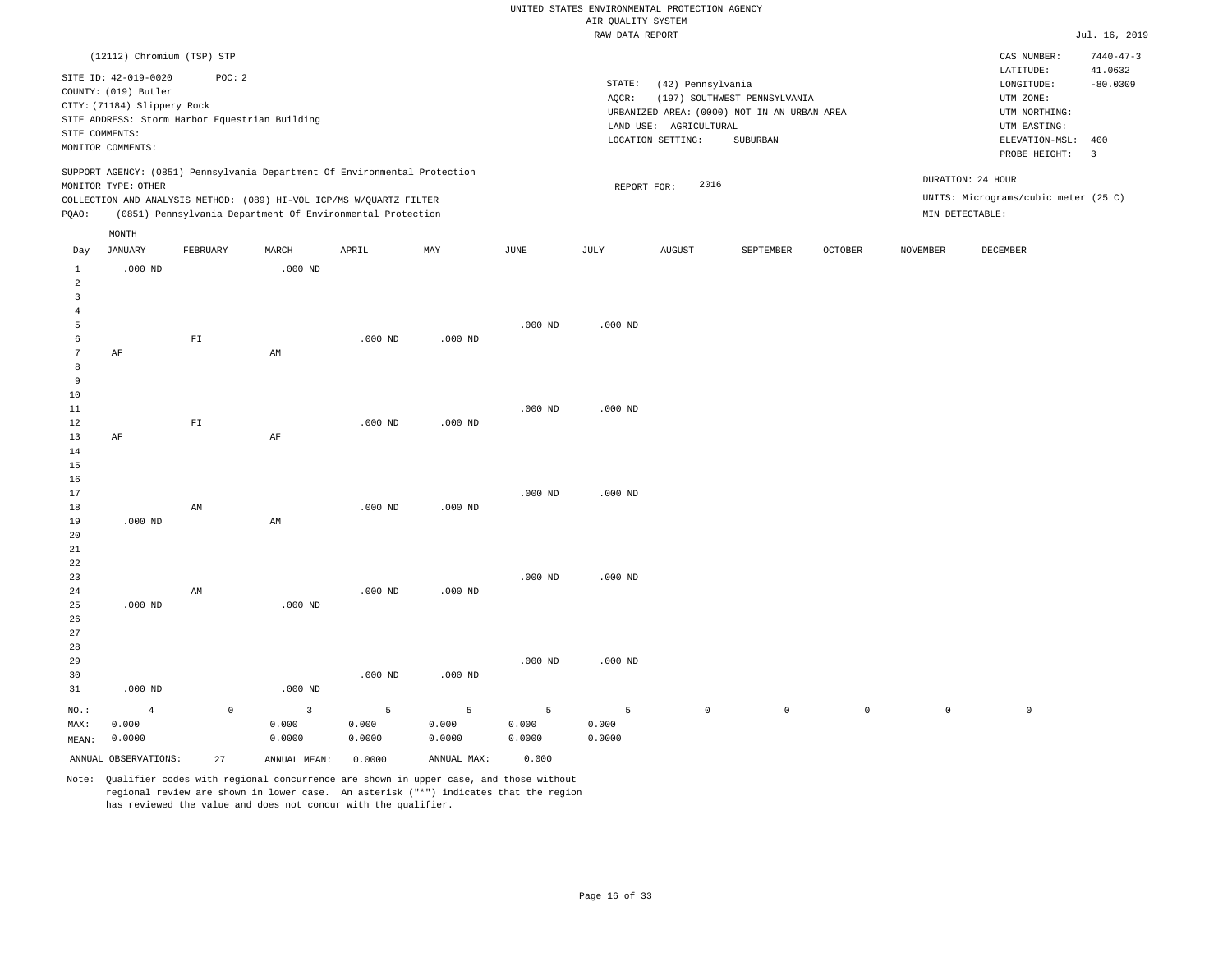|                         |                                                |                        |                                                                            |           |             |             | RAW DATA REPORT |                        |                                             |                |                     |                                      | Jul. 16, 2019   |
|-------------------------|------------------------------------------------|------------------------|----------------------------------------------------------------------------|-----------|-------------|-------------|-----------------|------------------------|---------------------------------------------|----------------|---------------------|--------------------------------------|-----------------|
|                         | (12112) Chromium (TSP) STP                     |                        |                                                                            |           |             |             |                 |                        |                                             |                |                     | CAS NUMBER:                          | $7440 - 47 - 3$ |
|                         |                                                |                        |                                                                            |           |             |             |                 |                        |                                             |                |                     | LATITUDE:                            | 41.0632         |
|                         | SITE ID: 42-019-0020                           | POC: 2                 |                                                                            |           |             |             | STATE:          | (42) Pennsylvania      |                                             |                |                     | $\texttt{LONGITUDE}$ :               | $-80.0309$      |
|                         | COUNTY: (019) Butler                           |                        |                                                                            |           |             |             | AQCR:           |                        | (197) SOUTHWEST PENNSYLVANIA                |                |                     | UTM ZONE:                            |                 |
|                         | CITY: (71184) Slippery Rock                    |                        |                                                                            |           |             |             |                 |                        | URBANIZED AREA: (0000) NOT IN AN URBAN AREA |                |                     | UTM NORTHING:                        |                 |
|                         | SITE ADDRESS: Storm Harbor Equestrian Building |                        |                                                                            |           |             |             |                 | LAND USE: AGRICULTURAL |                                             |                |                     | UTM EASTING:                         |                 |
|                         | SITE COMMENTS:                                 |                        |                                                                            |           |             |             |                 | LOCATION SETTING:      | SUBURBAN                                    |                |                     | ELEVATION-MSL:                       | 400             |
|                         | MONITOR COMMENTS:                              |                        |                                                                            |           |             |             |                 |                        |                                             |                |                     | PROBE HEIGHT:                        | $\overline{3}$  |
|                         |                                                |                        | SUPPORT AGENCY: (0851) Pennsylvania Department Of Environmental Protection |           |             |             |                 |                        |                                             |                |                     |                                      |                 |
|                         | MONITOR TYPE: OTHER                            |                        |                                                                            |           |             |             | REPORT FOR:     | 2016                   |                                             |                |                     | DURATION: 24 HOUR                    |                 |
|                         |                                                |                        | COLLECTION AND ANALYSIS METHOD: (089) HI-VOL ICP/MS W/QUARTZ FILTER        |           |             |             |                 |                        |                                             |                |                     | UNITS: Micrograms/cubic meter (25 C) |                 |
| PQAO:                   |                                                |                        | (0851) Pennsylvania Department Of Environmental Protection                 |           |             |             |                 |                        |                                             |                |                     | MIN DETECTABLE:                      |                 |
|                         | MONTH                                          |                        |                                                                            |           |             |             |                 |                        |                                             |                |                     |                                      |                 |
| Day                     | <b>JANUARY</b>                                 | FEBRUARY               | MARCH                                                                      | APRIL     | MAY         | <b>JUNE</b> | <b>JULY</b>     | <b>AUGUST</b>          | SEPTEMBER                                   | <b>OCTOBER</b> | <b>NOVEMBER</b>     | DECEMBER                             |                 |
| $\mathbf{1}$            | $.000$ ND                                      |                        | $.000$ ND                                                                  |           |             |             |                 |                        |                                             |                |                     |                                      |                 |
| $\overline{a}$          |                                                |                        |                                                                            |           |             |             |                 |                        |                                             |                |                     |                                      |                 |
| $\overline{\mathbf{3}}$ |                                                |                        |                                                                            |           |             |             |                 |                        |                                             |                |                     |                                      |                 |
| $\overline{4}$          |                                                |                        |                                                                            |           |             |             |                 |                        |                                             |                |                     |                                      |                 |
| 5                       |                                                |                        |                                                                            |           |             | $.000$ ND   | $.000$ ND       |                        |                                             |                |                     |                                      |                 |
| 6                       |                                                | ${\rm FT}$             |                                                                            | $.000$ ND | $.000$ ND   |             |                 |                        |                                             |                |                     |                                      |                 |
| $7\phantom{.0}$         | AF                                             |                        | AM                                                                         |           |             |             |                 |                        |                                             |                |                     |                                      |                 |
| 8                       |                                                |                        |                                                                            |           |             |             |                 |                        |                                             |                |                     |                                      |                 |
| 9                       |                                                |                        |                                                                            |           |             |             |                 |                        |                                             |                |                     |                                      |                 |
| 10                      |                                                |                        |                                                                            |           |             |             |                 |                        |                                             |                |                     |                                      |                 |
| 11                      |                                                |                        |                                                                            |           |             | $.000$ ND   | $.000$ ND       |                        |                                             |                |                     |                                      |                 |
| 12                      |                                                | ${\rm FT}$             |                                                                            | $.000$ ND | $.000$ ND   |             |                 |                        |                                             |                |                     |                                      |                 |
| 13                      | AF                                             |                        | AF                                                                         |           |             |             |                 |                        |                                             |                |                     |                                      |                 |
| 14                      |                                                |                        |                                                                            |           |             |             |                 |                        |                                             |                |                     |                                      |                 |
| 15                      |                                                |                        |                                                                            |           |             |             |                 |                        |                                             |                |                     |                                      |                 |
| 16                      |                                                |                        |                                                                            |           |             |             |                 |                        |                                             |                |                     |                                      |                 |
| 17                      |                                                |                        |                                                                            |           |             | $.000$ ND   | $.000$ ND       |                        |                                             |                |                     |                                      |                 |
| 18                      |                                                | $\mathbb{A}\mathbb{M}$ |                                                                            | $.000$ ND | $.000$ ND   |             |                 |                        |                                             |                |                     |                                      |                 |
| 19                      | $.000$ ND                                      |                        | AM                                                                         |           |             |             |                 |                        |                                             |                |                     |                                      |                 |
| 20                      |                                                |                        |                                                                            |           |             |             |                 |                        |                                             |                |                     |                                      |                 |
| 21                      |                                                |                        |                                                                            |           |             |             |                 |                        |                                             |                |                     |                                      |                 |
| 22                      |                                                |                        |                                                                            |           |             |             |                 |                        |                                             |                |                     |                                      |                 |
| 23                      |                                                |                        |                                                                            |           |             | $.000$ ND   | $.000$ ND       |                        |                                             |                |                     |                                      |                 |
| 24                      |                                                | AM                     |                                                                            | $.000$ ND | $.000$ ND   |             |                 |                        |                                             |                |                     |                                      |                 |
| 25                      | $.000$ ND                                      |                        | $.000$ ND                                                                  |           |             |             |                 |                        |                                             |                |                     |                                      |                 |
| 26                      |                                                |                        |                                                                            |           |             |             |                 |                        |                                             |                |                     |                                      |                 |
| 27                      |                                                |                        |                                                                            |           |             |             |                 |                        |                                             |                |                     |                                      |                 |
| 28                      |                                                |                        |                                                                            |           |             |             |                 |                        |                                             |                |                     |                                      |                 |
| 29                      |                                                |                        |                                                                            | $.000$ ND | $.000$ ND   | $.000$ ND   | $.000$ ND       |                        |                                             |                |                     |                                      |                 |
| 30                      |                                                |                        |                                                                            |           |             |             |                 |                        |                                             |                |                     |                                      |                 |
| 31                      | $.000$ ND                                      |                        | $.000$ ND                                                                  |           |             |             |                 |                        |                                             |                |                     |                                      |                 |
| $NO.$ :                 | $\overline{4}$                                 | $\mathsf 0$            | $\overline{3}$                                                             | 5         | 5           | 5           | 5               | $\mathsf{O}$           | $\mathsf 0$                                 | $\mathsf{O}$   | $\mathsf{O}\xspace$ | $\mathbb O$                          |                 |
| MAX:                    | 0.000                                          |                        | 0.000                                                                      | 0.000     | 0.000       | 0.000       | 0.000           |                        |                                             |                |                     |                                      |                 |
| MEAN:                   | 0.0000                                         |                        | 0.0000                                                                     | 0.0000    | 0.0000      | 0.0000      | 0.0000          |                        |                                             |                |                     |                                      |                 |
|                         | ANNUAL OBSERVATIONS:                           | 2.7                    | ANNUAL, MEAN:                                                              | 0.0000    | ANNUAL MAX: | 0.000       |                 |                        |                                             |                |                     |                                      |                 |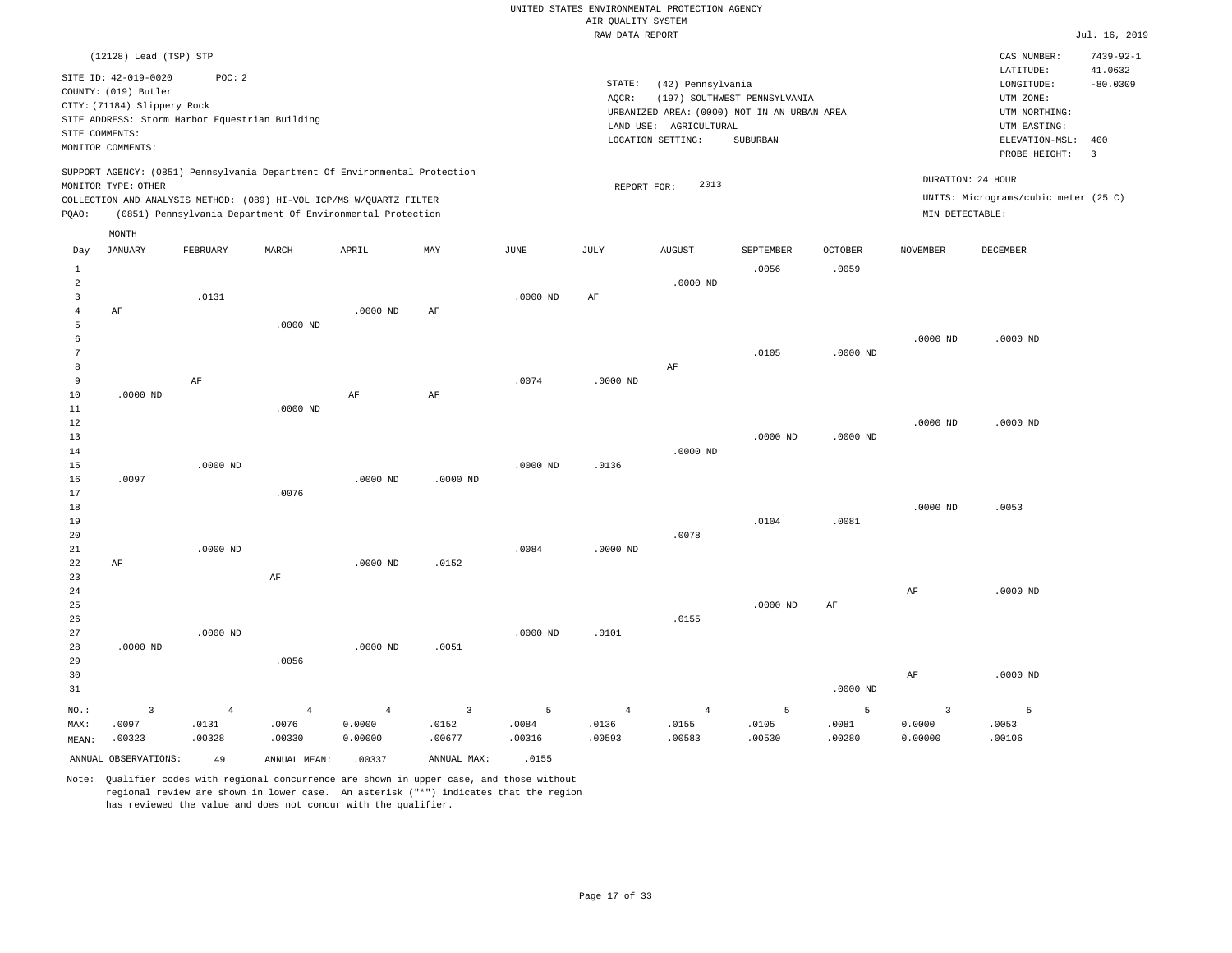|                | (12128) Lead (TSP) STP                                                      |                 |                 |                                                                            |                 |                 |                 |                                                                  |                              |                 |                   | CAS NUMBER:                                           | $7439 - 92 - 1$         |
|----------------|-----------------------------------------------------------------------------|-----------------|-----------------|----------------------------------------------------------------------------|-----------------|-----------------|-----------------|------------------------------------------------------------------|------------------------------|-----------------|-------------------|-------------------------------------------------------|-------------------------|
|                | SITE ID: 42-019-0020<br>COUNTY: (019) Butler<br>CITY: (71184) Slippery Rock | POC: 2          |                 |                                                                            |                 |                 | STATE:<br>AQCR: | (42) Pennsylvania<br>URBANIZED AREA: (0000) NOT IN AN URBAN AREA | (197) SOUTHWEST PENNSYLVANIA |                 |                   | LATITUDE:<br>LONGITUDE:<br>UTM ZONE:<br>UTM NORTHING: | 41.0632<br>$-80.0309$   |
| SITE COMMENTS: | SITE ADDRESS: Storm Harbor Equestrian Building                              |                 |                 |                                                                            |                 |                 |                 | LAND USE: AGRICULTURAL                                           |                              |                 |                   | UTM EASTING:                                          |                         |
|                | MONITOR COMMENTS:                                                           |                 |                 |                                                                            |                 |                 |                 | LOCATION SETTING:                                                | SUBURBAN                     |                 |                   | ELEVATION-MSL:                                        | 400                     |
|                |                                                                             |                 |                 |                                                                            |                 |                 |                 |                                                                  |                              |                 |                   | PROBE HEIGHT:                                         | $\overline{\mathbf{3}}$ |
|                | MONITOR TYPE: OTHER                                                         |                 |                 | SUPPORT AGENCY: (0851) Pennsylvania Department Of Environmental Protection |                 |                 | REPORT FOR:     | 2013                                                             |                              |                 | DURATION: 24 HOUR |                                                       |                         |
|                |                                                                             |                 |                 | COLLECTION AND ANALYSIS METHOD: (089) HI-VOL ICP/MS W/QUARTZ FILTER        |                 |                 |                 |                                                                  |                              |                 |                   | UNITS: Micrograms/cubic meter (25 C)                  |                         |
| PQAO:          |                                                                             |                 |                 | (0851) Pennsylvania Department Of Environmental Protection                 |                 |                 |                 |                                                                  |                              |                 | MIN DETECTABLE:   |                                                       |                         |
|                | MONTH                                                                       |                 |                 |                                                                            |                 |                 |                 |                                                                  |                              |                 |                   |                                                       |                         |
| Day            | <b>JANUARY</b>                                                              | FEBRUARY        | MARCH           | APRIL                                                                      | MAY             | <b>JUNE</b>     | JULY            | <b>AUGUST</b>                                                    | SEPTEMBER                    | <b>OCTOBER</b>  | <b>NOVEMBER</b>   | <b>DECEMBER</b>                                       |                         |
| 1              |                                                                             |                 |                 |                                                                            |                 |                 |                 |                                                                  | .0056                        | .0059           |                   |                                                       |                         |
| $\overline{a}$ |                                                                             |                 |                 |                                                                            |                 |                 |                 | $.0000$ ND                                                       |                              |                 |                   |                                                       |                         |
| $\overline{3}$ |                                                                             | .0131           |                 |                                                                            |                 | $.0000$ ND      | AF              |                                                                  |                              |                 |                   |                                                       |                         |
| $\bf{4}$       | $\rm AF$                                                                    |                 |                 | $.0000$ ND                                                                 | AF              |                 |                 |                                                                  |                              |                 |                   |                                                       |                         |
| 5              |                                                                             |                 | $.0000$ ND      |                                                                            |                 |                 |                 |                                                                  |                              |                 |                   |                                                       |                         |
| 6              |                                                                             |                 |                 |                                                                            |                 |                 |                 |                                                                  |                              |                 | $.0000$ ND        | $.0000$ ND                                            |                         |
| $\overline{7}$ |                                                                             |                 |                 |                                                                            |                 |                 |                 |                                                                  | .0105                        | $.0000$ ND      |                   |                                                       |                         |
| 8              |                                                                             |                 |                 |                                                                            |                 |                 |                 | $\rm{AF}$                                                        |                              |                 |                   |                                                       |                         |
| 9              |                                                                             | $\rm AF$        |                 |                                                                            |                 | .0074           | $.0000$ ND      |                                                                  |                              |                 |                   |                                                       |                         |
| 10             | $.0000$ ND                                                                  |                 |                 | AF                                                                         | AF              |                 |                 |                                                                  |                              |                 |                   |                                                       |                         |
| 11             |                                                                             |                 | $.0000$ ND      |                                                                            |                 |                 |                 |                                                                  |                              |                 |                   |                                                       |                         |
| 12             |                                                                             |                 |                 |                                                                            |                 |                 |                 |                                                                  | $.0000$ ND                   |                 | $.0000$ ND        | $.0000$ ND                                            |                         |
| 13<br>14       |                                                                             |                 |                 |                                                                            |                 |                 |                 | $.0000$ ND                                                       |                              | $.0000$ ND      |                   |                                                       |                         |
| 15             |                                                                             | $.0000$ ND      |                 |                                                                            |                 | .0000 ND        | .0136           |                                                                  |                              |                 |                   |                                                       |                         |
| 16             | .0097                                                                       |                 |                 | $.0000$ ND                                                                 | .0000 ND        |                 |                 |                                                                  |                              |                 |                   |                                                       |                         |
| 17             |                                                                             |                 | .0076           |                                                                            |                 |                 |                 |                                                                  |                              |                 |                   |                                                       |                         |
| 18             |                                                                             |                 |                 |                                                                            |                 |                 |                 |                                                                  |                              |                 | $.0000$ ND        | .0053                                                 |                         |
| 19             |                                                                             |                 |                 |                                                                            |                 |                 |                 |                                                                  | .0104                        | .0081           |                   |                                                       |                         |
| 20             |                                                                             |                 |                 |                                                                            |                 |                 |                 | .0078                                                            |                              |                 |                   |                                                       |                         |
| 21             |                                                                             | $.0000$ ND      |                 |                                                                            |                 | .0084           | $.0000$ ND      |                                                                  |                              |                 |                   |                                                       |                         |
| 22             | AF                                                                          |                 |                 | $.0000$ ND                                                                 | .0152           |                 |                 |                                                                  |                              |                 |                   |                                                       |                         |
| 23             |                                                                             |                 | AF              |                                                                            |                 |                 |                 |                                                                  |                              |                 |                   |                                                       |                         |
| 24             |                                                                             |                 |                 |                                                                            |                 |                 |                 |                                                                  |                              |                 | AF                | $.0000$ ND                                            |                         |
| 25             |                                                                             |                 |                 |                                                                            |                 |                 |                 |                                                                  | $.0000$ ND                   | AF              |                   |                                                       |                         |
| 26<br>27       |                                                                             |                 |                 |                                                                            |                 |                 |                 | .0155                                                            |                              |                 |                   |                                                       |                         |
| 28             | $.0000$ ND                                                                  | $.0000$ ND      |                 | .0000 ND                                                                   | .0051           | $.0000$ ND      | .0101           |                                                                  |                              |                 |                   |                                                       |                         |
| 29             |                                                                             |                 | .0056           |                                                                            |                 |                 |                 |                                                                  |                              |                 |                   |                                                       |                         |
| 30             |                                                                             |                 |                 |                                                                            |                 |                 |                 |                                                                  |                              |                 | AF                | $.0000$ ND                                            |                         |
| 31             |                                                                             |                 |                 |                                                                            |                 |                 |                 |                                                                  |                              | $.0000$ ND      |                   |                                                       |                         |
|                |                                                                             |                 |                 |                                                                            |                 |                 |                 |                                                                  |                              |                 |                   |                                                       |                         |
| $_{\rm NO.}$ : | 3                                                                           | $\overline{4}$  | $\overline{4}$  | $\overline{4}$                                                             | $\overline{3}$  | 5               | $\overline{4}$  | $\overline{4}$                                                   | $\overline{5}$               | 5               | $\overline{3}$    | 5                                                     |                         |
| MAX:<br>MEAN:  | .0097<br>.00323                                                             | .0131<br>.00328 | .0076<br>.00330 | 0.0000<br>0.00000                                                          | .0152<br>.00677 | .0084<br>.00316 | .0136<br>.00593 | .0155<br>.00583                                                  | .0105<br>.00530              | .0081<br>.00280 | 0.0000<br>0.00000 | .0053<br>.00106                                       |                         |
|                |                                                                             |                 |                 |                                                                            |                 |                 |                 |                                                                  |                              |                 |                   |                                                       |                         |
|                | ANNUAL OBSERVATIONS:                                                        | 49              | ANNUAL MEAN:    | .00337                                                                     | ANNUAL MAX:     | .0155           |                 |                                                                  |                              |                 |                   |                                                       |                         |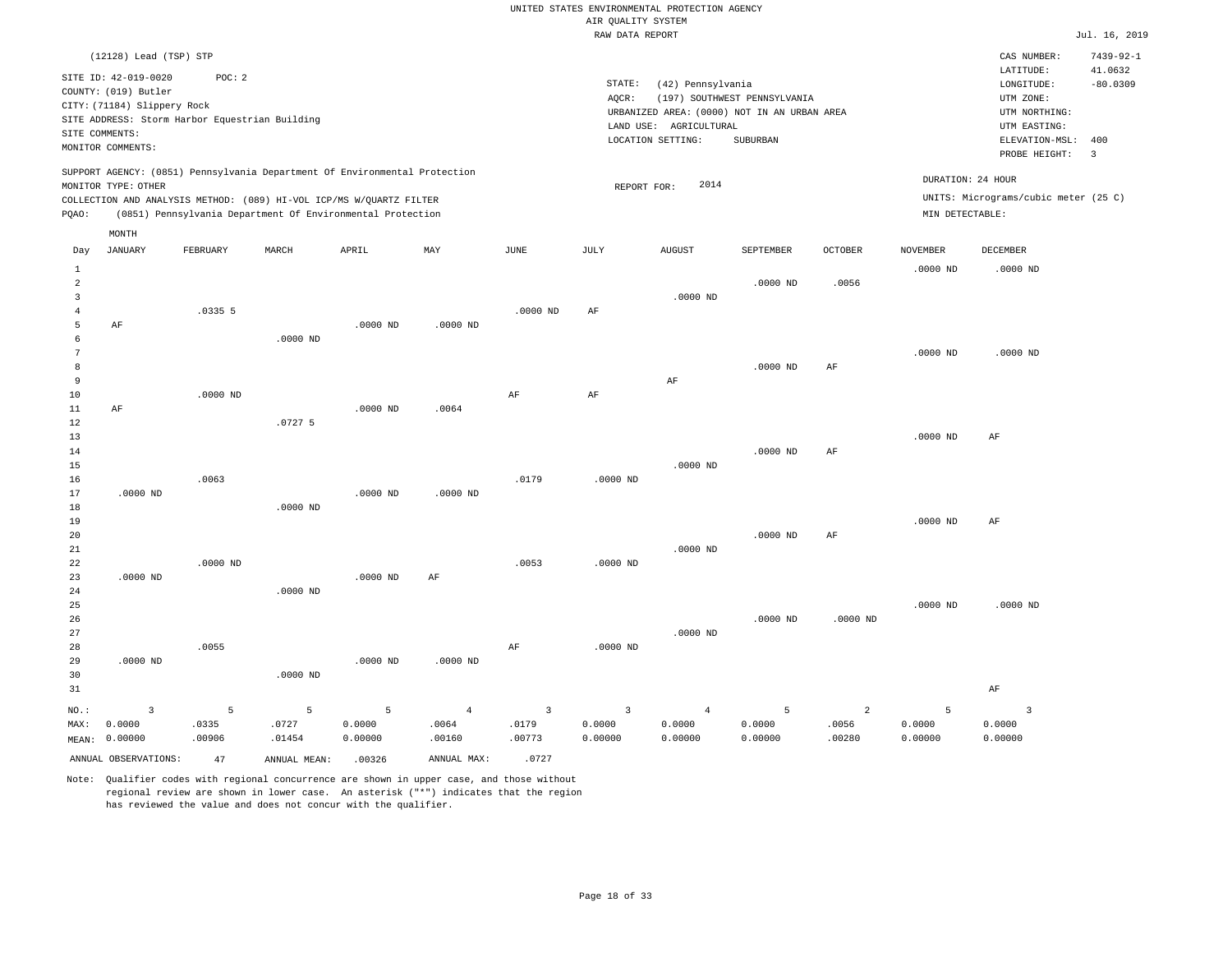|                           | (12128) Lead (TSP) STP                                                      |            |                                                                                                                                   |            |                |                |                 |                        |                                             |                |                   | CAS NUMBER:                          | $7439 - 92 - 1$         |
|---------------------------|-----------------------------------------------------------------------------|------------|-----------------------------------------------------------------------------------------------------------------------------------|------------|----------------|----------------|-----------------|------------------------|---------------------------------------------|----------------|-------------------|--------------------------------------|-------------------------|
|                           | SITE ID: 42-019-0020<br>COUNTY: (019) Butler<br>CITY: (71184) Slippery Rock | POC: 2     |                                                                                                                                   |            |                |                | STATE:<br>AOCR: | (42) Pennsylvania      | (197) SOUTHWEST PENNSYLVANIA                |                |                   | LATITUDE:<br>LONGITUDE:<br>UTM ZONE: | 41.0632<br>$-80.0309$   |
|                           | SITE ADDRESS: Storm Harbor Equestrian Building                              |            |                                                                                                                                   |            |                |                |                 | LAND USE: AGRICULTURAL | URBANIZED AREA: (0000) NOT IN AN URBAN AREA |                |                   | UTM NORTHING:<br>UTM EASTING:        |                         |
|                           | SITE COMMENTS:                                                              |            |                                                                                                                                   |            |                |                |                 | LOCATION SETTING:      | SUBURBAN                                    |                |                   | ELEVATION-MSL:                       | 400                     |
|                           | MONITOR COMMENTS:                                                           |            |                                                                                                                                   |            |                |                |                 |                        |                                             |                |                   | PROBE HEIGHT:                        | $\overline{\mathbf{3}}$ |
|                           | MONITOR TYPE: OTHER                                                         |            | SUPPORT AGENCY: (0851) Pennsylvania Department Of Environmental Protection                                                        |            |                |                | REPORT FOR:     | 2014                   |                                             |                | DURATION: 24 HOUR |                                      |                         |
| PQAO:                     |                                                                             |            | COLLECTION AND ANALYSIS METHOD: (089) HI-VOL ICP/MS W/QUARTZ FILTER<br>(0851) Pennsylvania Department Of Environmental Protection |            |                |                |                 |                        |                                             |                | MIN DETECTABLE:   | UNITS: Micrograms/cubic meter (25 C) |                         |
|                           | MONTH                                                                       |            |                                                                                                                                   |            |                |                |                 |                        |                                             |                |                   |                                      |                         |
| Day                       | JANUARY                                                                     | FEBRUARY   | MARCH                                                                                                                             | APRIL      | MAY            | JUNE           | JULY            | <b>AUGUST</b>          | SEPTEMBER                                   | OCTOBER        | <b>NOVEMBER</b>   | DECEMBER                             |                         |
| $\,1\,$<br>$\overline{a}$ |                                                                             |            |                                                                                                                                   |            |                |                |                 |                        | $.0000$ ND                                  | .0056          | $.0000$ ND        | $.0000$ ND                           |                         |
| $\overline{3}$            |                                                                             |            |                                                                                                                                   |            |                |                |                 | $.0000$ ND             |                                             |                |                   |                                      |                         |
| $\overline{4}$            |                                                                             | .03355     |                                                                                                                                   |            |                | $.0000$ ND     | AF              |                        |                                             |                |                   |                                      |                         |
| 5<br>6                    | AF                                                                          |            | $.0000$ ND                                                                                                                        | $.0000$ ND | $.0000$ ND     |                |                 |                        |                                             |                |                   |                                      |                         |
| $7\phantom{.0}$           |                                                                             |            |                                                                                                                                   |            |                |                |                 |                        |                                             |                | $.0000$ ND        | $.0000$ ND                           |                         |
| 8                         |                                                                             |            |                                                                                                                                   |            |                |                |                 |                        | $.0000$ ND                                  | AF             |                   |                                      |                         |
| 9                         |                                                                             |            |                                                                                                                                   |            |                |                |                 | AF                     |                                             |                |                   |                                      |                         |
| 10                        |                                                                             | $.0000$ ND |                                                                                                                                   |            |                | $\rm{AF}$      | $\rm{AF}$       |                        |                                             |                |                   |                                      |                         |
| 11<br>12                  | AF                                                                          |            | .07275                                                                                                                            | $.0000$ ND | .0064          |                |                 |                        |                                             |                |                   |                                      |                         |
| 13                        |                                                                             |            |                                                                                                                                   |            |                |                |                 |                        |                                             |                | $.0000$ ND        | AF                                   |                         |
| 14                        |                                                                             |            |                                                                                                                                   |            |                |                |                 |                        | $.0000$ ND                                  | AF             |                   |                                      |                         |
| 15                        |                                                                             |            |                                                                                                                                   |            |                |                |                 | $.0000$ ND             |                                             |                |                   |                                      |                         |
| 16<br>17                  | $.0000$ ND                                                                  | .0063      |                                                                                                                                   | $.0000$ ND | $.0000$ ND     | .0179          | .0000 ND        |                        |                                             |                |                   |                                      |                         |
| 18                        |                                                                             |            | $.0000$ ND                                                                                                                        |            |                |                |                 |                        |                                             |                |                   |                                      |                         |
| 19                        |                                                                             |            |                                                                                                                                   |            |                |                |                 |                        |                                             |                | $.0000$ ND        | AF                                   |                         |
| 20                        |                                                                             |            |                                                                                                                                   |            |                |                |                 |                        | $.0000$ ND                                  | $\rm AF$       |                   |                                      |                         |
| 21                        |                                                                             |            |                                                                                                                                   |            |                |                |                 | $.0000$ ND             |                                             |                |                   |                                      |                         |
| 22<br>23                  | $.0000$ ND                                                                  | $.0000$ ND |                                                                                                                                   | $.0000$ ND | AF             | .0053          | $.0000$ ND      |                        |                                             |                |                   |                                      |                         |
| 24                        |                                                                             |            | $.0000$ ND                                                                                                                        |            |                |                |                 |                        |                                             |                |                   |                                      |                         |
| 25                        |                                                                             |            |                                                                                                                                   |            |                |                |                 |                        |                                             |                | $.0000$ ND        | $.0000$ ND                           |                         |
| 26                        |                                                                             |            |                                                                                                                                   |            |                |                |                 |                        | $.0000$ ND                                  | $.0000$ ND     |                   |                                      |                         |
| 27                        |                                                                             |            |                                                                                                                                   |            |                |                |                 | $.0000$ ND             |                                             |                |                   |                                      |                         |
| 28                        |                                                                             | .0055      |                                                                                                                                   |            |                | $\rm{AF}$      | $.0000$ ND      |                        |                                             |                |                   |                                      |                         |
| 29<br>30                  | $.0000$ ND                                                                  |            | $.0000$ ND                                                                                                                        | $.0000$ ND | $.0000$ ND     |                |                 |                        |                                             |                |                   |                                      |                         |
| 31                        |                                                                             |            |                                                                                                                                   |            |                |                |                 |                        |                                             |                |                   | AF                                   |                         |
| NO.:                      | $\overline{3}$                                                              | 5          | 5                                                                                                                                 | 5          | $\overline{4}$ | $\overline{3}$ | $\overline{3}$  | $\overline{4}$         | 5                                           | $\overline{a}$ | 5                 | $\overline{3}$                       |                         |
| MAX:                      | 0.0000                                                                      | .0335      | .0727                                                                                                                             | 0.0000     | .0064          | .0179          | 0.0000          | 0.0000                 | 0.0000                                      | .0056          | 0.0000            | 0.0000                               |                         |
| MEAN:                     | 0.00000                                                                     | .00906     | .01454                                                                                                                            | 0.00000    | .00160         | .00773         | 0.00000         | 0.00000                | 0.00000                                     | .00280         | 0.00000           | 0.00000                              |                         |
|                           | ANNUAL OBSERVATIONS:                                                        | 47         | ANNUAL MEAN:                                                                                                                      | .00326     | ANNUAL MAX:    | .0727          |                 |                        |                                             |                |                   |                                      |                         |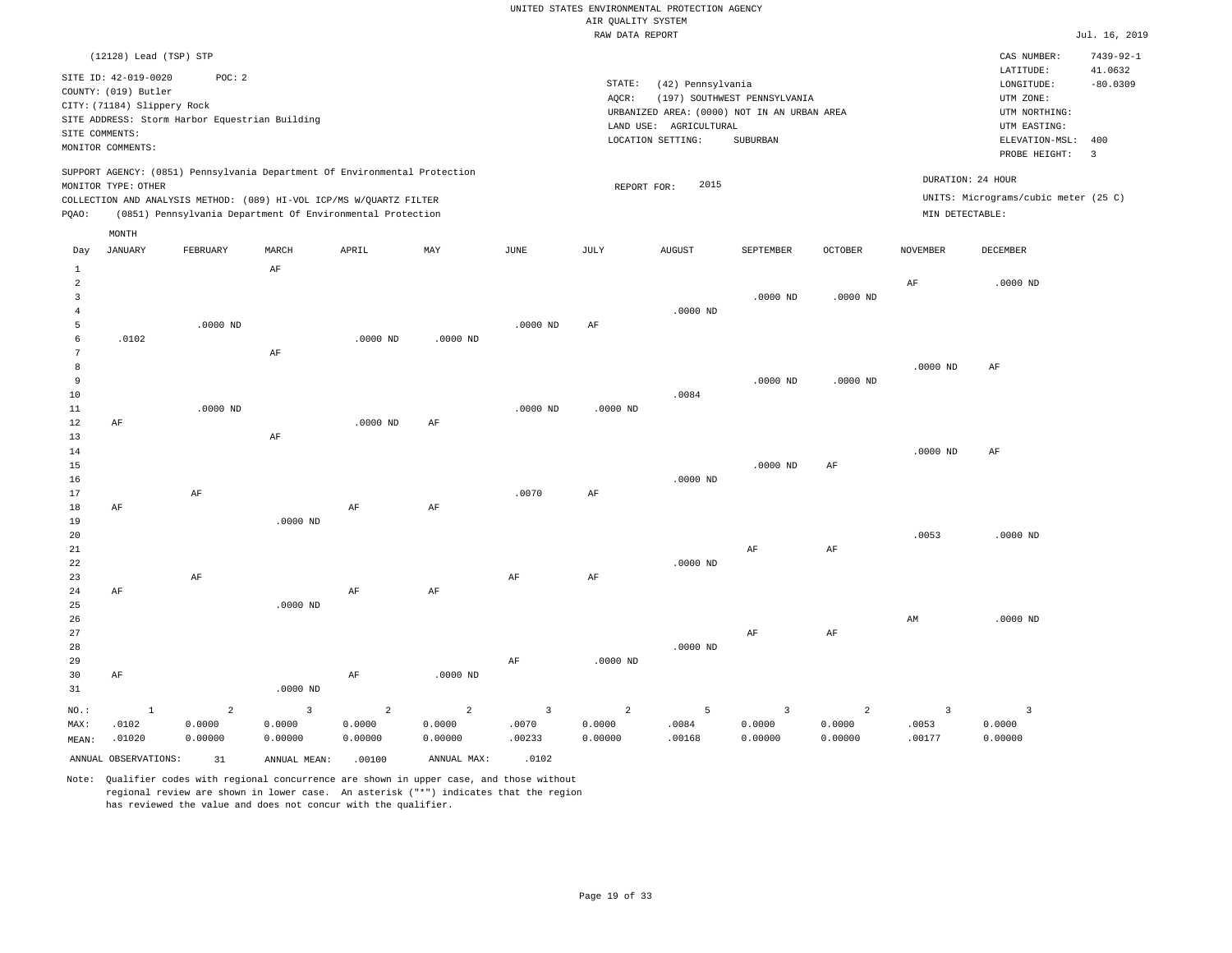|                |                             |                                                |                                                                            |                |                |                | RAW DATA REPORT |                                             |                              |                |                 |                                      | Jul. 16, 2019   |
|----------------|-----------------------------|------------------------------------------------|----------------------------------------------------------------------------|----------------|----------------|----------------|-----------------|---------------------------------------------|------------------------------|----------------|-----------------|--------------------------------------|-----------------|
|                | (12128) Lead (TSP) STP      |                                                |                                                                            |                |                |                |                 |                                             |                              |                |                 | CAS NUMBER:                          | $7439 - 92 - 1$ |
|                | SITE ID: 42-019-0020        | POC: 2                                         |                                                                            |                |                |                |                 |                                             |                              |                |                 | LATITUDE:                            | 41.0632         |
|                | COUNTY: (019) Butler        |                                                |                                                                            |                |                |                | STATE:          | (42) Pennsylvania                           |                              |                |                 | LONGITUDE:                           | $-80.0309$      |
|                | CITY: (71184) Slippery Rock |                                                |                                                                            |                |                |                | AQCR:           |                                             | (197) SOUTHWEST PENNSYLVANIA |                |                 | UTM ZONE:                            |                 |
|                |                             | SITE ADDRESS: Storm Harbor Equestrian Building |                                                                            |                |                |                |                 | URBANIZED AREA: (0000) NOT IN AN URBAN AREA |                              |                |                 | UTM NORTHING:                        |                 |
|                | SITE COMMENTS:              |                                                |                                                                            |                |                |                |                 | LAND USE: AGRICULTURAL                      |                              |                |                 | UTM EASTING:                         |                 |
|                | MONITOR COMMENTS:           |                                                |                                                                            |                |                |                |                 | LOCATION SETTING:                           | SUBURBAN                     |                |                 | ELEVATION-MSL:                       | 400             |
|                |                             |                                                |                                                                            |                |                |                |                 |                                             |                              |                |                 | PROBE HEIGHT:                        | $\overline{3}$  |
|                |                             |                                                | SUPPORT AGENCY: (0851) Pennsylvania Department Of Environmental Protection |                |                |                |                 |                                             |                              |                |                 | DURATION: 24 HOUR                    |                 |
|                | MONITOR TYPE: OTHER         |                                                |                                                                            |                |                |                | REPORT FOR:     | 2015                                        |                              |                |                 |                                      |                 |
|                |                             |                                                | COLLECTION AND ANALYSIS METHOD: (089) HI-VOL ICP/MS W/QUARTZ FILTER        |                |                |                |                 |                                             |                              |                |                 | UNITS: Micrograms/cubic meter (25 C) |                 |
| PQAO:          |                             |                                                | (0851) Pennsylvania Department Of Environmental Protection                 |                |                |                |                 |                                             |                              |                | MIN DETECTABLE: |                                      |                 |
|                | MONTH                       |                                                |                                                                            |                |                |                |                 |                                             |                              |                |                 |                                      |                 |
| Day            | <b>JANUARY</b>              | FEBRUARY                                       | MARCH                                                                      | APRIL          | MAY            | JUNE           | JULY            | <b>AUGUST</b>                               | SEPTEMBER                    | <b>OCTOBER</b> | <b>NOVEMBER</b> | DECEMBER                             |                 |
| $\mathbf{1}$   |                             |                                                | $\rm AF$                                                                   |                |                |                |                 |                                             |                              |                |                 |                                      |                 |
| $\overline{a}$ |                             |                                                |                                                                            |                |                |                |                 |                                             |                              |                | AF              | $.0000$ ND                           |                 |
| $\overline{3}$ |                             |                                                |                                                                            |                |                |                |                 |                                             | $.0000$ ND                   | $.0000$ ND     |                 |                                      |                 |
| $\overline{4}$ |                             |                                                |                                                                            |                |                |                |                 | $.0000$ ND                                  |                              |                |                 |                                      |                 |
| 5<br>6         | .0102                       | $.0000$ ND                                     |                                                                            | $.0000$ ND     | $.0000$ ND     | $.0000$ ND     | $\rm AF$        |                                             |                              |                |                 |                                      |                 |
| 7              |                             |                                                | $\rm AF$                                                                   |                |                |                |                 |                                             |                              |                |                 |                                      |                 |
| 8              |                             |                                                |                                                                            |                |                |                |                 |                                             |                              |                | $.0000$ ND      | AF                                   |                 |
| $\overline{9}$ |                             |                                                |                                                                            |                |                |                |                 |                                             | $.0000$ ND                   | .0000 ND       |                 |                                      |                 |
| 10             |                             |                                                |                                                                            |                |                |                |                 | .0084                                       |                              |                |                 |                                      |                 |
| 11             |                             | $.0000$ ND                                     |                                                                            |                |                | .0000 ND       | $.0000$ ND      |                                             |                              |                |                 |                                      |                 |
| 12             | AF                          |                                                |                                                                            | .0000 ND       | AF             |                |                 |                                             |                              |                |                 |                                      |                 |
| 13             |                             |                                                | AF                                                                         |                |                |                |                 |                                             |                              |                |                 |                                      |                 |
| 14             |                             |                                                |                                                                            |                |                |                |                 |                                             |                              |                | $.0000$ ND      | AF                                   |                 |
| 15             |                             |                                                |                                                                            |                |                |                |                 |                                             | $.0000$ ND                   | AF             |                 |                                      |                 |
| 16             |                             |                                                |                                                                            |                |                |                |                 | $.0000$ ND                                  |                              |                |                 |                                      |                 |
| 17             |                             | AF                                             |                                                                            |                |                | .0070          | AF              |                                             |                              |                |                 |                                      |                 |
| 18             | AF                          |                                                |                                                                            | $\rm{AF}$      | AF             |                |                 |                                             |                              |                |                 |                                      |                 |
| 19             |                             |                                                | .0000 ND                                                                   |                |                |                |                 |                                             |                              |                |                 |                                      |                 |
| 20             |                             |                                                |                                                                            |                |                |                |                 |                                             |                              |                | .0053           | $.0000$ ND                           |                 |
| 21             |                             |                                                |                                                                            |                |                |                |                 |                                             | AF                           | AF             |                 |                                      |                 |
| 22             |                             |                                                |                                                                            |                |                |                |                 | $.0000$ ND                                  |                              |                |                 |                                      |                 |
| 23             |                             | AF                                             |                                                                            |                |                | AF             | AF              |                                             |                              |                |                 |                                      |                 |
| 24<br>25       | AF                          |                                                | $.0000$ ND                                                                 | AF             | AF             |                |                 |                                             |                              |                |                 |                                      |                 |
| 26             |                             |                                                |                                                                            |                |                |                |                 |                                             |                              |                | AM              | .0000 ND                             |                 |
| 27             |                             |                                                |                                                                            |                |                |                |                 |                                             | $\rm AF$                     | AF             |                 |                                      |                 |
| 28             |                             |                                                |                                                                            |                |                |                |                 | $.0000$ ND                                  |                              |                |                 |                                      |                 |
| 29             |                             |                                                |                                                                            |                |                | AF             | $.0000$ ND      |                                             |                              |                |                 |                                      |                 |
| 30             | AF                          |                                                |                                                                            | AF             | $.0000$ ND     |                |                 |                                             |                              |                |                 |                                      |                 |
| 31             |                             |                                                | .0000 ND                                                                   |                |                |                |                 |                                             |                              |                |                 |                                      |                 |
|                |                             |                                                |                                                                            |                |                |                |                 |                                             |                              |                |                 |                                      |                 |
| NO.:           | $\mathbf{1}$                | $\overline{a}$                                 | $\overline{3}$                                                             | $\overline{a}$ | $\overline{a}$ | $\overline{3}$ | $\overline{a}$  | 5                                           | $\overline{3}$               | $\overline{2}$ | $\overline{3}$  | $\overline{3}$                       |                 |
| MAX:           | .0102                       | 0.0000                                         | 0.0000                                                                     | 0.0000         | 0.0000         | .0070          | 0.0000          | .0084                                       | 0.0000                       | 0.0000         | .0053           | 0.0000                               |                 |
| MEAN:          | .01020                      | 0.00000                                        | 0.00000                                                                    | 0.00000        | 0.00000        | .00233         | 0.00000         | .00168                                      | 0.00000                      | 0.00000        | .00177          | 0.00000                              |                 |
|                | ANNUAL OBSERVATIONS:        | 31                                             | ANNUAL MEAN:                                                               | .00100         | ANNUAL MAX:    | .0102          |                 |                                             |                              |                |                 |                                      |                 |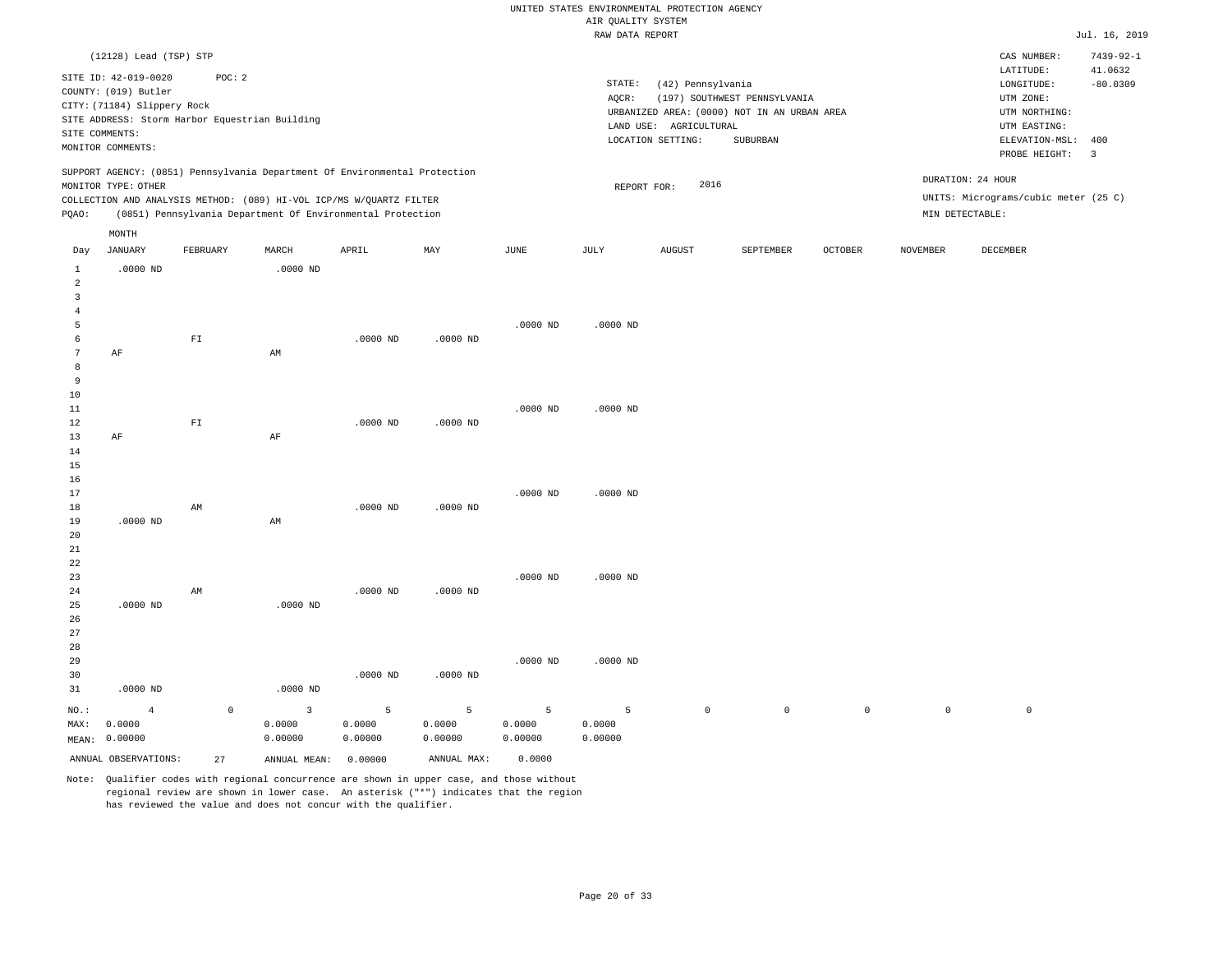|                |                             |                          |                                                                            |            |            |             | RAW DATA REPORT |                        |                                             |                |                     |                                      | Jul. 16, 2019           |
|----------------|-----------------------------|--------------------------|----------------------------------------------------------------------------|------------|------------|-------------|-----------------|------------------------|---------------------------------------------|----------------|---------------------|--------------------------------------|-------------------------|
|                | (12128) Lead (TSP) STP      |                          |                                                                            |            |            |             |                 |                        |                                             |                |                     | CAS NUMBER:                          | $7439 - 92 - 1$         |
|                | SITE ID: 42-019-0020        | POC: 2                   |                                                                            |            |            |             | STATE:          |                        |                                             |                |                     | LATITUDE:                            | 41.0632                 |
|                | COUNTY: (019) Butler        |                          |                                                                            |            |            |             | AQCR:           | (42) Pennsylvania      | (197) SOUTHWEST PENNSYLVANIA                |                |                     | LONGITUDE:<br>UTM ZONE:              | $-80.0309$              |
|                | CITY: (71184) Slippery Rock |                          |                                                                            |            |            |             |                 |                        | URBANIZED AREA: (0000) NOT IN AN URBAN AREA |                |                     | UTM NORTHING:                        |                         |
|                |                             |                          | SITE ADDRESS: Storm Harbor Equestrian Building                             |            |            |             |                 | LAND USE: AGRICULTURAL |                                             |                |                     | UTM EASTING:                         |                         |
|                | SITE COMMENTS:              |                          |                                                                            |            |            |             |                 | LOCATION SETTING:      | <b>SUBURBAN</b>                             |                |                     | ELEVATION-MSL:                       | 400                     |
|                | MONITOR COMMENTS:           |                          |                                                                            |            |            |             |                 |                        |                                             |                |                     | PROBE HEIGHT:                        | $\overline{\mathbf{3}}$ |
|                |                             |                          | SUPPORT AGENCY: (0851) Pennsylvania Department Of Environmental Protection |            |            |             |                 |                        |                                             |                |                     |                                      |                         |
|                | MONITOR TYPE: OTHER         |                          |                                                                            |            |            |             |                 | 2016<br>REPORT FOR:    |                                             |                |                     | DURATION: 24 HOUR                    |                         |
|                |                             |                          | COLLECTION AND ANALYSIS METHOD: (089) HI-VOL ICP/MS W/QUARTZ FILTER        |            |            |             |                 |                        |                                             |                |                     | UNITS: Micrograms/cubic meter (25 C) |                         |
| PQAO:          |                             |                          | (0851) Pennsylvania Department Of Environmental Protection                 |            |            |             |                 |                        |                                             |                |                     | MIN DETECTABLE:                      |                         |
|                | MONTH                       |                          |                                                                            |            |            |             |                 |                        |                                             |                |                     |                                      |                         |
| Day            | <b>JANUARY</b>              | FEBRUARY                 | MARCH                                                                      | APRIL      | MAY        | <b>JUNE</b> | JULY            | <b>AUGUST</b>          | SEPTEMBER                                   | <b>OCTOBER</b> | <b>NOVEMBER</b>     | DECEMBER                             |                         |
| $\mathbf{1}$   | $.0000$ ND                  |                          | $.0000$ ND                                                                 |            |            |             |                 |                        |                                             |                |                     |                                      |                         |
| $\overline{2}$ |                             |                          |                                                                            |            |            |             |                 |                        |                                             |                |                     |                                      |                         |
| $\overline{3}$ |                             |                          |                                                                            |            |            |             |                 |                        |                                             |                |                     |                                      |                         |
| $\overline{4}$ |                             |                          |                                                                            |            |            |             |                 |                        |                                             |                |                     |                                      |                         |
| 5              |                             |                          |                                                                            |            |            | $.0000$ ND  | $.0000$ ND      |                        |                                             |                |                     |                                      |                         |
| 6              |                             | ${\rm FT}$               |                                                                            | $.0000$ ND | $.0000$ ND |             |                 |                        |                                             |                |                     |                                      |                         |
| 7              | AF                          |                          | AM                                                                         |            |            |             |                 |                        |                                             |                |                     |                                      |                         |
| 8              |                             |                          |                                                                            |            |            |             |                 |                        |                                             |                |                     |                                      |                         |
| $\overline{9}$ |                             |                          |                                                                            |            |            |             |                 |                        |                                             |                |                     |                                      |                         |
| 10             |                             |                          |                                                                            |            |            |             |                 |                        |                                             |                |                     |                                      |                         |
| 11             |                             | $\mathbb{F} \mathbbm{I}$ |                                                                            |            |            | $.0000$ ND  | $.0000$ ND      |                        |                                             |                |                     |                                      |                         |
| 12<br>13       | AF                          |                          | $\rm AF$                                                                   | $.0000$ ND | $.0000$ ND |             |                 |                        |                                             |                |                     |                                      |                         |
| 14             |                             |                          |                                                                            |            |            |             |                 |                        |                                             |                |                     |                                      |                         |
| 15             |                             |                          |                                                                            |            |            |             |                 |                        |                                             |                |                     |                                      |                         |
| 16             |                             |                          |                                                                            |            |            |             |                 |                        |                                             |                |                     |                                      |                         |
| 17             |                             |                          |                                                                            |            |            | $.0000$ ND  | $.0000$ ND      |                        |                                             |                |                     |                                      |                         |
| 18             |                             | AM                       |                                                                            | $.0000$ ND | $.0000$ ND |             |                 |                        |                                             |                |                     |                                      |                         |
| 19             | $.0000$ ND                  |                          | AM                                                                         |            |            |             |                 |                        |                                             |                |                     |                                      |                         |
| 20             |                             |                          |                                                                            |            |            |             |                 |                        |                                             |                |                     |                                      |                         |
| 21             |                             |                          |                                                                            |            |            |             |                 |                        |                                             |                |                     |                                      |                         |
| 22             |                             |                          |                                                                            |            |            |             |                 |                        |                                             |                |                     |                                      |                         |
| 23             |                             |                          |                                                                            |            |            | $.0000$ ND  | $.0000$ ND      |                        |                                             |                |                     |                                      |                         |
| 24             |                             | AM                       |                                                                            | $.0000$ ND | $.0000$ ND |             |                 |                        |                                             |                |                     |                                      |                         |
| 25             | $.0000$ ND                  |                          | $.0000$ ND                                                                 |            |            |             |                 |                        |                                             |                |                     |                                      |                         |
| 26             |                             |                          |                                                                            |            |            |             |                 |                        |                                             |                |                     |                                      |                         |
| 27             |                             |                          |                                                                            |            |            |             |                 |                        |                                             |                |                     |                                      |                         |
| 28             |                             |                          |                                                                            |            |            |             |                 |                        |                                             |                |                     |                                      |                         |
| 29             |                             |                          |                                                                            |            |            | $.0000$ ND  | $.0000$ ND      |                        |                                             |                |                     |                                      |                         |
| 30             |                             |                          |                                                                            | $.0000$ ND | $.0000$ ND |             |                 |                        |                                             |                |                     |                                      |                         |
| 31             | $.0000$ ND                  |                          | $.0000$ ND                                                                 |            |            |             |                 |                        |                                             |                |                     |                                      |                         |
| $NO.$ :        | $\overline{4}$              | $\mathbb O$              | $\overline{3}$                                                             | 5          | 5          | 5           | 5               | $\mathsf{O}\xspace$    | $\circ$                                     | $\mathsf{O}$   | $\mathsf{O}\xspace$ | $\mathbb O$                          |                         |
| MAX:           | 0.0000                      |                          | 0.0000                                                                     | 0.0000     | 0.0000     | 0.0000      | 0.0000          |                        |                                             |                |                     |                                      |                         |
|                | MEAN: 0.00000               |                          | 0.00000                                                                    | 0.00000    | 0.00000    | 0.00000     | 0.00000         |                        |                                             |                |                     |                                      |                         |

Note: Qualifier codes with regional concurrence are shown in upper case, and those without regional review are shown in lower case. An asterisk ("\*") indicates that the region

ANNUAL OBSERVATIONS: 27 ANNUAL MEAN: 0.00000 ANNUAL MAX: 0.0000

has reviewed the value and does not concur with the qualifier.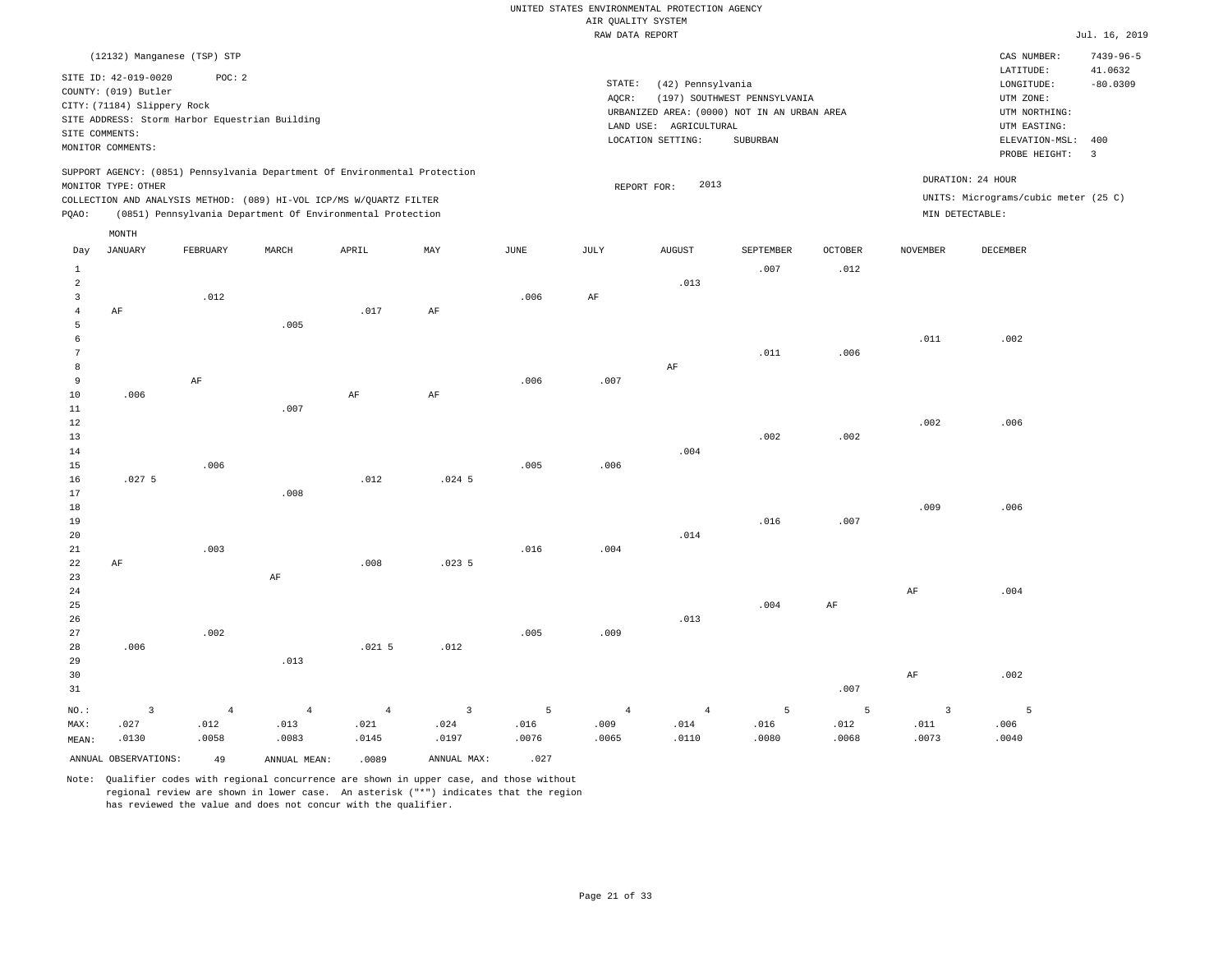|       |                                                     |                                                                                                                                                                                                                 |       |       |     |      |        | RAW DATA REPORT                                                  |                              |         |                 |                                                                              | Jul. 16, 2019   |
|-------|-----------------------------------------------------|-----------------------------------------------------------------------------------------------------------------------------------------------------------------------------------------------------------------|-------|-------|-----|------|--------|------------------------------------------------------------------|------------------------------|---------|-----------------|------------------------------------------------------------------------------|-----------------|
|       |                                                     | (12132) Manganese (TSP) STP                                                                                                                                                                                     |       |       |     |      |        |                                                                  |                              |         |                 | CAS NUMBER:                                                                  | $7439 - 96 - 5$ |
|       | SITE ID: 42-019-0020                                | POC: 2                                                                                                                                                                                                          |       |       |     |      | STATE: |                                                                  |                              |         |                 | LATITUDE:                                                                    | 41.0632         |
|       | COUNTY: (019) Butler<br>CITY: (71184) Slippery Rock |                                                                                                                                                                                                                 |       |       |     |      | AOCR:  | (42) Pennsylvania<br>URBANIZED AREA: (0000) NOT IN AN URBAN AREA | (197) SOUTHWEST PENNSYLVANIA |         |                 | LONGITUDE:<br>UTM ZONE:<br>UTM NORTHING:                                     | $-80.0309$      |
|       | SITE COMMENTS:<br>MONITOR COMMENTS:                 | SITE ADDRESS: Storm Harbor Equestrian Building                                                                                                                                                                  |       |       |     |      |        | AGRICULTURAL<br>LAND USE:<br>LOCATION SETTING:                   | SUBURBAN                     |         |                 | UTM EASTING:<br>ELEVATION-MSL:<br>PROBE HEIGHT:                              | 400<br>3        |
| POAO: | MONITOR TYPE: OTHER                                 | SUPPORT AGENCY: (0851) Pennsylvania Department Of Environmental Protection<br>COLLECTION AND ANALYSIS METHOD: (089) HI-VOL ICP/MS W/OUARTZ FILTER<br>(0851) Pennsylvania Department Of Environmental Protection |       |       |     |      |        | 2013<br>REPORT FOR:                                              |                              |         |                 | DURATION: 24 HOUR<br>UNITS: Micrograms/cubic meter (25 C)<br>MIN DETECTABLE: |                 |
| Day   | MONTH<br>JANUARY                                    | FEBRUARY                                                                                                                                                                                                        | MARCH | APRIL | MAY | JUNE | JULY   | <b>AUGUST</b>                                                    | SEPTEMBER                    | OCTOBER | <b>NOVEMBER</b> | DECEMBER                                                                     |                 |
|       |                                                     |                                                                                                                                                                                                                 |       |       |     |      |        |                                                                  | .007                         | .012    |                 |                                                                              |                 |
| 2     |                                                     |                                                                                                                                                                                                                 |       |       |     |      |        | .013                                                             |                              |         |                 |                                                                              |                 |
|       | AF                                                  | .012                                                                                                                                                                                                            |       | .017  | AF  | .006 | AF     |                                                                  |                              |         |                 |                                                                              |                 |
| 5     |                                                     |                                                                                                                                                                                                                 | .005  |       |     |      |        |                                                                  |                              |         |                 |                                                                              |                 |
|       |                                                     |                                                                                                                                                                                                                 |       |       |     |      |        |                                                                  |                              |         | .011            | .002                                                                         |                 |
|       |                                                     |                                                                                                                                                                                                                 |       |       |     |      |        |                                                                  | .011                         | .006    |                 |                                                                              |                 |

| $\sim$         |       |          |      |      |          |      |      |      | $\cdot$ $\cdot$ $\cdot$ $\cdot$ $\cdot$ | .    |      |      |
|----------------|-------|----------|------|------|----------|------|------|------|-----------------------------------------|------|------|------|
| $^{\rm 8}$     |       |          |      |      |          |      |      | AF   |                                         |      |      |      |
| $\overline{9}$ |       | $\rm AF$ |      |      |          | .006 | .007 |      |                                         |      |      |      |
| $10$           | .006  |          |      | AF   | AF       |      |      |      |                                         |      |      |      |
| $1\,1$         |       |          | .007 |      |          |      |      |      |                                         |      |      |      |
| $1\,2$         |       |          |      |      |          |      |      |      |                                         |      | .002 | .006 |
| $1\,3$         |       |          |      |      |          |      |      |      | .002                                    | .002 |      |      |
| $1\,4$         |       |          |      |      |          |      |      | .004 |                                         |      |      |      |
| $15\,$         |       | .006     |      |      |          | .005 | .006 |      |                                         |      |      |      |
| 16             | .0275 |          |      | .012 | $.024$ 5 |      |      |      |                                         |      |      |      |
| $17$           |       |          | .008 |      |          |      |      |      |                                         |      |      |      |
| $1\,8$         |       |          |      |      |          |      |      |      |                                         |      | .009 | .006 |
| 19             |       |          |      |      |          |      |      |      | .016                                    | .007 |      |      |
| $20\,$         |       |          |      |      |          |      |      | .014 |                                         |      |      |      |
| $_{\rm 21}$    |       | .003     |      |      |          | .016 | .004 |      |                                         |      |      |      |
| $_{\rm 22}$    | AF    |          |      | .008 | .0235    |      |      |      |                                         |      |      |      |
| $23\,$         |       |          | AF   |      |          |      |      |      |                                         |      |      |      |
| $2\,4$         |       |          |      |      |          |      |      |      |                                         |      | AF   | .004 |
| 25             |       |          |      |      |          |      |      |      | .004                                    | AF   |      |      |

| 26      |                         |                 |         |          |                         |       |                | .013           |      |                |      |      |
|---------|-------------------------|-----------------|---------|----------|-------------------------|-------|----------------|----------------|------|----------------|------|------|
| 27      |                         | .002            |         |          |                         | .005  | .009           |                |      |                |      |      |
| 28      | .006                    |                 |         | $.021$ 5 | .012                    |       |                |                |      |                |      |      |
| 29      |                         |                 | .013    |          |                         |       |                |                |      |                |      |      |
| 30      |                         |                 |         |          |                         |       |                |                |      |                | AF   | .001 |
| 31      |                         |                 |         |          |                         |       |                |                |      | .007           |      |      |
| $NO.$ : | $\overline{\mathbf{3}}$ | $4\overline{ }$ | $4 - 4$ | $4 -$    | $\overline{\mathbf{3}}$ | $5 -$ | $\overline{4}$ | $\overline{4}$ | $-5$ | 5 <sup>1</sup> |      |      |
| MAX:    | .027                    | .012            | .013    | .021     | .024                    | .016  | .009           | .014           | .016 | .012           | .011 | .006 |

| MAX:  | .027                 | 012   | .013         | .021  | .024        | .016  | .009  | .014  | .016  | .012  |
|-------|----------------------|-------|--------------|-------|-------------|-------|-------|-------|-------|-------|
| MEAN: | .0130                | .0058 | .0083        | .0145 | .0197       | .0076 | .0065 | .0110 | .0080 | .0068 |
|       | ANNUAL OBSERVATIONS: | 49    | ANNUAL MEAN: | .0089 | ANNUAL MAX: | .027  |       |       |       |       |

Note: Qualifier codes with regional concurrence are shown in upper case, and those without regional review are shown in lower case. An asterisk ("\*") indicates that the region has reviewed the value and does not concur with the qualifier.

.002

.0040

5

.0073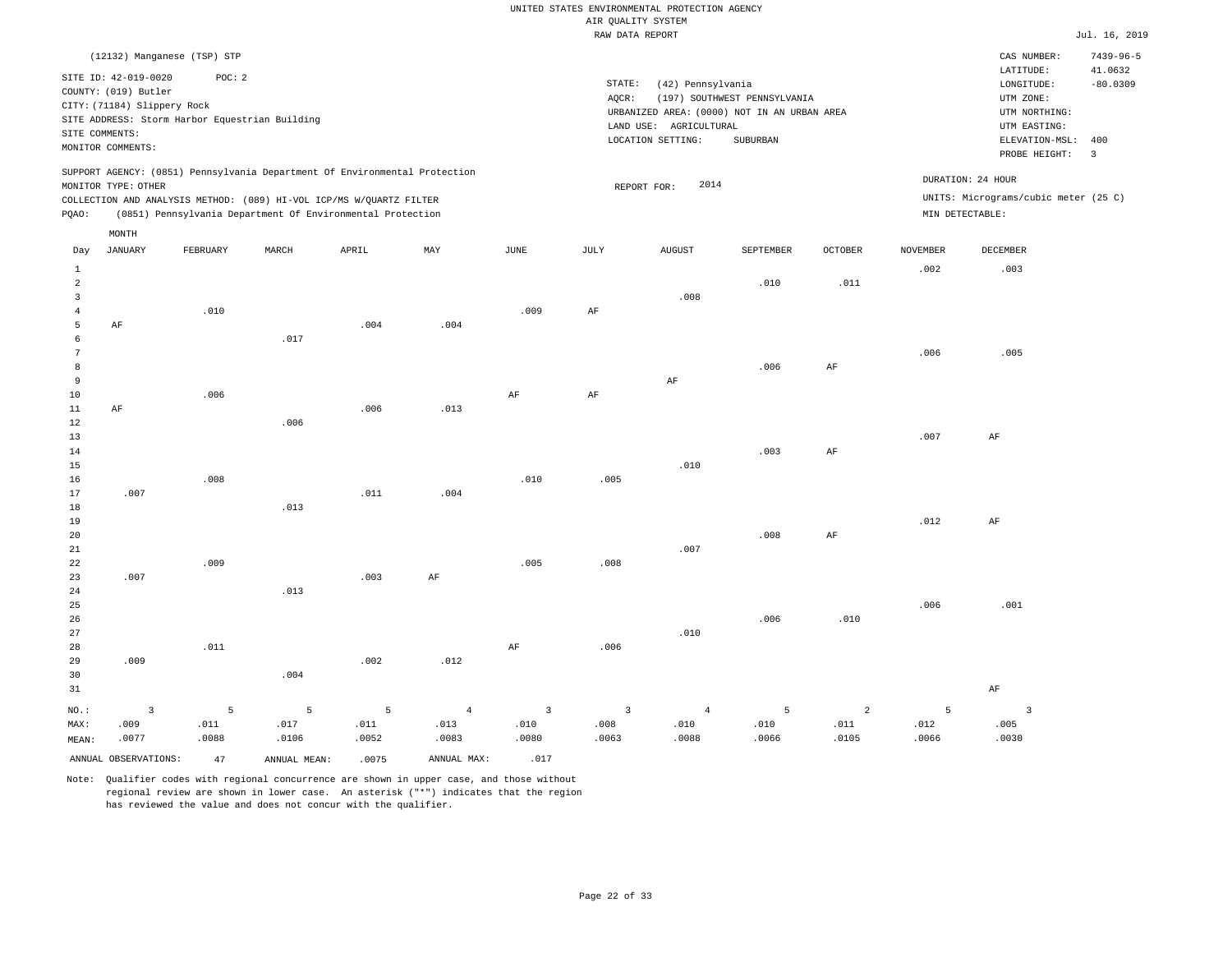|                |                             |                                                |       |                                                                            |                |                | RAW DATA REPORT         |                        |                                             |                |                 |                                      | Jul. 16, 2019         |
|----------------|-----------------------------|------------------------------------------------|-------|----------------------------------------------------------------------------|----------------|----------------|-------------------------|------------------------|---------------------------------------------|----------------|-----------------|--------------------------------------|-----------------------|
|                |                             | (12132) Manganese (TSP) STP                    |       |                                                                            |                |                |                         |                        |                                             |                |                 | CAS NUMBER:                          | $7439 - 96 - 5$       |
|                | SITE ID: 42-019-0020        | POC: 2                                         |       |                                                                            |                |                |                         |                        |                                             |                |                 | LATITUDE:                            | 41.0632               |
|                | COUNTY: (019) Butler        |                                                |       |                                                                            |                |                | STATE:                  | (42) Pennsylvania      |                                             |                |                 | LONGITUDE:                           | $-80.0309$            |
|                | CITY: (71184) Slippery Rock |                                                |       |                                                                            |                |                | AQCR:                   |                        | (197) SOUTHWEST PENNSYLVANIA                |                |                 | UTM ZONE:                            |                       |
|                |                             | SITE ADDRESS: Storm Harbor Equestrian Building |       |                                                                            |                |                |                         |                        | URBANIZED AREA: (0000) NOT IN AN URBAN AREA |                |                 | UTM NORTHING:                        |                       |
|                | SITE COMMENTS:              |                                                |       |                                                                            |                |                |                         | LAND USE: AGRICULTURAL |                                             |                |                 | UTM EASTING:                         |                       |
|                | MONITOR COMMENTS:           |                                                |       |                                                                            |                |                |                         | LOCATION SETTING:      | <b>SUBURBAN</b>                             |                |                 | ELEVATION-MSL:<br>PROBE HEIGHT:      | 400<br>$\overline{3}$ |
|                |                             |                                                |       | SUPPORT AGENCY: (0851) Pennsylvania Department Of Environmental Protection |                |                |                         |                        |                                             |                |                 |                                      |                       |
|                | MONITOR TYPE: OTHER         |                                                |       |                                                                            |                |                |                         | 2014<br>REPORT FOR:    |                                             |                |                 | DURATION: 24 HOUR                    |                       |
|                |                             |                                                |       | COLLECTION AND ANALYSIS METHOD: (089) HI-VOL ICP/MS W/QUARTZ FILTER        |                |                |                         |                        |                                             |                |                 | UNITS: Micrograms/cubic meter (25 C) |                       |
| PQAO:          |                             |                                                |       | (0851) Pennsylvania Department Of Environmental Protection                 |                |                |                         |                        |                                             |                |                 | MIN DETECTABLE:                      |                       |
|                | MONTH                       |                                                |       |                                                                            |                |                |                         |                        |                                             |                |                 |                                      |                       |
| Day            | <b>JANUARY</b>              | FEBRUARY                                       | MARCH | APRIL                                                                      | MAY            | JUNE           | JULY                    | <b>AUGUST</b>          | SEPTEMBER                                   | OCTOBER        | <b>NOVEMBER</b> | DECEMBER                             |                       |
| $\mathbf{1}$   |                             |                                                |       |                                                                            |                |                |                         |                        |                                             |                | .002            | .003                                 |                       |
| $\overline{a}$ |                             |                                                |       |                                                                            |                |                |                         |                        | .010                                        | .011           |                 |                                      |                       |
| 3              |                             |                                                |       |                                                                            |                |                |                         | .008                   |                                             |                |                 |                                      |                       |
| $\overline{4}$ |                             | .010                                           |       |                                                                            |                | .009           | AF                      |                        |                                             |                |                 |                                      |                       |
| 5<br>6         | AF                          |                                                | .017  | .004                                                                       | .004           |                |                         |                        |                                             |                |                 |                                      |                       |
| 7              |                             |                                                |       |                                                                            |                |                |                         |                        |                                             |                | .006            | .005                                 |                       |
| 8              |                             |                                                |       |                                                                            |                |                |                         |                        | .006                                        | $\rm{AF}$      |                 |                                      |                       |
| 9              |                             |                                                |       |                                                                            |                |                |                         | $\rm AF$               |                                             |                |                 |                                      |                       |
| 10             |                             | .006                                           |       |                                                                            |                | $\rm{AF}$      | AF                      |                        |                                             |                |                 |                                      |                       |
| 11             | AF                          |                                                |       | .006                                                                       | .013           |                |                         |                        |                                             |                |                 |                                      |                       |
| 12             |                             |                                                | .006  |                                                                            |                |                |                         |                        |                                             |                |                 |                                      |                       |
| 13             |                             |                                                |       |                                                                            |                |                |                         |                        |                                             |                | .007            | AF                                   |                       |
| 14             |                             |                                                |       |                                                                            |                |                |                         |                        | .003                                        | AF             |                 |                                      |                       |
| 15             |                             |                                                |       |                                                                            |                |                |                         | .010                   |                                             |                |                 |                                      |                       |
| 16             |                             | .008                                           |       |                                                                            |                | .010           | .005                    |                        |                                             |                |                 |                                      |                       |
| 17             | .007                        |                                                |       | .011                                                                       | .004           |                |                         |                        |                                             |                |                 |                                      |                       |
| 18             |                             |                                                | .013  |                                                                            |                |                |                         |                        |                                             |                |                 |                                      |                       |
| 19             |                             |                                                |       |                                                                            |                |                |                         |                        | .008                                        | AF             | .012            | AF                                   |                       |
| 20<br>21       |                             |                                                |       |                                                                            |                |                |                         | .007                   |                                             |                |                 |                                      |                       |
| 22             |                             | .009                                           |       |                                                                            |                | .005           | .008                    |                        |                                             |                |                 |                                      |                       |
| 23             | .007                        |                                                |       | .003                                                                       | AF             |                |                         |                        |                                             |                |                 |                                      |                       |
| 24             |                             |                                                | .013  |                                                                            |                |                |                         |                        |                                             |                |                 |                                      |                       |
| 25             |                             |                                                |       |                                                                            |                |                |                         |                        |                                             |                | .006            | .001                                 |                       |
| 26             |                             |                                                |       |                                                                            |                |                |                         |                        | .006                                        | .010           |                 |                                      |                       |
| 27             |                             |                                                |       |                                                                            |                |                |                         | .010                   |                                             |                |                 |                                      |                       |
| 28             |                             | .011                                           |       |                                                                            |                | $\rm{AF}$      | .006                    |                        |                                             |                |                 |                                      |                       |
| 29             | .009                        |                                                |       | .002                                                                       | .012           |                |                         |                        |                                             |                |                 |                                      |                       |
| 30             |                             |                                                | .004  |                                                                            |                |                |                         |                        |                                             |                |                 |                                      |                       |
| 31             |                             |                                                |       |                                                                            |                |                |                         |                        |                                             |                |                 | $\rm AF$                             |                       |
| NO.:           | $\overline{\mathbf{3}}$     | 5                                              | 5     | 5                                                                          | $\overline{4}$ | $\overline{3}$ | $\overline{\mathbf{3}}$ | $\overline{4}$         | 5                                           | $\overline{a}$ | 5               | $\overline{3}$                       |                       |

ANNUAL OBSERVATIONS:  $47$  ANNUAL MEAN: .0075 ANNUAL MAX: .017

 .017 .0106

MAX: MEAN:

 .009 .0077  .011 .0088

Note: Qualifier codes with regional concurrence are shown in upper case, and those without regional review are shown in lower case. An asterisk ("\*") indicates that the region has reviewed the value and does not concur with the qualifier.

 .011 .0052  .013 .0083  .010 .0080  .008 .0063  .010 .0088  .010 .0066  .011 .0105  .012 .0066  .005 .0030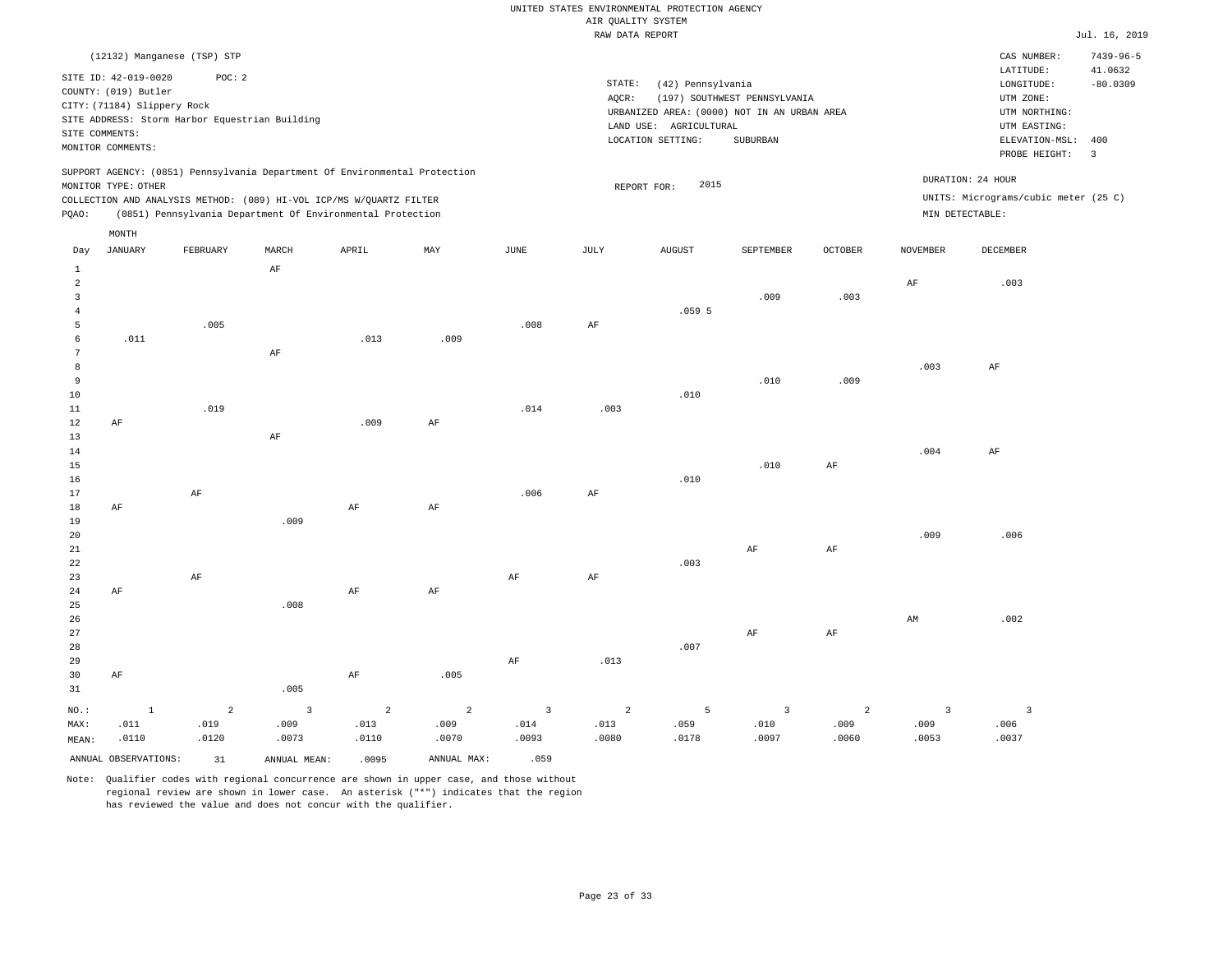|                   |                                                                                                                    |                                                          |       |                                                                                                                                                                                                                 |      |      |                 | RAW DATA REPORT                                                                                                 |                                          |                |                 |                                                                                                            | Jul. 16, 2019                |
|-------------------|--------------------------------------------------------------------------------------------------------------------|----------------------------------------------------------|-------|-----------------------------------------------------------------------------------------------------------------------------------------------------------------------------------------------------------------|------|------|-----------------|-----------------------------------------------------------------------------------------------------------------|------------------------------------------|----------------|-----------------|------------------------------------------------------------------------------------------------------------|------------------------------|
|                   |                                                                                                                    | (12132) Manganese (TSP) STP                              |       |                                                                                                                                                                                                                 |      |      |                 |                                                                                                                 |                                          |                |                 | CAS NUMBER:                                                                                                | $7439 - 96 - 5$              |
|                   | SITE ID: 42-019-0020<br>COUNTY: (019) Butler<br>CITY: (71184) Slippery Rock<br>SITE COMMENTS:<br>MONITOR COMMENTS: | POC: 2<br>SITE ADDRESS: Storm Harbor Equestrian Building |       |                                                                                                                                                                                                                 |      |      | STATE:<br>AOCR: | (42) Pennsylvania<br>URBANIZED AREA: (0000) NOT IN AN URBAN AREA<br>LAND USE: AGRICULTURAL<br>LOCATION SETTING: | (197) SOUTHWEST PENNSYLVANIA<br>SUBURBAN |                |                 | LATITUDE:<br>LONGITUDE:<br>UTM ZONE:<br>UTM NORTHING:<br>UTM EASTING:<br>ELEVATION-MSL:<br>PROBE HEIGHT: 3 | 41.0632<br>$-80.0309$<br>400 |
| PQAO:             | MONITOR TYPE: OTHER                                                                                                |                                                          |       | SUPPORT AGENCY: (0851) Pennsylvania Department Of Environmental Protection<br>COLLECTION AND ANALYSIS METHOD: (089) HI-VOL ICP/MS W/OUARTZ FILTER<br>(0851) Pennsylvania Department Of Environmental Protection |      |      |                 | 2015<br>REPORT FOR:                                                                                             |                                          |                |                 | DURATION: 24 HOUR<br>UNITS: Micrograms/cubic meter (25 C)<br>MIN DETECTABLE:                               |                              |
|                   | MONTH                                                                                                              |                                                          |       |                                                                                                                                                                                                                 |      |      |                 |                                                                                                                 |                                          |                |                 |                                                                                                            |                              |
| Day               | JANUARY                                                                                                            | FEBRUARY                                                 | MARCH | APRIL                                                                                                                                                                                                           | MAY  | JUNE | JULY            | <b>AUGUST</b>                                                                                                   | SEPTEMBER                                | <b>OCTOBER</b> | <b>NOVEMBER</b> | DECEMBER                                                                                                   |                              |
| 1<br>2<br>3<br>4  |                                                                                                                    |                                                          | AF    |                                                                                                                                                                                                                 |      |      |                 | .0595                                                                                                           | .009                                     | .003           | AF              | .003                                                                                                       |                              |
| 5<br>6            | .011                                                                                                               | .005                                                     |       | .013                                                                                                                                                                                                            | .009 | .008 | AF              |                                                                                                                 |                                          |                |                 |                                                                                                            |                              |
| 7<br>8<br>9<br>10 |                                                                                                                    |                                                          | AF    |                                                                                                                                                                                                                 |      |      |                 | .010                                                                                                            | .010                                     | .009           | .003            | AF                                                                                                         |                              |
| 11<br>12          | AF                                                                                                                 | .019                                                     |       | .009                                                                                                                                                                                                            | AF   | .014 | .003            |                                                                                                                 |                                          |                |                 |                                                                                                            |                              |
| 13<br>14<br>15    |                                                                                                                    |                                                          | AF    |                                                                                                                                                                                                                 |      |      |                 |                                                                                                                 | .010                                     | AF             | .004            | AF                                                                                                         |                              |
| 16                |                                                                                                                    |                                                          |       |                                                                                                                                                                                                                 |      |      |                 | .010                                                                                                            |                                          |                |                 |                                                                                                            |                              |
| 17                |                                                                                                                    | AF                                                       |       |                                                                                                                                                                                                                 |      | .006 | AF              |                                                                                                                 |                                          |                |                 |                                                                                                            |                              |

19 20 21 22 23 24 25 26 27 AF AF .009 .008 AF AF AF AF .003 AF AF AF AF .009 AM .006 .002

28 29 30 31 AF NO.: MAX: MEAN: 1 .011 .0110 .005 AF .005 AF .013 .007 2 .019 .0120 3 .009 .0073 2 .013 .0110 2 .009 .0070 3 .014 .0093 2 .013 .0080 5 .059 .0178 3 .010 .0097 2 .009 .0060 3 .009 .0053 3 .006 .0037

ANNUAL OBSERVATIONS: 31 ANNUAL MEAN: .0095 ANNUAL MAX: .059

18

AF

Note: Qualifier codes with regional concurrence are shown in upper case, and those without regional review are shown in lower case. An asterisk ("\*") indicates that the region has reviewed the value and does not concur with the qualifier.

AF

AF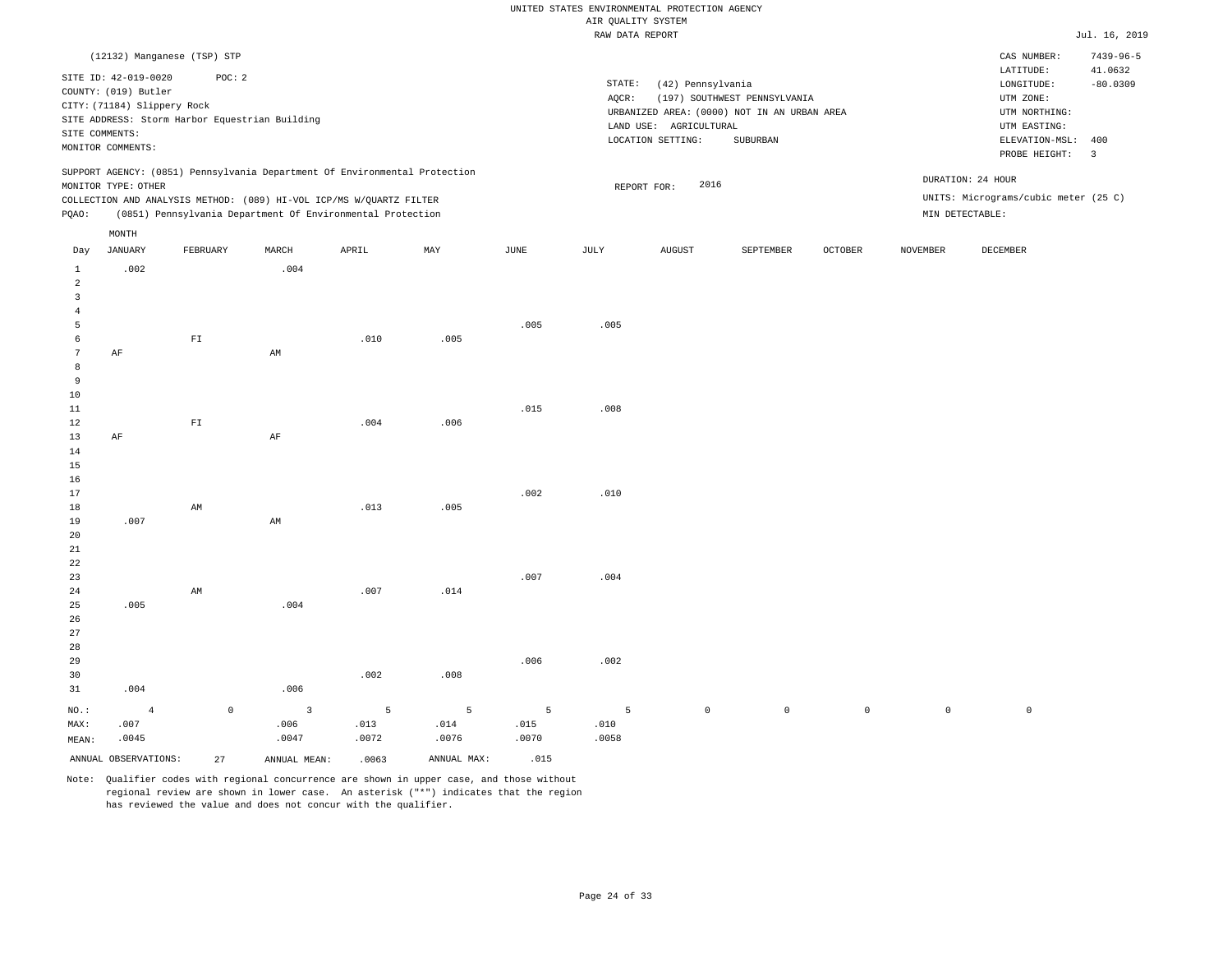|                 |                             |              |                                                |                                                                            |             |       | RAW DATA REPORT |                        |                                             |                |                 |                                      | Jul. 16, 2019   |
|-----------------|-----------------------------|--------------|------------------------------------------------|----------------------------------------------------------------------------|-------------|-------|-----------------|------------------------|---------------------------------------------|----------------|-----------------|--------------------------------------|-----------------|
|                 | (12132) Manganese (TSP) STP |              |                                                |                                                                            |             |       |                 |                        |                                             |                |                 | CAS NUMBER:                          | $7439 - 96 - 5$ |
|                 | SITE ID: 42-019-0020        | POC: 2       |                                                |                                                                            |             |       |                 |                        |                                             |                |                 | LATITUDE:                            | 41.0632         |
|                 | COUNTY: (019) Butler        |              |                                                |                                                                            |             |       | STATE:          | (42) Pennsylvania      |                                             |                |                 | LONGITUDE:                           | $-80.0309$      |
|                 | CITY: (71184) Slippery Rock |              |                                                |                                                                            |             |       | AQCR:           |                        | (197) SOUTHWEST PENNSYLVANIA                |                |                 | UTM ZONE:                            |                 |
|                 |                             |              |                                                |                                                                            |             |       |                 |                        | URBANIZED AREA: (0000) NOT IN AN URBAN AREA |                |                 | UTM NORTHING:                        |                 |
|                 |                             |              | SITE ADDRESS: Storm Harbor Equestrian Building |                                                                            |             |       |                 | LAND USE: AGRICULTURAL |                                             |                |                 | UTM EASTING:                         |                 |
| SITE COMMENTS:  |                             |              |                                                |                                                                            |             |       |                 | LOCATION SETTING:      | SUBURBAN                                    |                |                 | ELEVATION-MSL:                       | 400             |
|                 | MONITOR COMMENTS:           |              |                                                |                                                                            |             |       |                 |                        |                                             |                |                 | PROBE HEIGHT:                        | $\overline{3}$  |
|                 |                             |              |                                                | SUPPORT AGENCY: (0851) Pennsylvania Department Of Environmental Protection |             |       |                 |                        |                                             |                |                 | DURATION: 24 HOUR                    |                 |
|                 | MONITOR TYPE: OTHER         |              |                                                |                                                                            |             |       |                 | 2016<br>REPORT FOR:    |                                             |                |                 |                                      |                 |
|                 |                             |              |                                                | COLLECTION AND ANALYSIS METHOD: (089) HI-VOL ICP/MS W/QUARTZ FILTER        |             |       |                 |                        |                                             |                |                 | UNITS: Micrograms/cubic meter (25 C) |                 |
| PQAO:           |                             |              |                                                | (0851) Pennsylvania Department Of Environmental Protection                 |             |       |                 |                        |                                             |                |                 | MIN DETECTABLE:                      |                 |
|                 | MONTH                       |              |                                                |                                                                            |             |       |                 |                        |                                             |                |                 |                                      |                 |
| Day             | JANUARY                     | FEBRUARY     | MARCH                                          | APRIL                                                                      | MAY         | JUNE  | JULY            | <b>AUGUST</b>          | SEPTEMBER                                   | <b>OCTOBER</b> | <b>NOVEMBER</b> | DECEMBER                             |                 |
| $\mathbf{1}$    | .002                        |              | .004                                           |                                                                            |             |       |                 |                        |                                             |                |                 |                                      |                 |
| $\overline{a}$  |                             |              |                                                |                                                                            |             |       |                 |                        |                                             |                |                 |                                      |                 |
| 3               |                             |              |                                                |                                                                            |             |       |                 |                        |                                             |                |                 |                                      |                 |
| $\overline{4}$  |                             |              |                                                |                                                                            |             |       |                 |                        |                                             |                |                 |                                      |                 |
| 5               |                             |              |                                                |                                                                            |             | .005  | .005            |                        |                                             |                |                 |                                      |                 |
| 6               |                             | ${\rm F\,I}$ |                                                | .010                                                                       | .005        |       |                 |                        |                                             |                |                 |                                      |                 |
| $7\phantom{.0}$ | AF                          |              | AM                                             |                                                                            |             |       |                 |                        |                                             |                |                 |                                      |                 |
| 8               |                             |              |                                                |                                                                            |             |       |                 |                        |                                             |                |                 |                                      |                 |
| 9               |                             |              |                                                |                                                                            |             |       |                 |                        |                                             |                |                 |                                      |                 |
| 10              |                             |              |                                                |                                                                            |             |       |                 |                        |                                             |                |                 |                                      |                 |
| 11              |                             |              |                                                |                                                                            |             | .015  | .008            |                        |                                             |                |                 |                                      |                 |
| 12              |                             | ${\rm FT}$   |                                                | .004                                                                       | .006        |       |                 |                        |                                             |                |                 |                                      |                 |
| 13              | AF                          |              | AF                                             |                                                                            |             |       |                 |                        |                                             |                |                 |                                      |                 |
| 14              |                             |              |                                                |                                                                            |             |       |                 |                        |                                             |                |                 |                                      |                 |
| 15              |                             |              |                                                |                                                                            |             |       |                 |                        |                                             |                |                 |                                      |                 |
| 16              |                             |              |                                                |                                                                            |             |       |                 |                        |                                             |                |                 |                                      |                 |
| 17              |                             |              |                                                |                                                                            |             | .002  | .010            |                        |                                             |                |                 |                                      |                 |
| 18              |                             | AM           |                                                | .013                                                                       | .005        |       |                 |                        |                                             |                |                 |                                      |                 |
| 19              | .007                        |              | AM                                             |                                                                            |             |       |                 |                        |                                             |                |                 |                                      |                 |
| 20              |                             |              |                                                |                                                                            |             |       |                 |                        |                                             |                |                 |                                      |                 |
| 21              |                             |              |                                                |                                                                            |             |       |                 |                        |                                             |                |                 |                                      |                 |
| 22              |                             |              |                                                |                                                                            |             |       |                 |                        |                                             |                |                 |                                      |                 |
| 23              |                             |              |                                                |                                                                            |             | .007  | .004            |                        |                                             |                |                 |                                      |                 |
| 24              |                             | AM           |                                                | .007                                                                       | .014        |       |                 |                        |                                             |                |                 |                                      |                 |
| 25              | .005                        |              | .004                                           |                                                                            |             |       |                 |                        |                                             |                |                 |                                      |                 |
| 26              |                             |              |                                                |                                                                            |             |       |                 |                        |                                             |                |                 |                                      |                 |
| 27              |                             |              |                                                |                                                                            |             |       |                 |                        |                                             |                |                 |                                      |                 |
| 28              |                             |              |                                                |                                                                            |             |       |                 |                        |                                             |                |                 |                                      |                 |
| 29              |                             |              |                                                |                                                                            |             | .006  | .002            |                        |                                             |                |                 |                                      |                 |
| 30              |                             |              |                                                | .002                                                                       | .008        |       |                 |                        |                                             |                |                 |                                      |                 |
| 31              | .004                        |              | .006                                           |                                                                            |             |       |                 |                        |                                             |                |                 |                                      |                 |
| NO.:            | $\overline{4}$              | $\mathbb O$  | $\overline{3}$                                 | 5                                                                          | 5           | 5     | 5               | $\mathbb O$            | $\circ$                                     | $\mathbb O$    | $\mathsf{O}$    | $\mathbb O$                          |                 |
| MAX:            | .007                        |              | .006                                           | .013                                                                       | .014        | .015  | .010            |                        |                                             |                |                 |                                      |                 |
| MEAN:           | .0045                       |              | .0047                                          | .0072                                                                      | .0076       | .0070 | .0058           |                        |                                             |                |                 |                                      |                 |
|                 | ANNUAL OBSERVATIONS:        | 27           | ANNUAL MEAN:                                   | .0063                                                                      | ANNUAL MAX: | .015  |                 |                        |                                             |                |                 |                                      |                 |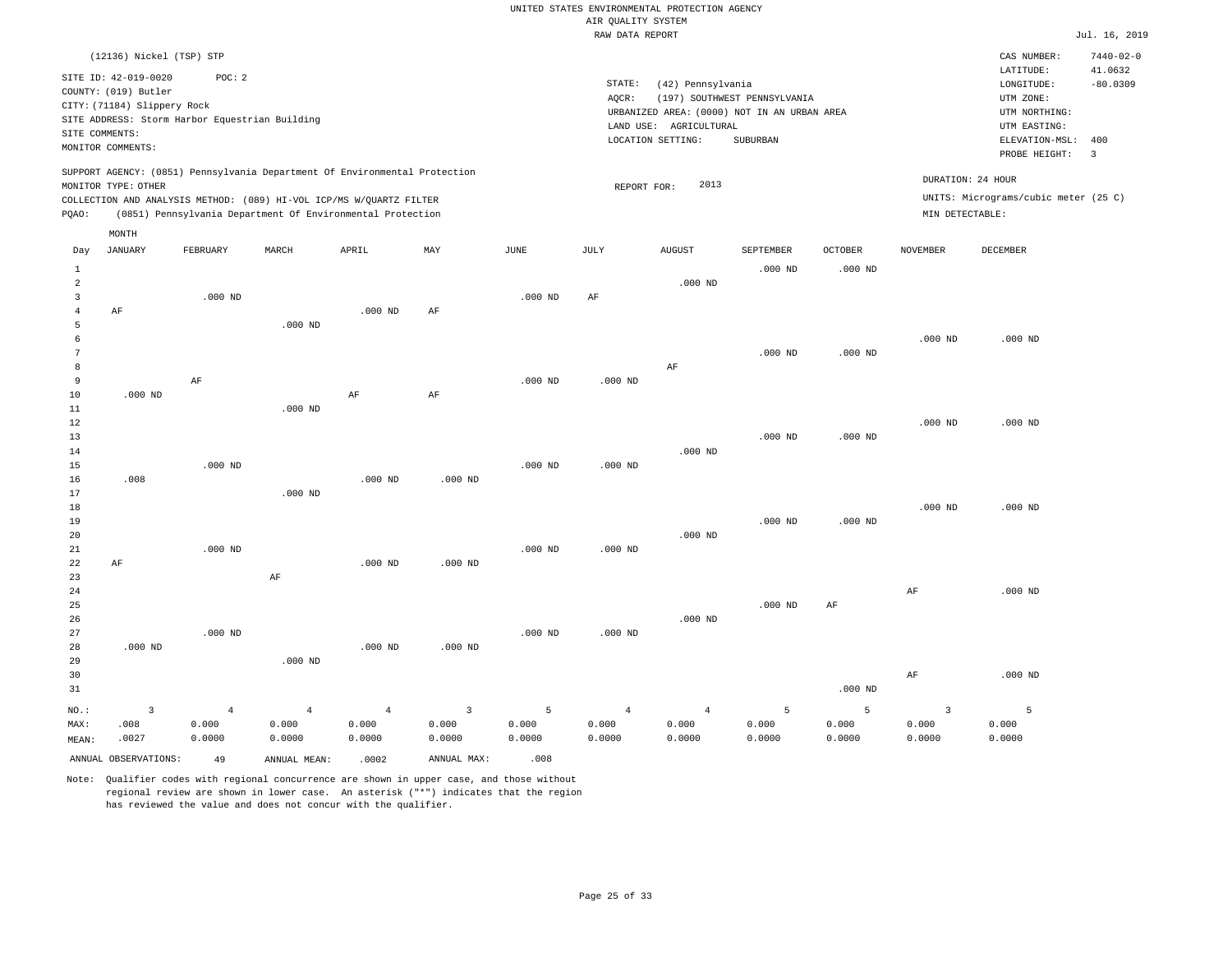|                | (12136) Nickel (TSP) STP                       |                |                                                                            |                |                         |               |                |                                             |                              |                |                   | CAS NUMBER:                          | $7440 - 02 - 0$         |
|----------------|------------------------------------------------|----------------|----------------------------------------------------------------------------|----------------|-------------------------|---------------|----------------|---------------------------------------------|------------------------------|----------------|-------------------|--------------------------------------|-------------------------|
|                | SITE ID: 42-019-0020                           | POC: 2         |                                                                            |                |                         |               | STATE:         | (42) Pennsylvania                           |                              |                |                   | LATITUDE:<br>LONGITUDE:              | 41.0632<br>$-80.0309$   |
|                | COUNTY: (019) Butler                           |                |                                                                            |                |                         |               | AOCR:          |                                             | (197) SOUTHWEST PENNSYLVANIA |                |                   | UTM ZONE:                            |                         |
|                | CITY: (71184) Slippery Rock                    |                |                                                                            |                |                         |               |                | URBANIZED AREA: (0000) NOT IN AN URBAN AREA |                              |                |                   | UTM NORTHING:                        |                         |
|                | SITE ADDRESS: Storm Harbor Equestrian Building |                |                                                                            |                |                         |               |                | LAND USE: AGRICULTURAL                      |                              |                |                   | UTM EASTING:                         |                         |
|                | SITE COMMENTS:                                 |                |                                                                            |                |                         |               |                | LOCATION SETTING:                           | SUBURBAN                     |                |                   | ELEVATION-MSL:                       | 400                     |
|                | MONITOR COMMENTS:                              |                |                                                                            |                |                         |               |                |                                             |                              |                |                   | PROBE HEIGHT:                        | $\overline{\mathbf{3}}$ |
|                |                                                |                | SUPPORT AGENCY: (0851) Pennsylvania Department Of Environmental Protection |                |                         |               |                | 2013                                        |                              |                | DURATION: 24 HOUR |                                      |                         |
|                | MONITOR TYPE: OTHER                            |                | COLLECTION AND ANALYSIS METHOD: (089) HI-VOL ICP/MS W/QUARTZ FILTER        |                |                         |               | REPORT FOR:    |                                             |                              |                |                   | UNITS: Micrograms/cubic meter (25 C) |                         |
| PQAO:          |                                                |                | (0851) Pennsylvania Department Of Environmental Protection                 |                |                         |               |                |                                             |                              |                | MIN DETECTABLE:   |                                      |                         |
|                |                                                |                |                                                                            |                |                         |               |                |                                             |                              |                |                   |                                      |                         |
|                | MONTH                                          |                |                                                                            |                |                         |               |                |                                             |                              |                |                   |                                      |                         |
| Day            | <b>JANUARY</b>                                 | FEBRUARY       | MARCH                                                                      | APRIL          | MAY                     | $_{\rm JUNE}$ | JULY           | <b>AUGUST</b>                               | SEPTEMBER                    | <b>OCTOBER</b> | <b>NOVEMBER</b>   | <b>DECEMBER</b>                      |                         |
| $\mathbf{1}$   |                                                |                |                                                                            |                |                         |               |                |                                             | $.000$ ND                    | $.000$ ND      |                   |                                      |                         |
| $\overline{a}$ |                                                |                |                                                                            |                |                         |               |                | $.000$ ND                                   |                              |                |                   |                                      |                         |
| 3              |                                                | $.000$ ND      |                                                                            |                |                         | $.000$ ND     | AF             |                                             |                              |                |                   |                                      |                         |
| $\overline{4}$ | $\rm AF$                                       |                |                                                                            | $.000$ ND      | AF                      |               |                |                                             |                              |                |                   |                                      |                         |
| 5<br>6         |                                                |                | $.000$ ND                                                                  |                |                         |               |                |                                             |                              |                | $.000$ ND         | $.000$ ND                            |                         |
| $\overline{7}$ |                                                |                |                                                                            |                |                         |               |                |                                             | $.000$ ND                    | $.000$ ND      |                   |                                      |                         |
| 8              |                                                |                |                                                                            |                |                         |               |                | AF                                          |                              |                |                   |                                      |                         |
| 9              |                                                | AF             |                                                                            |                |                         | $.000$ ND     | $.000$ ND      |                                             |                              |                |                   |                                      |                         |
| 10             | $.000$ ND                                      |                |                                                                            | AF             | AF                      |               |                |                                             |                              |                |                   |                                      |                         |
| 11             |                                                |                | $.000$ ND                                                                  |                |                         |               |                |                                             |                              |                |                   |                                      |                         |
| 12             |                                                |                |                                                                            |                |                         |               |                |                                             |                              |                | $.000$ ND         | $.000$ ND                            |                         |
| 13             |                                                |                |                                                                            |                |                         |               |                |                                             | $.000$ ND                    | $.000$ ND      |                   |                                      |                         |
| 14             |                                                |                |                                                                            |                |                         |               |                | $.000$ ND                                   |                              |                |                   |                                      |                         |
| 15             |                                                | $.000$ ND      |                                                                            |                |                         | $.000$ ND     | $.000$ ND      |                                             |                              |                |                   |                                      |                         |
| 16             | .008                                           |                |                                                                            | $.000$ ND      | $.000$ ND               |               |                |                                             |                              |                |                   |                                      |                         |
| 17             |                                                |                | $.000$ ND                                                                  |                |                         |               |                |                                             |                              |                |                   |                                      |                         |
| 18             |                                                |                |                                                                            |                |                         |               |                |                                             |                              |                | $.000$ ND         | $.000$ ND                            |                         |
| 19<br>20       |                                                |                |                                                                            |                |                         |               |                | $.000$ ND                                   | $.000$ ND                    | $.000$ ND      |                   |                                      |                         |
| 21             |                                                | $.000$ ND      |                                                                            |                |                         | $.000$ ND     | $.000$ ND      |                                             |                              |                |                   |                                      |                         |
| 22             | AF                                             |                |                                                                            | $.000$ ND      | $.000$ ND               |               |                |                                             |                              |                |                   |                                      |                         |
| 23             |                                                |                | $\rm AF$                                                                   |                |                         |               |                |                                             |                              |                |                   |                                      |                         |
| 24             |                                                |                |                                                                            |                |                         |               |                |                                             |                              |                | AF                | $.000$ ND                            |                         |
| 25             |                                                |                |                                                                            |                |                         |               |                |                                             | $.000$ ND                    | AF             |                   |                                      |                         |
| 26             |                                                |                |                                                                            |                |                         |               |                | $.000$ ND                                   |                              |                |                   |                                      |                         |
| 27             |                                                | $.000$ ND      |                                                                            |                |                         | $.000$ ND     | $.000$ ND      |                                             |                              |                |                   |                                      |                         |
| 28             | $.000$ ND                                      |                |                                                                            | $.000$ ND      | $.000$ ND               |               |                |                                             |                              |                |                   |                                      |                         |
| 29             |                                                |                | $.000$ ND                                                                  |                |                         |               |                |                                             |                              |                |                   |                                      |                         |
| 30             |                                                |                |                                                                            |                |                         |               |                |                                             |                              |                | AF                | $.000$ ND                            |                         |
| 31             |                                                |                |                                                                            |                |                         |               |                |                                             |                              | $.000$ ND      |                   |                                      |                         |
| NO.:           | $\overline{\mathbf{3}}$                        | $\overline{4}$ | $\overline{4}$                                                             | $\overline{4}$ | $\overline{\mathbf{3}}$ | 5             | $\overline{4}$ | $\overline{4}$                              | 5                            | 5              | $\overline{3}$    | 5                                    |                         |
| MAX:           | .008                                           | 0.000          | 0.000                                                                      | 0.000          | 0.000                   | 0.000         | 0.000          | 0.000                                       | 0.000                        | 0.000          | 0.000             | 0.000                                |                         |
| MEAN:          | .0027                                          | 0.0000         | 0.0000                                                                     | 0.0000         | 0.0000                  | 0.0000        | 0.0000         | 0.0000                                      | 0.0000                       | 0.0000         | 0.0000            | 0.0000                               |                         |
|                | ANNUAL OBSERVATIONS:                           | 49             | ANNUAL MEAN:                                                               | .0002          | ANNUAL MAX:             | .008          |                |                                             |                              |                |                   |                                      |                         |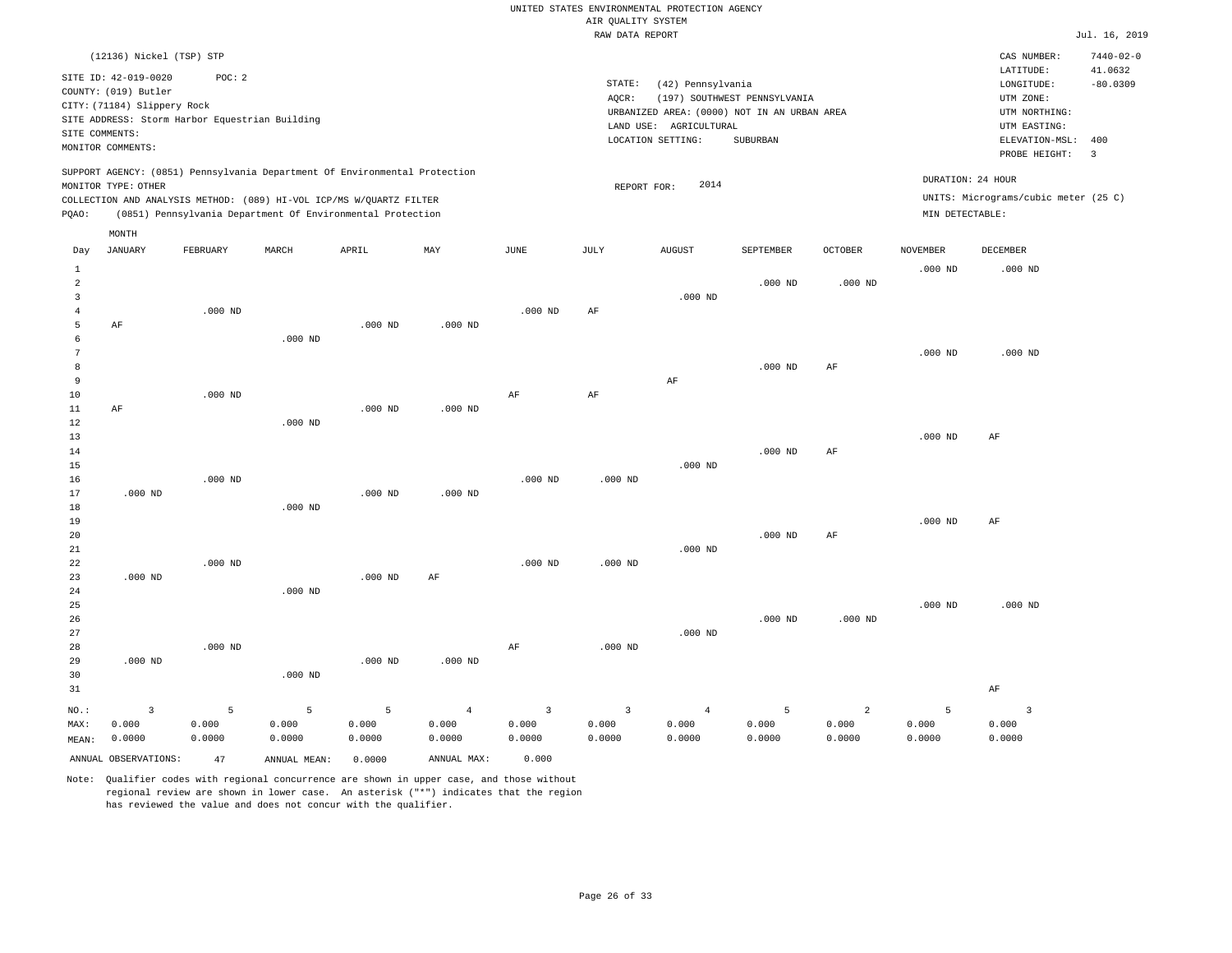|                |                                                |           |                                                                                                                                   |           |                |                | RAW DATA REPORT |                        |                                             |                |                 |                                      | Jul. 16, 2019           |
|----------------|------------------------------------------------|-----------|-----------------------------------------------------------------------------------------------------------------------------------|-----------|----------------|----------------|-----------------|------------------------|---------------------------------------------|----------------|-----------------|--------------------------------------|-------------------------|
|                | (12136) Nickel (TSP) STP                       |           |                                                                                                                                   |           |                |                |                 |                        |                                             |                |                 | CAS NUMBER:                          | $7440 - 02 - 0$         |
|                | SITE ID: 42-019-0020                           | POC: 2    |                                                                                                                                   |           |                |                |                 |                        |                                             |                |                 | LATITUDE:                            | 41.0632                 |
|                | COUNTY: (019) Butler                           |           |                                                                                                                                   |           |                |                | STATE:          | (42) Pennsylvania      |                                             |                |                 | LONGITUDE:                           | $-80.0309$              |
|                | CITY: (71184) Slippery Rock                    |           |                                                                                                                                   |           |                |                | AQCR:           |                        | (197) SOUTHWEST PENNSYLVANIA                |                |                 | UTM ZONE:                            |                         |
|                | SITE ADDRESS: Storm Harbor Equestrian Building |           |                                                                                                                                   |           |                |                |                 |                        | URBANIZED AREA: (0000) NOT IN AN URBAN AREA |                |                 | UTM NORTHING:                        |                         |
|                | SITE COMMENTS:                                 |           |                                                                                                                                   |           |                |                |                 | LAND USE: AGRICULTURAL |                                             |                |                 | UTM EASTING:                         |                         |
|                | MONITOR COMMENTS:                              |           |                                                                                                                                   |           |                |                |                 | LOCATION SETTING:      | SUBURBAN                                    |                |                 | ELEVATION-MSL:                       | 400                     |
|                |                                                |           |                                                                                                                                   |           |                |                |                 |                        |                                             |                |                 | PROBE HEIGHT:                        | $\overline{\mathbf{3}}$ |
|                |                                                |           | SUPPORT AGENCY: (0851) Pennsylvania Department Of Environmental Protection                                                        |           |                |                |                 | 2014                   |                                             |                |                 | DURATION: 24 HOUR                    |                         |
|                | MONITOR TYPE: OTHER                            |           |                                                                                                                                   |           |                |                | REPORT FOR:     |                        |                                             |                |                 | UNITS: Micrograms/cubic meter (25 C) |                         |
| PQAO:          |                                                |           | COLLECTION AND ANALYSIS METHOD: (089) HI-VOL ICP/MS W/QUARTZ FILTER<br>(0851) Pennsylvania Department Of Environmental Protection |           |                |                |                 |                        |                                             |                | MIN DETECTABLE: |                                      |                         |
|                | MONTH                                          |           |                                                                                                                                   |           |                |                |                 |                        |                                             |                |                 |                                      |                         |
| Day            | JANUARY                                        | FEBRUARY  | MARCH                                                                                                                             | APRIL     | MAY            | JUNE           | JULY            | <b>AUGUST</b>          | SEPTEMBER                                   | OCTOBER        | <b>NOVEMBER</b> | DECEMBER                             |                         |
| $\mathbf{1}$   |                                                |           |                                                                                                                                   |           |                |                |                 |                        |                                             |                | $.000$ ND       | $.000$ ND                            |                         |
| $\overline{a}$ |                                                |           |                                                                                                                                   |           |                |                |                 |                        | $.000$ ND                                   | $.000$ ND      |                 |                                      |                         |
| 3              |                                                |           |                                                                                                                                   |           |                |                |                 | $.000$ ND              |                                             |                |                 |                                      |                         |
| $\overline{4}$ |                                                | $.000$ ND |                                                                                                                                   |           |                | $.000$ ND      | AF              |                        |                                             |                |                 |                                      |                         |
| 5              | $\rm{AF}$                                      |           |                                                                                                                                   | $.000$ ND | $.000$ ND      |                |                 |                        |                                             |                |                 |                                      |                         |
| 6              |                                                |           | $.000$ ND                                                                                                                         |           |                |                |                 |                        |                                             |                |                 |                                      |                         |
| 7              |                                                |           |                                                                                                                                   |           |                |                |                 |                        |                                             |                | $.000$ ND       | $.000$ ND                            |                         |
| 8              |                                                |           |                                                                                                                                   |           |                |                |                 |                        | $.000$ ND                                   | $\rm AF$       |                 |                                      |                         |
| 9              |                                                |           |                                                                                                                                   |           |                |                |                 | AF                     |                                             |                |                 |                                      |                         |
| 10             |                                                | $.000$ ND |                                                                                                                                   |           |                | AF             | AF              |                        |                                             |                |                 |                                      |                         |
| $11\,$         | AF                                             |           |                                                                                                                                   | $.000$ ND | $.000$ ND      |                |                 |                        |                                             |                |                 |                                      |                         |
| 12             |                                                |           | $.000$ ND                                                                                                                         |           |                |                |                 |                        |                                             |                |                 |                                      |                         |
| 13             |                                                |           |                                                                                                                                   |           |                |                |                 |                        |                                             |                | $.000$ ND       | AF                                   |                         |
| 14             |                                                |           |                                                                                                                                   |           |                |                |                 |                        | $.000$ ND                                   | AF             |                 |                                      |                         |
| 15             |                                                |           |                                                                                                                                   |           |                |                |                 | $.000$ ND              |                                             |                |                 |                                      |                         |
| 16             |                                                | $.000$ ND |                                                                                                                                   |           |                | $.000$ ND      | $.000$ ND       |                        |                                             |                |                 |                                      |                         |
| 17             | $.000$ ND                                      |           |                                                                                                                                   | $.000$ ND | $.000$ ND      |                |                 |                        |                                             |                |                 |                                      |                         |
| 18             |                                                |           | $.000$ ND                                                                                                                         |           |                |                |                 |                        |                                             |                |                 |                                      |                         |
| 19             |                                                |           |                                                                                                                                   |           |                |                |                 |                        |                                             |                | $.000$ ND       | $\rm{AF}$                            |                         |
| 20             |                                                |           |                                                                                                                                   |           |                |                |                 |                        | $.000$ ND                                   | $\rm AF$       |                 |                                      |                         |
| 21             |                                                |           |                                                                                                                                   |           |                |                |                 | $.000$ ND              |                                             |                |                 |                                      |                         |
| 22             |                                                | $.000$ ND |                                                                                                                                   |           |                | $.000$ ND      | $.000$ ND       |                        |                                             |                |                 |                                      |                         |
| 23             | $.000$ ND                                      |           |                                                                                                                                   | $.000$ ND | AF             |                |                 |                        |                                             |                |                 |                                      |                         |
| 24             |                                                |           | $.000$ ND                                                                                                                         |           |                |                |                 |                        |                                             |                |                 |                                      |                         |
| 25             |                                                |           |                                                                                                                                   |           |                |                |                 |                        |                                             |                | $.000$ ND       | $.000$ ND                            |                         |
| 26             |                                                |           |                                                                                                                                   |           |                |                |                 |                        | $.000$ ND                                   | $.000$ ND      |                 |                                      |                         |
| 27             |                                                |           |                                                                                                                                   |           |                |                |                 | $.000$ ND              |                                             |                |                 |                                      |                         |
| 28             |                                                | $.000$ ND |                                                                                                                                   |           |                | AF             | $.000$ ND       |                        |                                             |                |                 |                                      |                         |
| 29             | $.000$ ND                                      |           |                                                                                                                                   | $.000$ ND | $.000$ ND      |                |                 |                        |                                             |                |                 |                                      |                         |
| 30             |                                                |           | $.000$ ND                                                                                                                         |           |                |                |                 |                        |                                             |                |                 |                                      |                         |
| 31             |                                                |           |                                                                                                                                   |           |                |                |                 |                        |                                             |                |                 | AF                                   |                         |
|                | $\overline{\mathbf{3}}$                        | 5         | 5                                                                                                                                 | 5         | $\overline{4}$ | $\overline{3}$ | $\overline{3}$  | $\overline{4}$         | 5                                           | $\overline{a}$ | 5               | $\overline{\mathbf{3}}$              |                         |
| NO.:<br>MAX:   | 0.000                                          | 0.000     | 0.000                                                                                                                             | 0.000     | 0.000          | 0.000          | 0.000           | 0.000                  | 0.000                                       | 0.000          | 0.000           | 0.000                                |                         |
|                | 0.0000                                         | 0.0000    | 0.0000                                                                                                                            | 0.0000    | 0.0000         | 0.0000         | 0.0000          | 0.0000                 | 0.0000                                      | 0.0000         | 0.0000          | 0.0000                               |                         |
| MEAN:          |                                                |           |                                                                                                                                   |           |                |                |                 |                        |                                             |                |                 |                                      |                         |
|                | ANNUAL OBSERVATIONS:                           | 47        | ANNUAL MEAN:                                                                                                                      | 0.0000    | ANNUAL MAX:    | 0.000          |                 |                        |                                             |                |                 |                                      |                         |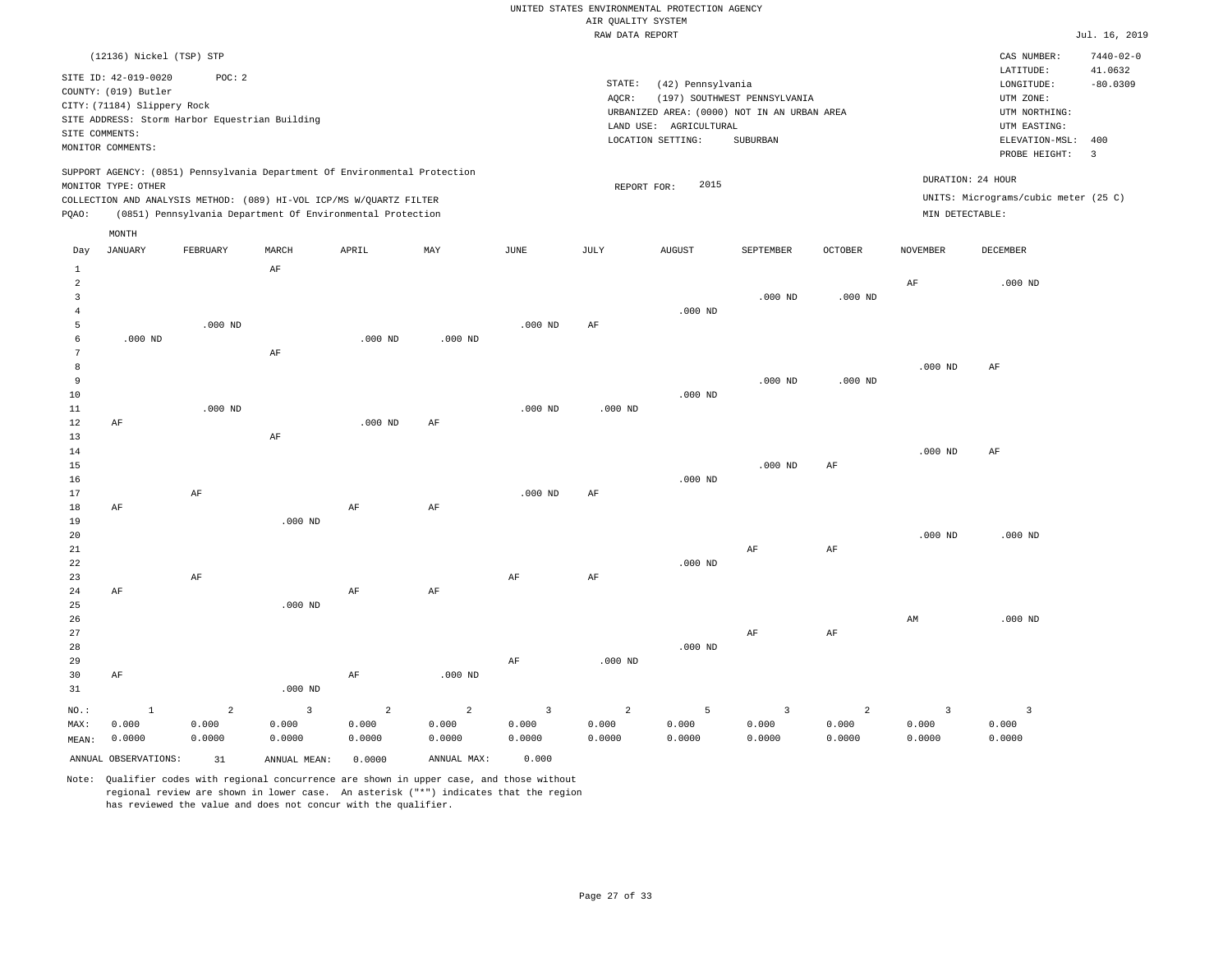|                |                             |                                                                            |           |           |           |           | RAW DATA REPORT |                        |                                             |                |                 |                                      | Jul. 16, 2019              |
|----------------|-----------------------------|----------------------------------------------------------------------------|-----------|-----------|-----------|-----------|-----------------|------------------------|---------------------------------------------|----------------|-----------------|--------------------------------------|----------------------------|
|                | (12136) Nickel (TSP) STP    |                                                                            |           |           |           |           |                 |                        |                                             |                |                 | CAS NUMBER:                          | $7440 - 02 - 0$<br>41.0632 |
|                | SITE ID: 42-019-0020        | POC: 2                                                                     |           |           |           |           | STATE:          | (42) Pennsylvania      |                                             |                |                 | LATITUDE:<br>LONGITUDE:              | $-80.0309$                 |
|                | COUNTY: (019) Butler        |                                                                            |           |           |           |           | AQCR:           |                        | (197) SOUTHWEST PENNSYLVANIA                |                |                 | UTM ZONE:                            |                            |
|                | CITY: (71184) Slippery Rock |                                                                            |           |           |           |           |                 |                        | URBANIZED AREA: (0000) NOT IN AN URBAN AREA |                |                 | UTM NORTHING:                        |                            |
|                |                             | SITE ADDRESS: Storm Harbor Equestrian Building                             |           |           |           |           |                 | LAND USE: AGRICULTURAL |                                             |                |                 | UTM EASTING:                         |                            |
|                | SITE COMMENTS:              |                                                                            |           |           |           |           |                 | LOCATION SETTING:      | SUBURBAN                                    |                |                 | ELEVATION-MSL:                       | 400                        |
|                | MONITOR COMMENTS:           |                                                                            |           |           |           |           |                 |                        |                                             |                |                 | PROBE HEIGHT:                        | $\overline{\mathbf{3}}$    |
|                |                             | SUPPORT AGENCY: (0851) Pennsylvania Department Of Environmental Protection |           |           |           |           |                 |                        |                                             |                |                 | DURATION: 24 HOUR                    |                            |
|                | MONITOR TYPE: OTHER         |                                                                            |           |           |           |           | REPORT FOR:     | 2015                   |                                             |                |                 | UNITS: Micrograms/cubic meter (25 C) |                            |
|                |                             | COLLECTION AND ANALYSIS METHOD: (089) HI-VOL ICP/MS W/QUARTZ FILTER        |           |           |           |           |                 |                        |                                             |                | MIN DETECTABLE: |                                      |                            |
| PQAO:          |                             | (0851) Pennsylvania Department Of Environmental Protection                 |           |           |           |           |                 |                        |                                             |                |                 |                                      |                            |
| Day            | MONTH<br><b>JANUARY</b>     | FEBRUARY                                                                   | MARCH     | APRIL     | MAY       | JUNE      | JULY            | <b>AUGUST</b>          | SEPTEMBER                                   | <b>OCTOBER</b> | <b>NOVEMBER</b> | <b>DECEMBER</b>                      |                            |
| $\mathbf{1}$   |                             |                                                                            | AF        |           |           |           |                 |                        |                                             |                |                 |                                      |                            |
| $\overline{a}$ |                             |                                                                            |           |           |           |           |                 |                        |                                             |                | AF              | $.000$ ND                            |                            |
| $\overline{3}$ |                             |                                                                            |           |           |           |           |                 |                        | $.000$ ND                                   | $.000$ ND      |                 |                                      |                            |
| $\overline{4}$ |                             |                                                                            |           |           |           |           |                 | $.000$ ND              |                                             |                |                 |                                      |                            |
| 5              |                             | $.000$ ND                                                                  |           |           |           | $.000$ ND | AF              |                        |                                             |                |                 |                                      |                            |
| 6              | $.000$ ND                   |                                                                            |           | $.000$ ND | $.000$ ND |           |                 |                        |                                             |                |                 |                                      |                            |
| 7              |                             |                                                                            | AF        |           |           |           |                 |                        |                                             |                |                 |                                      |                            |
| 8              |                             |                                                                            |           |           |           |           |                 |                        |                                             |                | $.000$ ND       | AF                                   |                            |
| 9              |                             |                                                                            |           |           |           |           |                 |                        | $.000$ ND                                   | $.000$ ND      |                 |                                      |                            |
| 10             |                             |                                                                            |           |           |           |           |                 | $.000$ ND              |                                             |                |                 |                                      |                            |
| 11             |                             | $.000$ ND                                                                  |           | $.000$ ND |           | $.000$ ND | $.000$ ND       |                        |                                             |                |                 |                                      |                            |
| 12<br>13       | $\rm AF$                    |                                                                            | AF        |           | AF        |           |                 |                        |                                             |                |                 |                                      |                            |
| 14             |                             |                                                                            |           |           |           |           |                 |                        |                                             |                | $.000$ ND       | AF                                   |                            |
| 15             |                             |                                                                            |           |           |           |           |                 |                        | $.000$ ND                                   | AF             |                 |                                      |                            |
| 16             |                             |                                                                            |           |           |           |           |                 | $.000$ ND              |                                             |                |                 |                                      |                            |
| 17             |                             | AF                                                                         |           |           |           | $.000$ ND | AF              |                        |                                             |                |                 |                                      |                            |
| 18             | AF                          |                                                                            |           | AF        | AF        |           |                 |                        |                                             |                |                 |                                      |                            |
| 19             |                             |                                                                            | $.000$ ND |           |           |           |                 |                        |                                             |                |                 |                                      |                            |
| 20             |                             |                                                                            |           |           |           |           |                 |                        |                                             |                | $.000$ ND       | $.000$ ND                            |                            |
| 21             |                             |                                                                            |           |           |           |           |                 |                        | AF                                          | AF             |                 |                                      |                            |
| 22             |                             |                                                                            |           |           |           |           |                 | $.000$ ND              |                                             |                |                 |                                      |                            |
| 23             |                             | AF                                                                         |           |           |           | AF        | AF              |                        |                                             |                |                 |                                      |                            |
| 24             | AF                          |                                                                            |           | AF        | AF        |           |                 |                        |                                             |                |                 |                                      |                            |
| 25             |                             |                                                                            | $.000$ ND |           |           |           |                 |                        |                                             |                |                 |                                      |                            |
| 26             |                             |                                                                            |           |           |           |           |                 |                        |                                             |                | AM              | $.000$ ND                            |                            |
| 27<br>28       |                             |                                                                            |           |           |           |           |                 | $.000$ ND              | AF                                          | AF             |                 |                                      |                            |
| 29             |                             |                                                                            |           |           |           | AF        | $.000$ ND       |                        |                                             |                |                 |                                      |                            |
| 30             | AF                          |                                                                            |           | AF        | $.000$ ND |           |                 |                        |                                             |                |                 |                                      |                            |
| 31             |                             |                                                                            | $.000$ ND |           |           |           |                 |                        |                                             |                |                 |                                      |                            |

NO.: MAX: MEAN: 0.0000 1 0.000 2 0.000 0.0000 3 0.000 0.0000 2 0.000 0.0000 2 0.000 0.0000 3 0.000 0.0000 2 0.000 0.0000 5 0.000 0.0000 3 0.000 0.0000 2 0.000 0.0000 3 0.000 0.0000 3 0.000 0.0000 ANNUAL OBSERVATIONS: 31 ANNUAL MEAN: 0.0000 ANNUAL MAX: 0.000

Note: Qualifier codes with regional concurrence are shown in upper case, and those without regional review are shown in lower case. An asterisk ("\*") indicates that the region has reviewed the value and does not concur with the qualifier.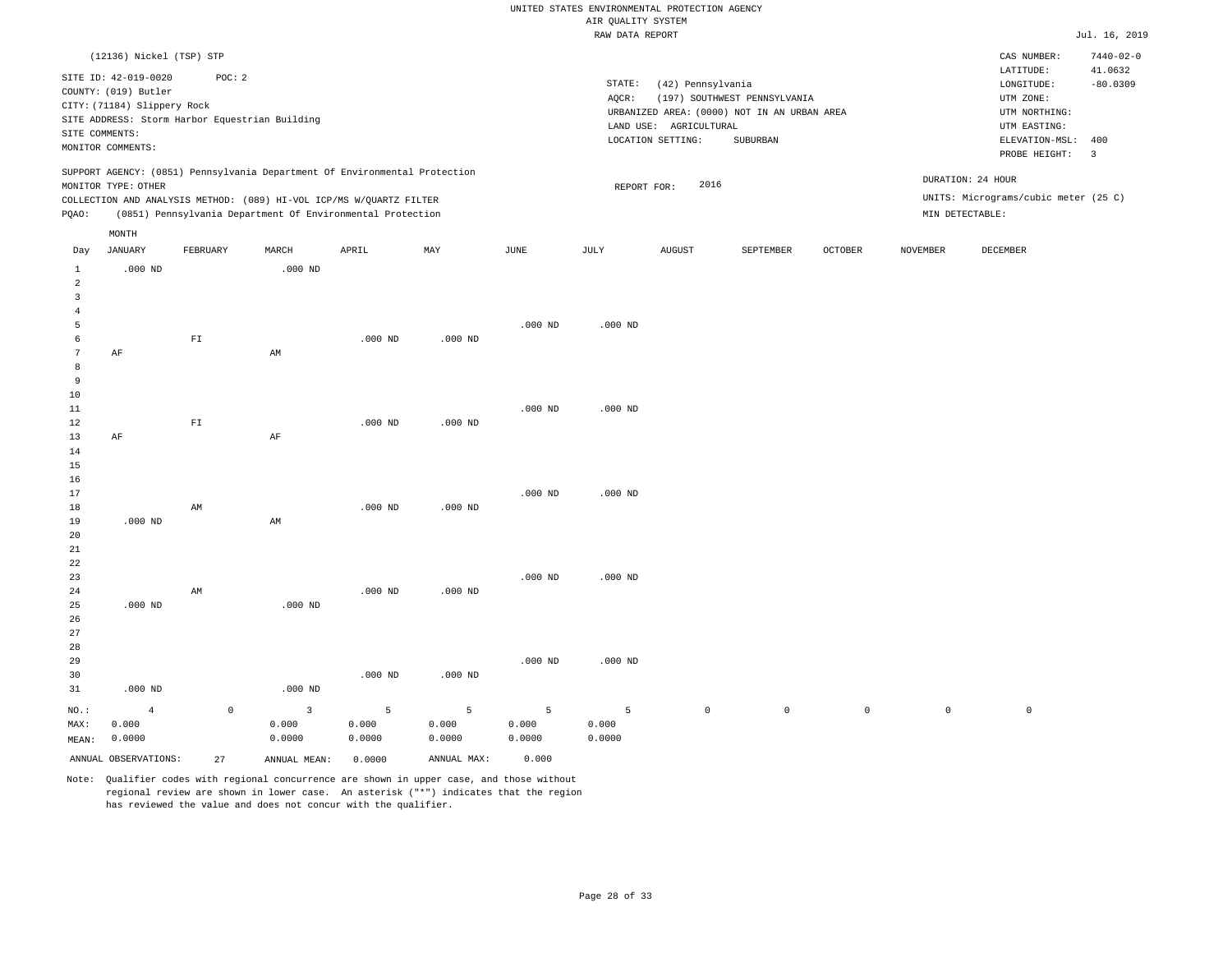|                 |                             |             |                                                                            |           |             |           | RAW DATA REPORT |                        |                                             |                |                     |                                      | Jul. 16, 2019   |
|-----------------|-----------------------------|-------------|----------------------------------------------------------------------------|-----------|-------------|-----------|-----------------|------------------------|---------------------------------------------|----------------|---------------------|--------------------------------------|-----------------|
|                 | (12136) Nickel (TSP) STP    |             |                                                                            |           |             |           |                 |                        |                                             |                |                     | CAS NUMBER:                          | $7440 - 02 - 0$ |
|                 |                             |             |                                                                            |           |             |           |                 |                        |                                             |                |                     | LATITUDE:                            | 41.0632         |
|                 | SITE ID: 42-019-0020        | POC: 2      |                                                                            |           |             |           | STATE:          | (42) Pennsylvania      |                                             |                |                     | LONGITUDE:                           | $-80.0309$      |
|                 | COUNTY: (019) Butler        |             |                                                                            |           |             |           | AQCR:           |                        | (197) SOUTHWEST PENNSYLVANIA                |                |                     | UTM ZONE:                            |                 |
|                 | CITY: (71184) Slippery Rock |             |                                                                            |           |             |           |                 |                        | URBANIZED AREA: (0000) NOT IN AN URBAN AREA |                |                     | UTM NORTHING:                        |                 |
|                 |                             |             | SITE ADDRESS: Storm Harbor Equestrian Building                             |           |             |           |                 | LAND USE: AGRICULTURAL |                                             |                |                     | UTM EASTING:                         |                 |
| SITE COMMENTS:  |                             |             |                                                                            |           |             |           |                 | LOCATION SETTING:      | SUBURBAN                                    |                |                     | ELEVATION-MSL:                       | 400             |
|                 | MONITOR COMMENTS:           |             |                                                                            |           |             |           |                 |                        |                                             |                |                     | PROBE HEIGHT:                        | $\overline{3}$  |
|                 |                             |             | SUPPORT AGENCY: (0851) Pennsylvania Department Of Environmental Protection |           |             |           |                 |                        |                                             |                |                     | DURATION: 24 HOUR                    |                 |
|                 | MONITOR TYPE: OTHER         |             |                                                                            |           |             |           | REPORT FOR:     | 2016                   |                                             |                |                     |                                      |                 |
|                 |                             |             | COLLECTION AND ANALYSIS METHOD: (089) HI-VOL ICP/MS W/QUARTZ FILTER        |           |             |           |                 |                        |                                             |                |                     | UNITS: Micrograms/cubic meter (25 C) |                 |
| PQAO:           |                             |             | (0851) Pennsylvania Department Of Environmental Protection                 |           |             |           |                 |                        |                                             |                |                     | MIN DETECTABLE:                      |                 |
|                 | MONTH                       |             |                                                                            |           |             |           |                 |                        |                                             |                |                     |                                      |                 |
| Day             | JANUARY                     | FEBRUARY    | MARCH                                                                      | APRIL     | MAY         | JUNE      | JULY            | <b>AUGUST</b>          | SEPTEMBER                                   | <b>OCTOBER</b> | <b>NOVEMBER</b>     | DECEMBER                             |                 |
| $\mathbf{1}$    | $.000$ ND                   |             | $.000$ ND                                                                  |           |             |           |                 |                        |                                             |                |                     |                                      |                 |
| $\overline{2}$  |                             |             |                                                                            |           |             |           |                 |                        |                                             |                |                     |                                      |                 |
| $\overline{3}$  |                             |             |                                                                            |           |             |           |                 |                        |                                             |                |                     |                                      |                 |
| $\overline{4}$  |                             |             |                                                                            |           |             |           |                 |                        |                                             |                |                     |                                      |                 |
| $\overline{5}$  |                             |             |                                                                            |           |             | $.000$ ND | $.000$ ND       |                        |                                             |                |                     |                                      |                 |
| $\epsilon$      |                             | ${\rm FT}$  |                                                                            | $.000$ ND | $.000$ ND   |           |                 |                        |                                             |                |                     |                                      |                 |
| $7\phantom{.0}$ | AF                          |             | AM                                                                         |           |             |           |                 |                        |                                             |                |                     |                                      |                 |
| 8               |                             |             |                                                                            |           |             |           |                 |                        |                                             |                |                     |                                      |                 |
| 9               |                             |             |                                                                            |           |             |           |                 |                        |                                             |                |                     |                                      |                 |
| 10              |                             |             |                                                                            |           |             |           |                 |                        |                                             |                |                     |                                      |                 |
| 11              |                             |             |                                                                            |           |             | $.000$ ND | $.000$ ND       |                        |                                             |                |                     |                                      |                 |
| 12              |                             | ${\rm FT}$  |                                                                            | $.000$ ND | $.000$ ND   |           |                 |                        |                                             |                |                     |                                      |                 |
| 13              | AF                          |             | AF                                                                         |           |             |           |                 |                        |                                             |                |                     |                                      |                 |
| 14              |                             |             |                                                                            |           |             |           |                 |                        |                                             |                |                     |                                      |                 |
| 15              |                             |             |                                                                            |           |             |           |                 |                        |                                             |                |                     |                                      |                 |
| 16              |                             |             |                                                                            |           |             |           |                 |                        |                                             |                |                     |                                      |                 |
| 17              |                             |             |                                                                            |           |             | $.000$ ND | $.000$ ND       |                        |                                             |                |                     |                                      |                 |
| $18\,$          |                             | AM          |                                                                            | $.000$ ND | $.000$ ND   |           |                 |                        |                                             |                |                     |                                      |                 |
| 19              | $.000$ ND                   |             | AM                                                                         |           |             |           |                 |                        |                                             |                |                     |                                      |                 |
| 20              |                             |             |                                                                            |           |             |           |                 |                        |                                             |                |                     |                                      |                 |
| 21              |                             |             |                                                                            |           |             |           |                 |                        |                                             |                |                     |                                      |                 |
| 22              |                             |             |                                                                            |           |             |           |                 |                        |                                             |                |                     |                                      |                 |
| 23              |                             |             |                                                                            |           |             | $.000$ ND | $.000$ ND       |                        |                                             |                |                     |                                      |                 |
| 24              |                             | AM          |                                                                            | $.000$ ND | $.000$ ND   |           |                 |                        |                                             |                |                     |                                      |                 |
| 25              | $.000$ ND                   |             | $.000$ ND                                                                  |           |             |           |                 |                        |                                             |                |                     |                                      |                 |
| 26              |                             |             |                                                                            |           |             |           |                 |                        |                                             |                |                     |                                      |                 |
| 27              |                             |             |                                                                            |           |             |           |                 |                        |                                             |                |                     |                                      |                 |
| 28              |                             |             |                                                                            |           |             | $.000$ ND | $.000$ ND       |                        |                                             |                |                     |                                      |                 |
| 29              |                             |             |                                                                            | $.000$ ND | $.000$ ND   |           |                 |                        |                                             |                |                     |                                      |                 |
| 30              |                             |             |                                                                            |           |             |           |                 |                        |                                             |                |                     |                                      |                 |
| 31              | $.000$ ND                   |             | $.000$ ND                                                                  |           |             |           |                 |                        |                                             |                |                     |                                      |                 |
| NO.:            | $\overline{4}$              | $\mathbb O$ | $\overline{3}$                                                             | 5         | 5           | 5         | 5               | $\mathbb O$            | $\mathbb O$                                 | $\mathbb O$    | $\mathsf{O}\xspace$ | $\mathbb O$                          |                 |
| MAX:            | 0.000                       |             | 0.000                                                                      | 0.000     | 0.000       | 0.000     | 0.000           |                        |                                             |                |                     |                                      |                 |
| MEAN:           | 0.0000                      |             | 0.0000                                                                     | 0.0000    | 0.0000      | 0.0000    | 0.0000          |                        |                                             |                |                     |                                      |                 |
|                 | ANNUAL OBSERVATIONS:        | 27          | ANNUAL MEAN:                                                               | 0.0000    | ANNUAL MAX: | 0.000     |                 |                        |                                             |                |                     |                                      |                 |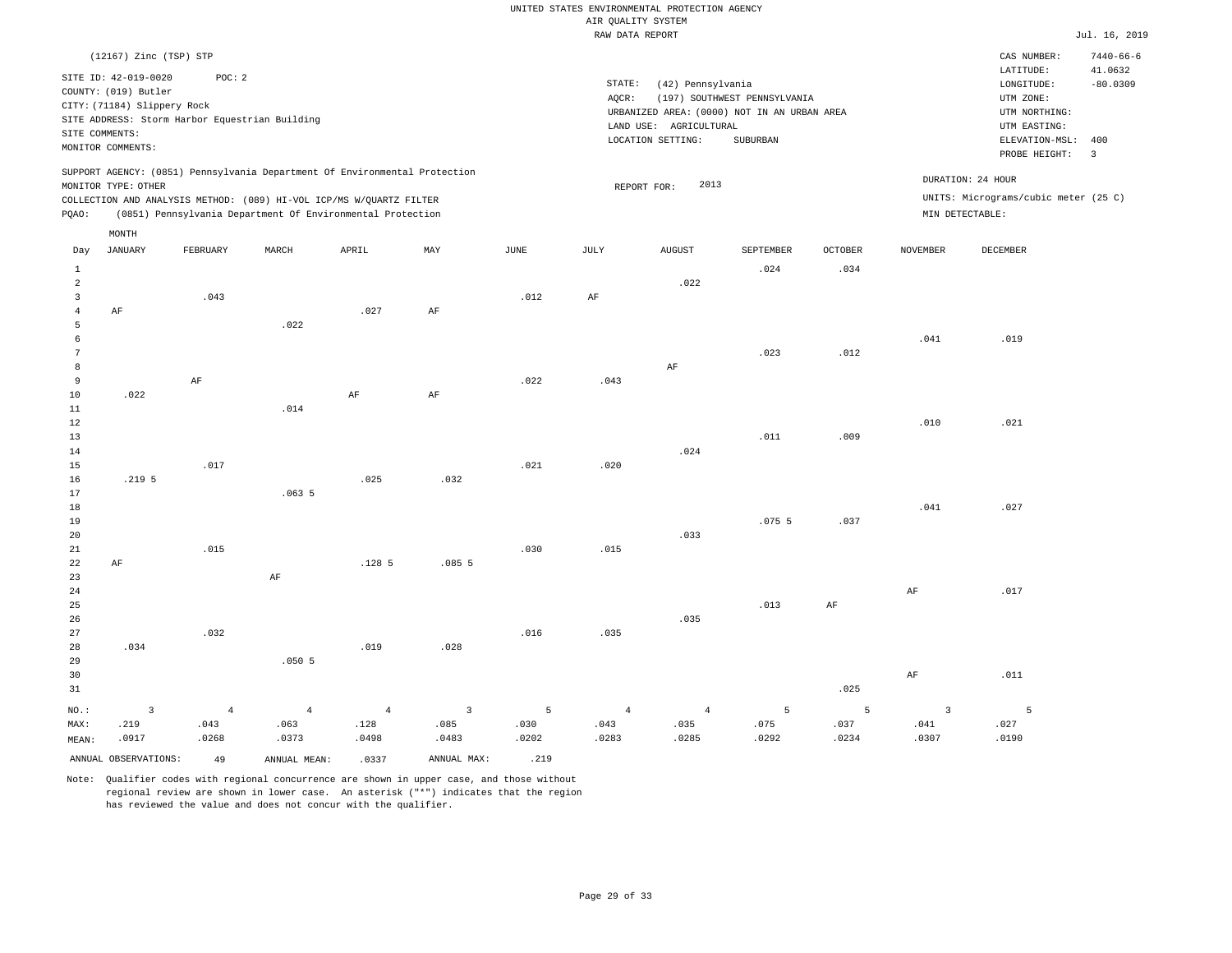|                     | (12167) Zinc (TSP) STP                       |                                                |                |                                                                            |                         |      |                 |                        |                                             |                |                | CAS NUMBER:                          | $7440 - 66 - 6$       |
|---------------------|----------------------------------------------|------------------------------------------------|----------------|----------------------------------------------------------------------------|-------------------------|------|-----------------|------------------------|---------------------------------------------|----------------|----------------|--------------------------------------|-----------------------|
|                     | SITE ID: 42-019-0020<br>COUNTY: (019) Butler | POC: 2                                         |                |                                                                            |                         |      | STATE:<br>AQCR: | (42) Pennsylvania      | (197) SOUTHWEST PENNSYLVANIA                |                |                | LATITUDE:<br>LONGITUDE:<br>UTM ZONE: | 41.0632<br>$-80.0309$ |
|                     | CITY: (71184) Slippery Rock                  |                                                |                |                                                                            |                         |      |                 |                        | URBANIZED AREA: (0000) NOT IN AN URBAN AREA |                |                | UTM NORTHING:                        |                       |
|                     | SITE COMMENTS:                               | SITE ADDRESS: Storm Harbor Equestrian Building |                |                                                                            |                         |      |                 | LAND USE: AGRICULTURAL |                                             |                |                | UTM EASTING:                         |                       |
|                     | MONITOR COMMENTS:                            |                                                |                |                                                                            |                         |      |                 | LOCATION SETTING:      | SUBURBAN                                    |                |                | ELEVATION-MSL:<br>PROBE HEIGHT:      | 400<br>$\overline{3}$ |
|                     |                                              |                                                |                | SUPPORT AGENCY: (0851) Pennsylvania Department Of Environmental Protection |                         |      |                 |                        |                                             |                |                |                                      |                       |
|                     | MONITOR TYPE: OTHER                          |                                                |                |                                                                            |                         |      |                 | 2013<br>REPORT FOR:    |                                             |                |                | DURATION: 24 HOUR                    |                       |
|                     |                                              |                                                |                | COLLECTION AND ANALYSIS METHOD: (089) HI-VOL ICP/MS W/QUARTZ FILTER        |                         |      |                 |                        |                                             |                |                | UNITS: Micrograms/cubic meter (25 C) |                       |
| PQAO:               |                                              |                                                |                | (0851) Pennsylvania Department Of Environmental Protection                 |                         |      |                 |                        |                                             |                |                | MIN DETECTABLE:                      |                       |
|                     | MONTH                                        |                                                |                |                                                                            |                         |      |                 |                        |                                             |                |                |                                      |                       |
| Day                 | JANUARY                                      | FEBRUARY                                       | MARCH          | APRIL                                                                      | MAY                     | JUNE | JULY            | <b>AUGUST</b>          | SEPTEMBER                                   | <b>OCTOBER</b> | NOVEMBER       | DECEMBER                             |                       |
| $\mathbf{1}$        |                                              |                                                |                |                                                                            |                         |      |                 |                        | .024                                        | .034           |                |                                      |                       |
| $\overline{a}$      |                                              |                                                |                |                                                                            |                         |      |                 | .022                   |                                             |                |                |                                      |                       |
| 3                   |                                              | .043                                           |                |                                                                            |                         | .012 | $\rm{AF}$       |                        |                                             |                |                |                                      |                       |
| $\overline{4}$<br>5 | AF                                           |                                                | .022           | .027                                                                       | $\rm AF$                |      |                 |                        |                                             |                |                |                                      |                       |
| 6                   |                                              |                                                |                |                                                                            |                         |      |                 |                        |                                             |                | .041           | .019                                 |                       |
| 7                   |                                              |                                                |                |                                                                            |                         |      |                 |                        | .023                                        | .012           |                |                                      |                       |
| 8                   |                                              |                                                |                |                                                                            |                         |      |                 | AF                     |                                             |                |                |                                      |                       |
| 9                   |                                              | AF                                             |                |                                                                            |                         | .022 | .043            |                        |                                             |                |                |                                      |                       |
| 10<br>11            | .022                                         |                                                | .014           | $\rm AF$                                                                   | $\rm AF$                |      |                 |                        |                                             |                |                |                                      |                       |
| 12                  |                                              |                                                |                |                                                                            |                         |      |                 |                        |                                             |                | .010           | .021                                 |                       |
| 13                  |                                              |                                                |                |                                                                            |                         |      |                 |                        | .011                                        | .009           |                |                                      |                       |
| 14                  |                                              |                                                |                |                                                                            |                         |      |                 | .024                   |                                             |                |                |                                      |                       |
| 15                  |                                              | .017                                           |                |                                                                            |                         | .021 | .020            |                        |                                             |                |                |                                      |                       |
| 16                  | .219 <sub>5</sub>                            |                                                |                | .025                                                                       | .032                    |      |                 |                        |                                             |                |                |                                      |                       |
| 17<br>18            |                                              |                                                | .0635          |                                                                            |                         |      |                 |                        |                                             |                | .041           | .027                                 |                       |
| 19                  |                                              |                                                |                |                                                                            |                         |      |                 |                        | .0755                                       | .037           |                |                                      |                       |
| 20                  |                                              |                                                |                |                                                                            |                         |      |                 | .033                   |                                             |                |                |                                      |                       |
| 21                  |                                              | .015                                           |                |                                                                            |                         | .030 | .015            |                        |                                             |                |                |                                      |                       |
| 22                  | $\rm AF$                                     |                                                |                | .1285                                                                      | .0855                   |      |                 |                        |                                             |                |                |                                      |                       |
| 23                  |                                              |                                                | AF             |                                                                            |                         |      |                 |                        |                                             |                |                |                                      |                       |
| 24                  |                                              |                                                |                |                                                                            |                         |      |                 |                        |                                             |                | $\rm{AF}$      | .017                                 |                       |
| 25<br>26            |                                              |                                                |                |                                                                            |                         |      |                 | .035                   | .013                                        | $\rm{AF}$      |                |                                      |                       |
| 27                  |                                              | .032                                           |                |                                                                            |                         | .016 | .035            |                        |                                             |                |                |                                      |                       |
| 28                  | .034                                         |                                                |                | .019                                                                       | .028                    |      |                 |                        |                                             |                |                |                                      |                       |
| 29                  |                                              |                                                | .0505          |                                                                            |                         |      |                 |                        |                                             |                |                |                                      |                       |
| 30                  |                                              |                                                |                |                                                                            |                         |      |                 |                        |                                             |                | $\rm{AF}$      | .011                                 |                       |
| 31                  |                                              |                                                |                |                                                                            |                         |      |                 |                        |                                             | .025           |                |                                      |                       |
| $NO.$ :             | $\overline{3}$                               | $\overline{4}$                                 | $\overline{4}$ | $\overline{4}$                                                             | $\overline{\mathbf{3}}$ | 5    | $\overline{4}$  | $\overline{4}$         | 5                                           | 5              | $\overline{3}$ | 5                                    |                       |
| MAX:                | .219                                         | .043                                           | .063           | .128                                                                       | .085                    | .030 | .043            | .035                   | .075                                        | .037           | .041           | .027                                 |                       |

MEAN: .0917 .0268 .0373 .0498 .0483 .0202 .0283 .0285 ANNUAL OBSERVATIONS:  $\begin{array}{ccc} 49 & \text{ANNUAL MEAN:} & .0337 & \text{ANNUAL MAX:} & .219 \end{array}$ Note: Qualifier codes with regional concurrence are shown in upper case, and those without

 regional review are shown in lower case. An asterisk ("\*") indicates that the region has reviewed the value and does not concur with the qualifier.

.0292

.0234

.0307

.0190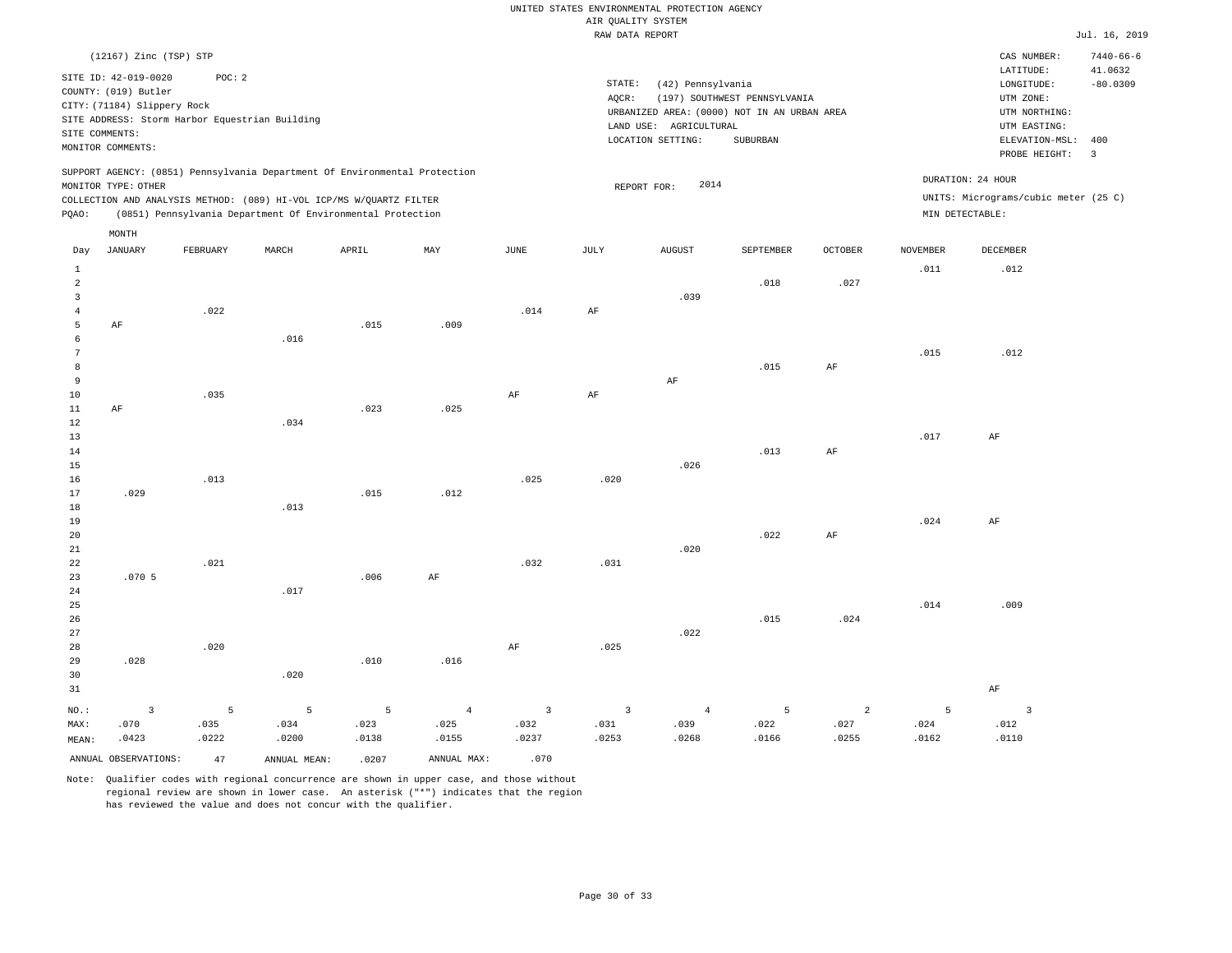|                      | (12167) Zinc (TSP) STP<br>SITE ID: 42-019-0020<br>COUNTY: (019) Butler<br>CITY: (71184) Slippery Rock<br>SITE COMMENTS:<br>MONITOR COMMENTS: | POC: 2<br>SITE ADDRESS: Storm Harbor Equestrian Building |       |                                                                                                                                                                                                                 |                |                | STATE:<br>AQCR:         | (42) Pennsylvania<br>LAND USE: AGRICULTURAL<br>LOCATION SETTING: | (197) SOUTHWEST PENNSYLVANIA<br>URBANIZED AREA: (0000) NOT IN AN URBAN AREA<br>SUBURBAN |                |                 | CAS NUMBER:<br>LATITUDE:<br>LONGITUDE:<br>UTM ZONE:<br>UTM NORTHING:<br>UTM EASTING:<br>ELEVATION-MSL: | $7440 - 66 - 6$<br>41.0632<br>$-80.0309$<br>400 |
|----------------------|----------------------------------------------------------------------------------------------------------------------------------------------|----------------------------------------------------------|-------|-----------------------------------------------------------------------------------------------------------------------------------------------------------------------------------------------------------------|----------------|----------------|-------------------------|------------------------------------------------------------------|-----------------------------------------------------------------------------------------|----------------|-----------------|--------------------------------------------------------------------------------------------------------|-------------------------------------------------|
| PQAO:                | MONITOR TYPE: OTHER                                                                                                                          |                                                          |       | SUPPORT AGENCY: (0851) Pennsylvania Department Of Environmental Protection<br>COLLECTION AND ANALYSIS METHOD: (089) HI-VOL ICP/MS W/QUARTZ FILTER<br>(0851) Pennsylvania Department Of Environmental Protection |                |                |                         | 2014<br>REPORT FOR:                                              |                                                                                         |                | MIN DETECTABLE: | PROBE HEIGHT:<br>DURATION: 24 HOUR<br>UNITS: Micrograms/cubic meter (25 C)                             | $\overline{3}$                                  |
|                      | $\texttt{MONTH}$<br><b>JANUARY</b>                                                                                                           |                                                          | MARCH |                                                                                                                                                                                                                 | MAY            |                |                         |                                                                  |                                                                                         | <b>OCTOBER</b> | <b>NOVEMBER</b> | <b>DECEMBER</b>                                                                                        |                                                 |
| Day<br>$1\,$         |                                                                                                                                              | FEBRUARY                                                 |       | APRIL                                                                                                                                                                                                           |                | JUNE           | JULY                    | <b>AUGUST</b>                                                    | SEPTEMBER                                                                               |                | .011            | .012                                                                                                   |                                                 |
| 2                    |                                                                                                                                              |                                                          |       |                                                                                                                                                                                                                 |                |                |                         |                                                                  | .018                                                                                    | .027           |                 |                                                                                                        |                                                 |
| $\overline{3}$       |                                                                                                                                              |                                                          |       |                                                                                                                                                                                                                 |                |                |                         | .039                                                             |                                                                                         |                |                 |                                                                                                        |                                                 |
| $\overline{4}$<br>5  | AF                                                                                                                                           | .022                                                     |       | .015                                                                                                                                                                                                            | .009           | .014           | AF                      |                                                                  |                                                                                         |                |                 |                                                                                                        |                                                 |
| 6                    |                                                                                                                                              |                                                          | .016  |                                                                                                                                                                                                                 |                |                |                         |                                                                  |                                                                                         |                |                 |                                                                                                        |                                                 |
| $7\overline{ }$      |                                                                                                                                              |                                                          |       |                                                                                                                                                                                                                 |                |                |                         |                                                                  |                                                                                         |                | .015            | .012                                                                                                   |                                                 |
| $^{\rm 8}$           |                                                                                                                                              |                                                          |       |                                                                                                                                                                                                                 |                |                |                         |                                                                  | .015                                                                                    | $\rm{AF}$      |                 |                                                                                                        |                                                 |
| $\overline{9}$<br>10 |                                                                                                                                              | .035                                                     |       |                                                                                                                                                                                                                 |                | $\rm{AF}$      | $\rm{AF}$               | AF                                                               |                                                                                         |                |                 |                                                                                                        |                                                 |
| 11                   | AF                                                                                                                                           |                                                          |       | .023                                                                                                                                                                                                            | .025           |                |                         |                                                                  |                                                                                         |                |                 |                                                                                                        |                                                 |
| 12                   |                                                                                                                                              |                                                          | .034  |                                                                                                                                                                                                                 |                |                |                         |                                                                  |                                                                                         |                |                 |                                                                                                        |                                                 |
| 13                   |                                                                                                                                              |                                                          |       |                                                                                                                                                                                                                 |                |                |                         |                                                                  |                                                                                         |                | .017            | $\rm AF$                                                                                               |                                                 |
| 14<br>15             |                                                                                                                                              |                                                          |       |                                                                                                                                                                                                                 |                |                |                         | .026                                                             | .013                                                                                    | AF             |                 |                                                                                                        |                                                 |
| 16                   |                                                                                                                                              | .013                                                     |       |                                                                                                                                                                                                                 |                | .025           | .020                    |                                                                  |                                                                                         |                |                 |                                                                                                        |                                                 |
| 17                   | .029                                                                                                                                         |                                                          |       | .015                                                                                                                                                                                                            | .012           |                |                         |                                                                  |                                                                                         |                |                 |                                                                                                        |                                                 |
| 18                   |                                                                                                                                              |                                                          | .013  |                                                                                                                                                                                                                 |                |                |                         |                                                                  |                                                                                         |                |                 |                                                                                                        |                                                 |
| 19<br>20             |                                                                                                                                              |                                                          |       |                                                                                                                                                                                                                 |                |                |                         |                                                                  | .022                                                                                    | AF             | .024            | AF                                                                                                     |                                                 |
| 21                   |                                                                                                                                              |                                                          |       |                                                                                                                                                                                                                 |                |                |                         | .020                                                             |                                                                                         |                |                 |                                                                                                        |                                                 |
| 22                   |                                                                                                                                              | .021                                                     |       |                                                                                                                                                                                                                 |                | .032           | .031                    |                                                                  |                                                                                         |                |                 |                                                                                                        |                                                 |
| 23                   | .0705                                                                                                                                        |                                                          |       | .006                                                                                                                                                                                                            | AF             |                |                         |                                                                  |                                                                                         |                |                 |                                                                                                        |                                                 |
| 24<br>25             |                                                                                                                                              |                                                          | .017  |                                                                                                                                                                                                                 |                |                |                         |                                                                  |                                                                                         |                | .014            | .009                                                                                                   |                                                 |
| 26                   |                                                                                                                                              |                                                          |       |                                                                                                                                                                                                                 |                |                |                         |                                                                  | .015                                                                                    | .024           |                 |                                                                                                        |                                                 |
| 27                   |                                                                                                                                              |                                                          |       |                                                                                                                                                                                                                 |                |                |                         | .022                                                             |                                                                                         |                |                 |                                                                                                        |                                                 |
| 28                   |                                                                                                                                              | .020                                                     |       |                                                                                                                                                                                                                 |                | AF             | .025                    |                                                                  |                                                                                         |                |                 |                                                                                                        |                                                 |
| 29<br>30             | .028                                                                                                                                         |                                                          | .020  | .010                                                                                                                                                                                                            | .016           |                |                         |                                                                  |                                                                                         |                |                 |                                                                                                        |                                                 |
| 31                   |                                                                                                                                              |                                                          |       |                                                                                                                                                                                                                 |                |                |                         |                                                                  |                                                                                         |                |                 | $\rm{AF}$                                                                                              |                                                 |
| $NO.$ :              | $\overline{3}$                                                                                                                               | 5                                                        | 5     | 5                                                                                                                                                                                                               | $\overline{4}$ | $\overline{3}$ | $\overline{\mathbf{3}}$ | $\overline{4}$                                                   | 5                                                                                       | 2              | 5               | $\overline{3}$                                                                                         |                                                 |
| MAX:                 | .070                                                                                                                                         | .035                                                     | .034  | .023                                                                                                                                                                                                            | .025           | .032           | .031                    | .039                                                             | .022                                                                                    | .027           | .024            | .012                                                                                                   |                                                 |
| MEAN:                | .0423                                                                                                                                        | .0222                                                    | .0200 | .0138                                                                                                                                                                                                           | .0155          | .0237          | .0253                   | .0268                                                            | .0166                                                                                   | .0255          | .0162           | .0110                                                                                                  |                                                 |

ANNUAL OBSERVATIONS:  $\begin{array}{ccc} 47 & \text{ANNUAL MEAN:} & .0207 & \text{ANNUAL MAX:} & .070 \end{array}$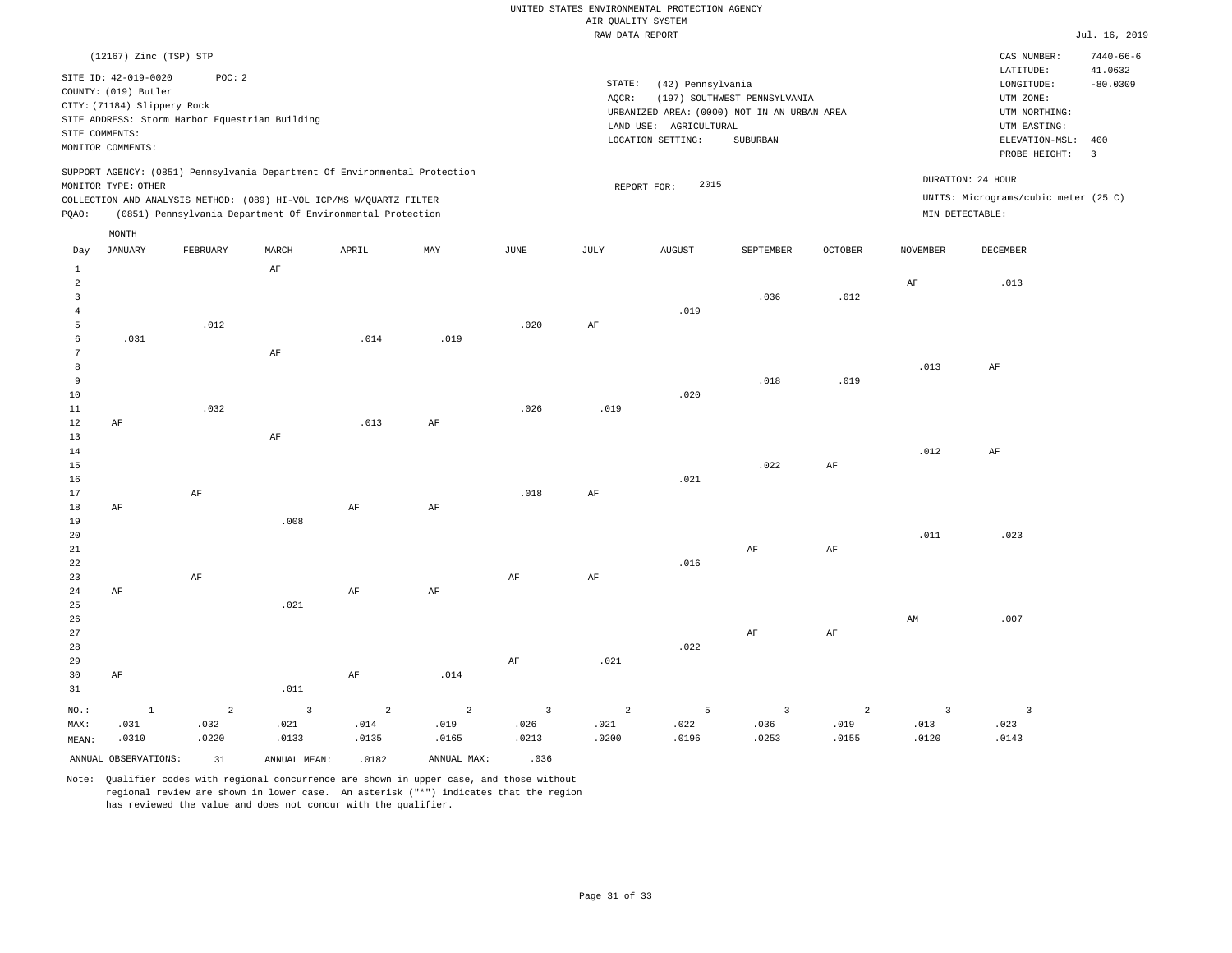|                                                                                                                                                                                                                                                 |                        |          |       |       |      |      | RAW DATA REPORT                                                                                                                                                                |               |           |                |                 |                          | Jul. 16, 2019                                                              |
|-------------------------------------------------------------------------------------------------------------------------------------------------------------------------------------------------------------------------------------------------|------------------------|----------|-------|-------|------|------|--------------------------------------------------------------------------------------------------------------------------------------------------------------------------------|---------------|-----------|----------------|-----------------|--------------------------|----------------------------------------------------------------------------|
|                                                                                                                                                                                                                                                 | (12167) Zinc (TSP) STP |          |       |       |      |      |                                                                                                                                                                                |               |           |                |                 | CAS NUMBER:<br>LATITUDE: | $7440 - 66 - 6$                                                            |
| SITE ID: 42-019-0020<br>POC:2<br>COUNTY: (019) Butler<br>CITY: (71184) Slippery Rock<br>SITE ADDRESS: Storm Harbor Equestrian Building<br>SITE COMMENTS:<br>MONITOR COMMENTS:                                                                   |                        |          |       |       |      |      | STATE:<br>(42) Pennsylvania<br>(197) SOUTHWEST PENNSYLVANIA<br>AQCR:<br>URBANIZED AREA: (0000) NOT IN AN URBAN AREA<br>LAND USE: AGRICULTURAL<br>LOCATION SETTING:<br>SUBURBAN |               |           |                |                 |                          | 41.0632<br>$-80.0309$<br>ELEVATION-MSL:<br>400<br>$\overline{\phantom{a}}$ |
| SUPPORT AGENCY: (0851) Pennsylvania Department Of Environmental Protection<br>MONITOR TYPE: OTHER<br>COLLECTION AND ANALYSIS METHOD: (089) HI-VOL ICP/MS W/OUARTZ FILTER<br>(0851) Pennsylvania Department Of Environmental Protection<br>POAO: |                        |          |       |       |      |      | DURATION: 24 HOUR<br>2015<br>REPORT FOR:<br>UNITS: Micrograms/cubic meter (25 C)<br>MIN DETECTABLE:                                                                            |               |           |                |                 |                          |                                                                            |
| Day                                                                                                                                                                                                                                             | MONTH<br>JANUARY       | FEBRUARY | MARCH | APRIL | MAY  | JUNE | JULY                                                                                                                                                                           | <b>AUGUST</b> | SEPTEMBER | <b>OCTOBER</b> | <b>NOVEMBER</b> | DECEMBER                 |                                                                            |
| 2<br>3<br>5                                                                                                                                                                                                                                     |                        | .012     | AF    |       |      | .020 | AF                                                                                                                                                                             | .019          | .036      | .012           | AF              | .013                     |                                                                            |
| 6<br>8                                                                                                                                                                                                                                          | .031                   |          | AF    | .014  | .019 |      |                                                                                                                                                                                |               |           |                | .013            | AF                       |                                                                            |
| 9<br>10<br>11                                                                                                                                                                                                                                   |                        | .032     |       |       |      | .026 | .019                                                                                                                                                                           | .020          | .018      | .019           |                 |                          |                                                                            |

| 12                                      | AF        |    |      | .013 | AF |      |    |      |      |    |      |      |
|-----------------------------------------|-----------|----|------|------|----|------|----|------|------|----|------|------|
| 13                                      |           |    | AF   |      |    |      |    |      |      |    |      |      |
| $14$                                    |           |    |      |      |    |      |    |      |      |    | .012 | AF   |
| 15                                      |           |    |      |      |    |      |    |      | .022 | AF |      |      |
| 16                                      |           |    |      |      |    |      |    | .021 |      |    |      |      |
| 17                                      |           | AF |      |      |    | .018 | AF |      |      |    |      |      |
| $18\,$                                  | AF        |    |      | AF   | AF |      |    |      |      |    |      |      |
| 19                                      |           |    | .008 |      |    |      |    |      |      |    |      |      |
|                                         |           |    |      |      |    |      |    |      |      |    | .011 | .023 |
| $\begin{array}{c} 20 \\ 21 \end{array}$ |           |    |      |      |    |      |    |      | AF   | AF |      |      |
| $2\sqrt{2}$                             |           |    |      |      |    |      |    | .016 |      |    |      |      |
| 23                                      |           | AF |      |      |    | AF   | AF |      |      |    |      |      |
| 24                                      | $\rm{AF}$ |    |      | AF   | AF |      |    |      |      |    |      |      |

| 25    | .021 |      |    |      |      |    |    |    |      |
|-------|------|------|----|------|------|----|----|----|------|
| 26    |      |      |    |      |      |    |    | AM | .007 |
| 27    |      |      |    |      |      | AF | AF |    |      |
| 28    |      |      |    |      | .022 |    |    |    |      |
| 29    |      |      | AF | .021 |      |    |    |    |      |
| 30 AF | AF   | .014 |    |      |      |    |    |    |      |

| 31    |                      |          | .011         |          |             |       |       |                |       |       |       |       |
|-------|----------------------|----------|--------------|----------|-------------|-------|-------|----------------|-------|-------|-------|-------|
| NO.:  |                      | $\sim$ 2 | $\sim$ 3     | $\sim$ 2 | $\sim$ 2    |       | 3 2 2 | 5 <sub>1</sub> |       |       |       |       |
| MAX:  | .031                 | .032     | .021         | .014     | .019        | .026  | .021  | .022           | .036  | .019  | .013  | .023  |
| MEAN: | .0310                | .0220    | .0133        | .0135    | .0165       | .0213 | .0200 | .0196          | .0253 | .0155 | .0120 | .0143 |
|       | ANNUAL OBSERVATIONS: | 31       | ANNUAL MEAN: | .0182    | ANNUAL MAX: | .036  |       |                |       |       |       |       |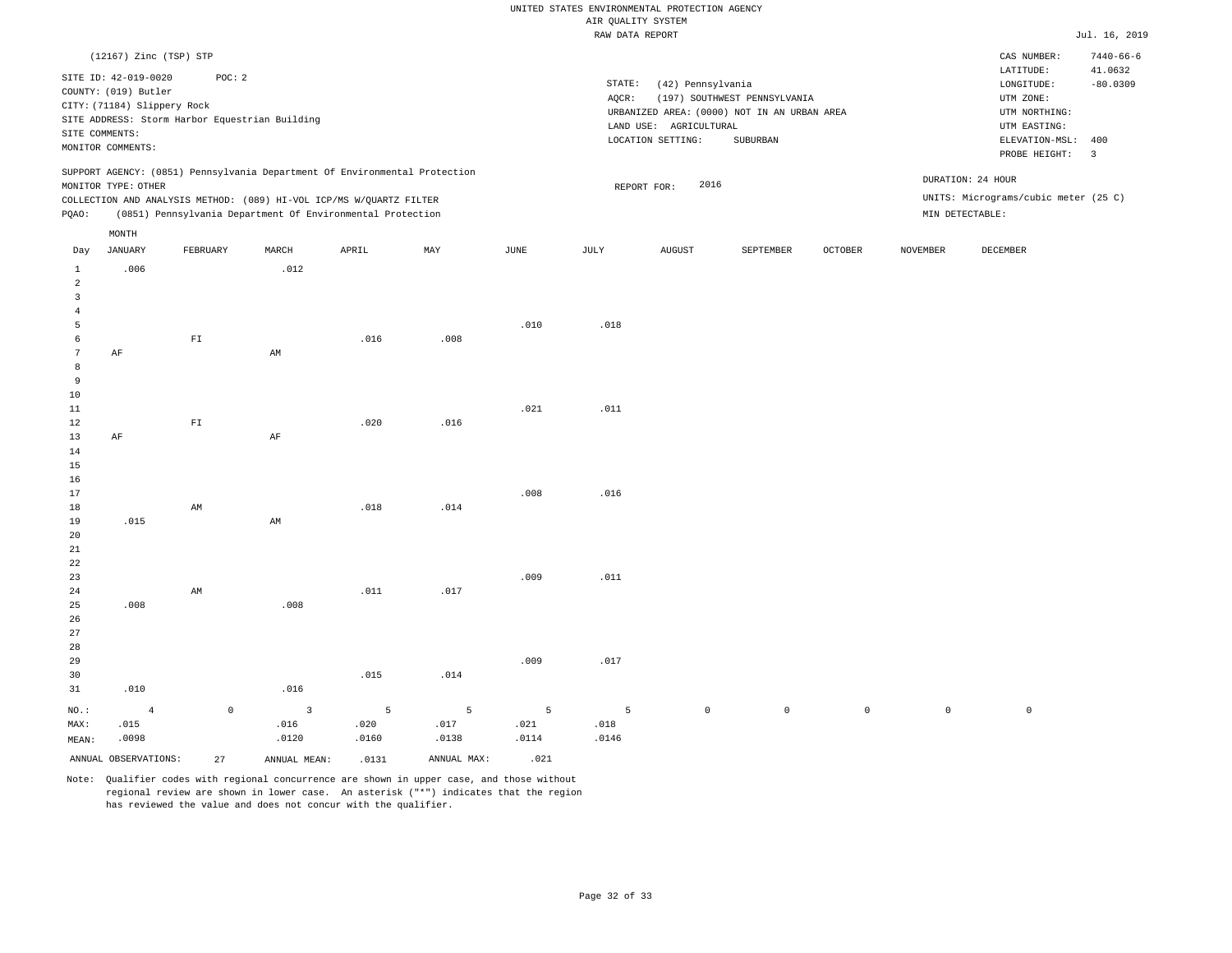|                                |                                                                                                  |                          |                                                                                                                                   |                |             |                                                                                                                                                                                | ----- ------ ---- ---- |                     |             |                |                     |                                                                                                                        |                                         |
|--------------------------------|--------------------------------------------------------------------------------------------------|--------------------------|-----------------------------------------------------------------------------------------------------------------------------------|----------------|-------------|--------------------------------------------------------------------------------------------------------------------------------------------------------------------------------|------------------------|---------------------|-------------|----------------|---------------------|------------------------------------------------------------------------------------------------------------------------|-----------------------------------------|
|                                | (12167) Zinc (TSP) STP                                                                           |                          |                                                                                                                                   |                |             |                                                                                                                                                                                |                        |                     |             |                |                     | CAS NUMBER:                                                                                                            | $7440 - 66 - 6$                         |
| SITE COMMENTS:                 | SITE ID: 42-019-0020<br>COUNTY: (019) Butler<br>CITY: (71184) Slippery Rock<br>MONITOR COMMENTS: | POC: 2                   | SITE ADDRESS: Storm Harbor Equestrian Building                                                                                    |                |             | STATE:<br>(42) Pennsylvania<br>AQCR:<br>(197) SOUTHWEST PENNSYLVANIA<br>URBANIZED AREA: (0000) NOT IN AN URBAN AREA<br>LAND USE: AGRICULTURAL<br>LOCATION SETTING:<br>SUBURBAN |                        |                     |             |                |                     | $\mathtt{LATITUDE}$<br>LONGITUDE:<br>UTM ZONE:<br>UTM NORTHING:<br>UTM EASTING:<br>ELEVATION-MSL: 400<br>PROBE HEIGHT: | 41.0632<br>$-80.0309$<br>$\overline{3}$ |
|                                |                                                                                                  |                          | SUPPORT AGENCY: (0851) Pennsylvania Department Of Environmental Protection                                                        |                |             |                                                                                                                                                                                |                        |                     |             |                |                     | DURATION: 24 HOUR                                                                                                      |                                         |
|                                | MONITOR TYPE: OTHER                                                                              |                          |                                                                                                                                   |                |             |                                                                                                                                                                                |                        | 2016<br>REPORT FOR: |             |                |                     | UNITS: Micrograms/cubic meter (25 C)                                                                                   |                                         |
| PQAO:                          |                                                                                                  |                          | COLLECTION AND ANALYSIS METHOD: (089) HI-VOL ICP/MS W/QUARTZ FILTER<br>(0851) Pennsylvania Department Of Environmental Protection |                |             |                                                                                                                                                                                |                        |                     |             |                |                     | MIN DETECTABLE:                                                                                                        |                                         |
|                                | MONTH                                                                                            |                          |                                                                                                                                   |                |             |                                                                                                                                                                                |                        |                     |             |                |                     |                                                                                                                        |                                         |
| Day                            | <b>JANUARY</b>                                                                                   | FEBRUARY                 | MARCH                                                                                                                             | APRIL          | MAY         | JUNE                                                                                                                                                                           | JULY                   | <b>AUGUST</b>       | SEPTEMBER   | <b>OCTOBER</b> | NOVEMBER            | DECEMBER                                                                                                               |                                         |
| $\mathbf{1}$<br>$\overline{a}$ | .006                                                                                             |                          | .012                                                                                                                              |                |             |                                                                                                                                                                                |                        |                     |             |                |                     |                                                                                                                        |                                         |
| $\overline{3}$                 |                                                                                                  |                          |                                                                                                                                   |                |             |                                                                                                                                                                                |                        |                     |             |                |                     |                                                                                                                        |                                         |
| $\overline{4}$                 |                                                                                                  |                          |                                                                                                                                   |                |             |                                                                                                                                                                                |                        |                     |             |                |                     |                                                                                                                        |                                         |
| 5                              |                                                                                                  |                          |                                                                                                                                   |                |             | .010                                                                                                                                                                           | .018                   |                     |             |                |                     |                                                                                                                        |                                         |
| 6<br>7                         | AF                                                                                               | $\mathbb{F} \mathbbm{I}$ | AM                                                                                                                                | .016           | .008        |                                                                                                                                                                                |                        |                     |             |                |                     |                                                                                                                        |                                         |
| 8                              |                                                                                                  |                          |                                                                                                                                   |                |             |                                                                                                                                                                                |                        |                     |             |                |                     |                                                                                                                        |                                         |
| 9                              |                                                                                                  |                          |                                                                                                                                   |                |             |                                                                                                                                                                                |                        |                     |             |                |                     |                                                                                                                        |                                         |
| $10$                           |                                                                                                  |                          |                                                                                                                                   |                |             |                                                                                                                                                                                |                        |                     |             |                |                     |                                                                                                                        |                                         |
| 11<br>$1\,2$                   |                                                                                                  | ${\tt F1}$               |                                                                                                                                   | .020           | .016        | .021                                                                                                                                                                           | .011                   |                     |             |                |                     |                                                                                                                        |                                         |
| 13                             | AF                                                                                               |                          | $\rm AF$                                                                                                                          |                |             |                                                                                                                                                                                |                        |                     |             |                |                     |                                                                                                                        |                                         |
| 14                             |                                                                                                  |                          |                                                                                                                                   |                |             |                                                                                                                                                                                |                        |                     |             |                |                     |                                                                                                                        |                                         |
| 15                             |                                                                                                  |                          |                                                                                                                                   |                |             |                                                                                                                                                                                |                        |                     |             |                |                     |                                                                                                                        |                                         |
| 16<br>17                       |                                                                                                  |                          |                                                                                                                                   |                |             | .008                                                                                                                                                                           | .016                   |                     |             |                |                     |                                                                                                                        |                                         |
| 18                             |                                                                                                  | AM                       |                                                                                                                                   | .018           | .014        |                                                                                                                                                                                |                        |                     |             |                |                     |                                                                                                                        |                                         |
| 19                             | .015                                                                                             |                          | AM                                                                                                                                |                |             |                                                                                                                                                                                |                        |                     |             |                |                     |                                                                                                                        |                                         |
| 20                             |                                                                                                  |                          |                                                                                                                                   |                |             |                                                                                                                                                                                |                        |                     |             |                |                     |                                                                                                                        |                                         |
| 21<br>22                       |                                                                                                  |                          |                                                                                                                                   |                |             |                                                                                                                                                                                |                        |                     |             |                |                     |                                                                                                                        |                                         |
| 23                             |                                                                                                  |                          |                                                                                                                                   |                |             | .009                                                                                                                                                                           | .011                   |                     |             |                |                     |                                                                                                                        |                                         |
| 24                             |                                                                                                  | AM                       |                                                                                                                                   | .011           | .017        |                                                                                                                                                                                |                        |                     |             |                |                     |                                                                                                                        |                                         |
| 25                             | .008                                                                                             |                          | .008                                                                                                                              |                |             |                                                                                                                                                                                |                        |                     |             |                |                     |                                                                                                                        |                                         |
| 26                             |                                                                                                  |                          |                                                                                                                                   |                |             |                                                                                                                                                                                |                        |                     |             |                |                     |                                                                                                                        |                                         |
| 27<br>28                       |                                                                                                  |                          |                                                                                                                                   |                |             |                                                                                                                                                                                |                        |                     |             |                |                     |                                                                                                                        |                                         |
| 29                             |                                                                                                  |                          |                                                                                                                                   |                |             | .009                                                                                                                                                                           | .017                   |                     |             |                |                     |                                                                                                                        |                                         |
| 30                             |                                                                                                  |                          |                                                                                                                                   | .015           | .014        |                                                                                                                                                                                |                        |                     |             |                |                     |                                                                                                                        |                                         |
| 31                             | .010                                                                                             |                          | .016                                                                                                                              |                |             |                                                                                                                                                                                |                        |                     |             |                |                     |                                                                                                                        |                                         |
| $NO.$ :                        | $\sqrt{4}$                                                                                       | $\mathsf{O}\xspace$      | $\overline{\mathbf{3}}$                                                                                                           | $\overline{5}$ | 5           | 5                                                                                                                                                                              | 5                      | $\mathsf{O}$        | $\mathsf 0$ | $\mathbb O$    | $\mathsf{O}\xspace$ | $\mathbb O$                                                                                                            |                                         |
| MAX:                           | .015                                                                                             |                          | .016                                                                                                                              | .020           | .017        | .021                                                                                                                                                                           | .018                   |                     |             |                |                     |                                                                                                                        |                                         |
| MEAN:                          | .0098                                                                                            |                          | .0120                                                                                                                             | .0160          | .0138       | .0114                                                                                                                                                                          | .0146                  |                     |             |                |                     |                                                                                                                        |                                         |
|                                | ANNUAL OBSERVATIONS:                                                                             | 27                       | ANNUAL, MEAN:                                                                                                                     | .0131          | ANNUAL MAX: | .021                                                                                                                                                                           |                        |                     |             |                |                     |                                                                                                                        |                                         |